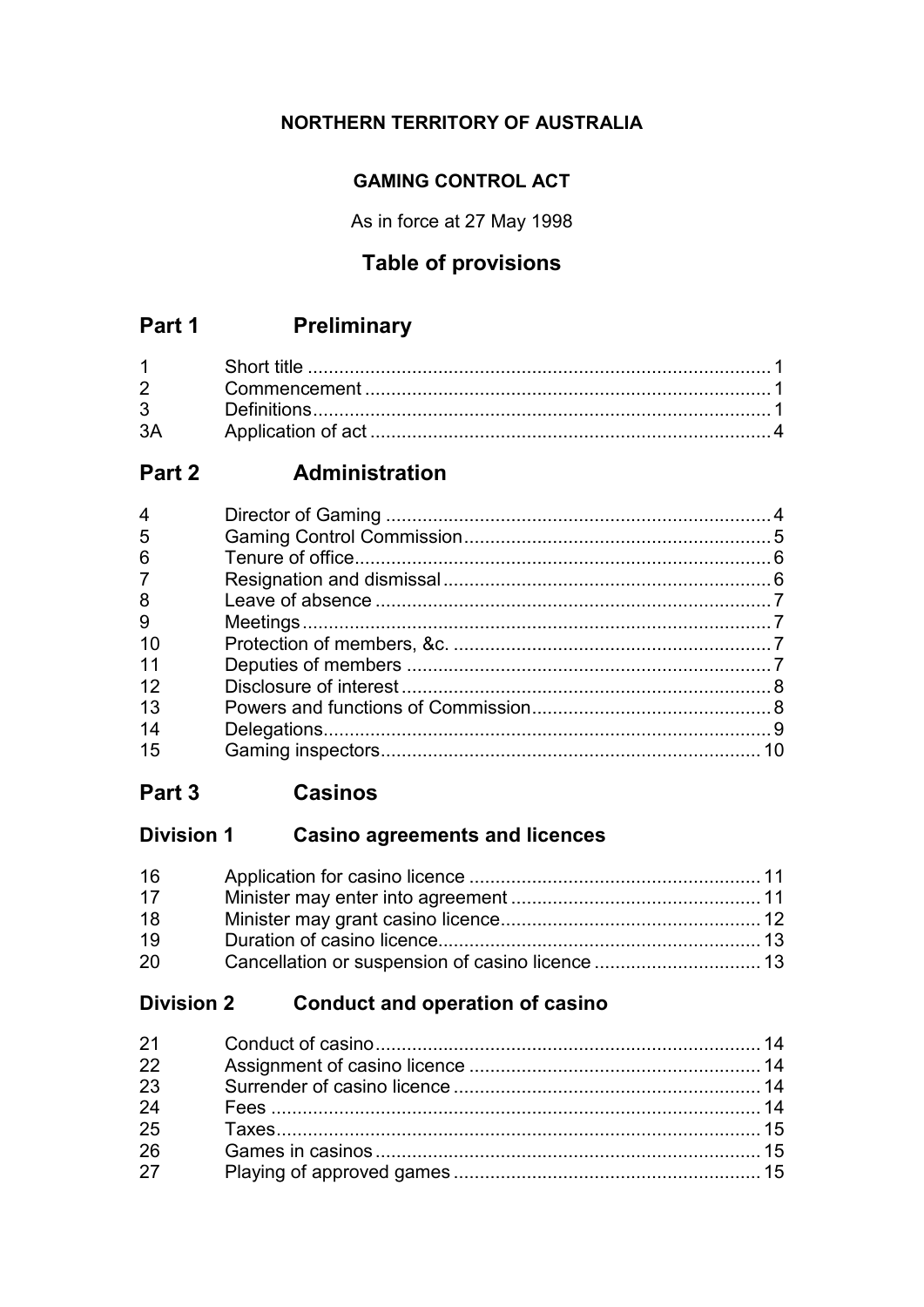## NORTHERN TERRITORY OF AUSTRALIA

## **GAMING CONTROL ACT**

As in force at 27 May 1998

# **Table of provisions**

#### **Preliminary** Part 1

| 3A |  |
|----|--|

#### Administration Part 2

| 5              |  |
|----------------|--|
| 6              |  |
| $\overline{7}$ |  |
| 8              |  |
| 9              |  |
| 10             |  |
| 11             |  |
| 12             |  |
| 13             |  |
| 14             |  |
| 15             |  |

#### Part 3 **Casinos**

# Division 1 Casino agreements and licences

| 16 |  |
|----|--|
| 17 |  |
| 18 |  |
| 19 |  |
| 20 |  |

# Division 2 Conduct and operation of casino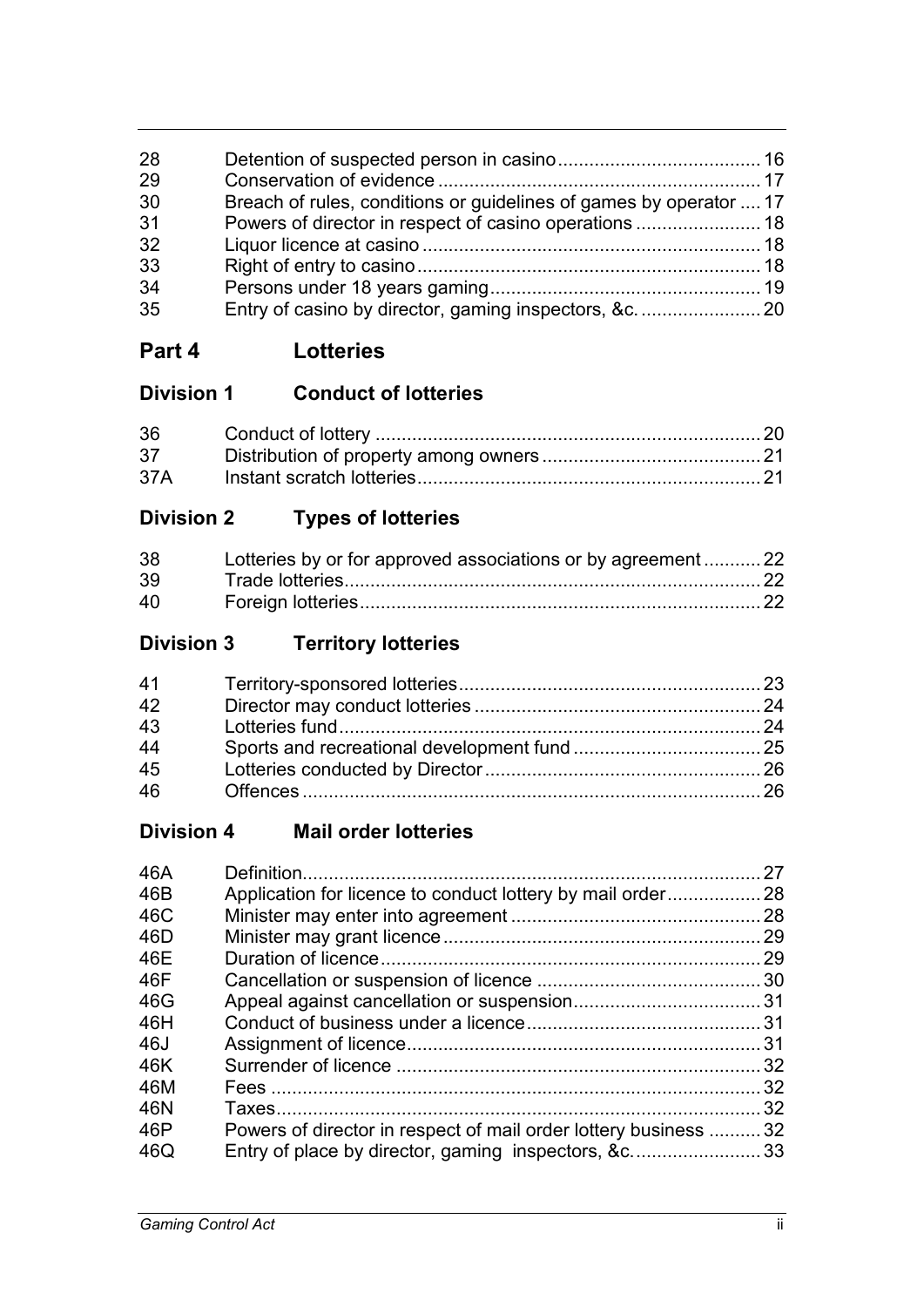| 28 |                                                                    |  |
|----|--------------------------------------------------------------------|--|
| 29 |                                                                    |  |
| 30 | Breach of rules, conditions or guidelines of games by operator  17 |  |
| 31 | Powers of director in respect of casino operations  18             |  |
| 32 |                                                                    |  |
| 33 |                                                                    |  |
| 34 |                                                                    |  |
| 35 |                                                                    |  |
|    |                                                                    |  |

# **Part 4 Lotteries**

| <b>Division 1</b> | <b>Conduct of lotteries</b> |  |
|-------------------|-----------------------------|--|
|                   |                             |  |

| 36  |  |
|-----|--|
| 37  |  |
| 37A |  |

# **Division 2 Types of lotteries**

| 38 | Lotteries by or for approved associations or by agreement22 |  |
|----|-------------------------------------------------------------|--|
| 39 |                                                             |  |
| 40 |                                                             |  |

# **Division 3 Territory lotteries**

# **Division 4 Mail order lotteries**

| 46A |                                                              | 27  |
|-----|--------------------------------------------------------------|-----|
| 46B |                                                              |     |
| 46C |                                                              | 28  |
| 46D |                                                              | 29  |
| 46E |                                                              | 29  |
| 46F |                                                              | .30 |
| 46G |                                                              |     |
| 46H |                                                              |     |
| 46J |                                                              | -31 |
| 46K |                                                              |     |
| 46M |                                                              | 32  |
| 46N |                                                              | 32  |
| 46P | Powers of director in respect of mail order lottery business | 32  |
| 46Q | Entry of place by director, gaming inspectors, &c33          |     |
|     |                                                              |     |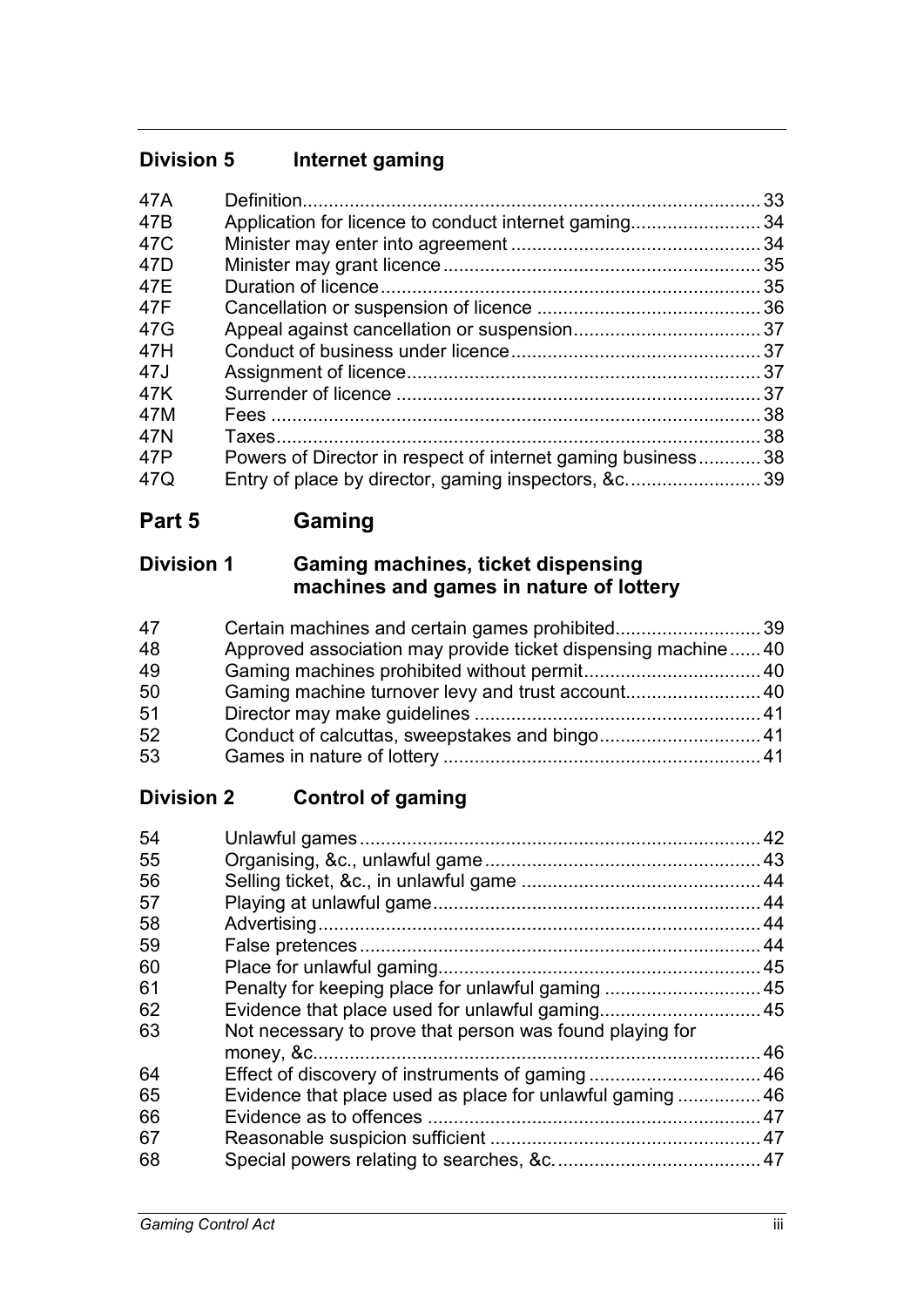# **Division 5 Internet gaming**

| 47A |                                                           | 33   |
|-----|-----------------------------------------------------------|------|
| 47B | Application for licence to conduct internet gaming        | 34   |
| 47C |                                                           | 34   |
| 47D |                                                           | 35   |
| 47E |                                                           | 35   |
| 47F |                                                           | . 36 |
| 47G |                                                           |      |
| 47H |                                                           |      |
| 47J |                                                           |      |
| 47K |                                                           | 37   |
| 47M |                                                           | 38   |
| 47N |                                                           | 38   |
| 47P | Powers of Director in respect of internet gaming business | 38   |
| 47Q | Entry of place by director, gaming inspectors, &c39       |      |

# **Part 5 Gaming**

# **Division 1 Gaming machines, ticket dispensing machines and games in nature of lottery**

| 47 | Certain machines and certain games prohibited39              |  |
|----|--------------------------------------------------------------|--|
| 48 | Approved association may provide ticket dispensing machine40 |  |
| 49 |                                                              |  |
| 50 | Gaming machine turnover levy and trust account 40            |  |
| 51 |                                                              |  |
| 52 | Conduct of calcuttas, sweepstakes and bingo 41               |  |
| 53 |                                                              |  |

# **Division 2 Control of gaming**

| 54 |                                                           | 42 |
|----|-----------------------------------------------------------|----|
| 55 |                                                           |    |
| 56 |                                                           |    |
| 57 |                                                           |    |
| 58 |                                                           |    |
| 59 |                                                           |    |
| 60 |                                                           |    |
| 61 | Penalty for keeping place for unlawful gaming  45         |    |
| 62 |                                                           |    |
| 63 | Not necessary to prove that person was found playing for  |    |
|    |                                                           | 46 |
| 64 |                                                           |    |
| 65 | Evidence that place used as place for unlawful gaming  46 |    |
| 66 |                                                           |    |
| 67 |                                                           |    |
| 68 |                                                           |    |
|    |                                                           |    |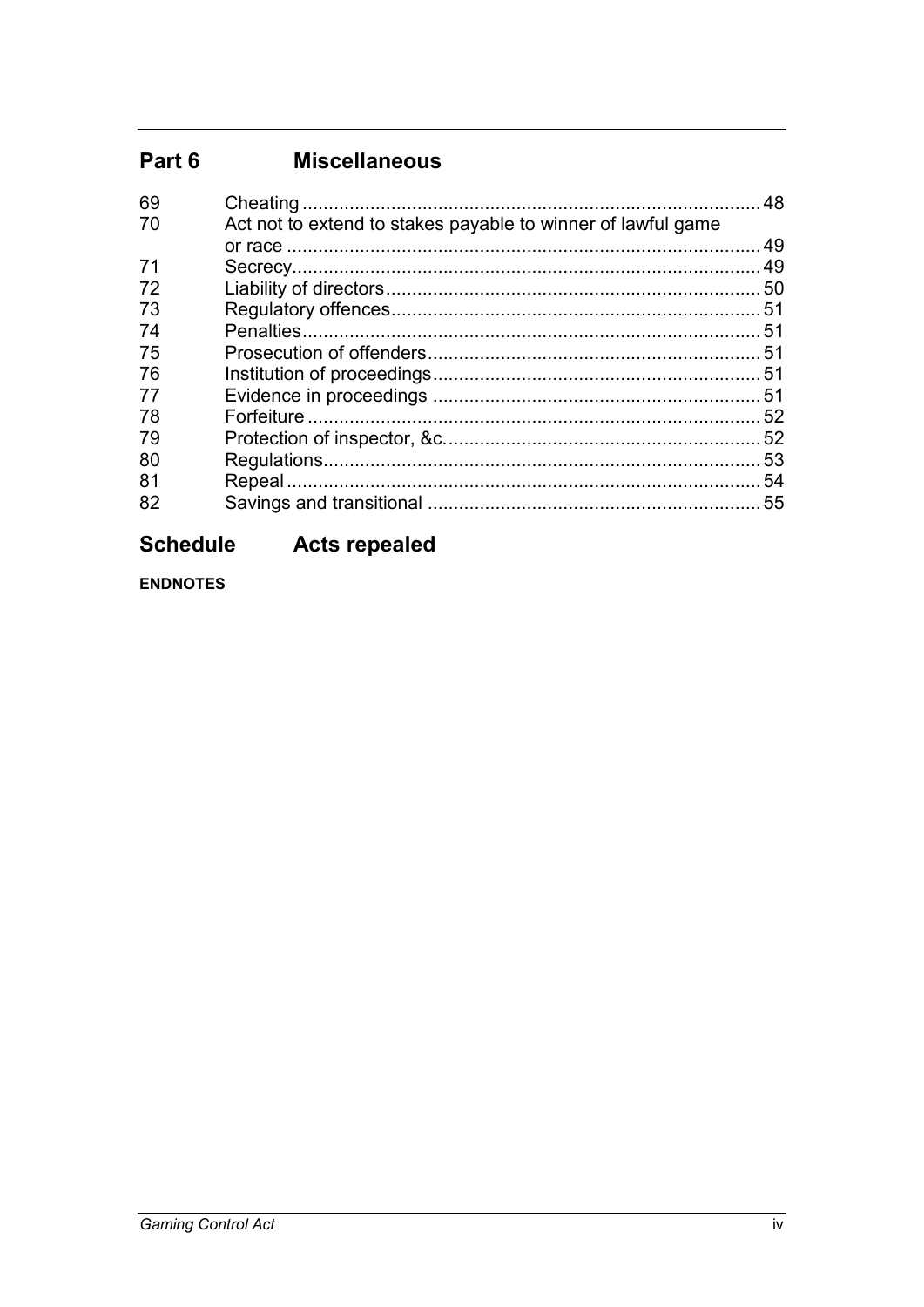#### **Miscellaneous** Part 6

| 48                                                           |
|--------------------------------------------------------------|
| Act not to extend to stakes payable to winner of lawful game |
| 49                                                           |
|                                                              |
| .50                                                          |
|                                                              |
| 51                                                           |
|                                                              |
|                                                              |
| 51                                                           |
| 52                                                           |
|                                                              |
| 53                                                           |
| 54                                                           |
| 55                                                           |
|                                                              |

#### **Schedule Acts repealed**

**ENDNOTES**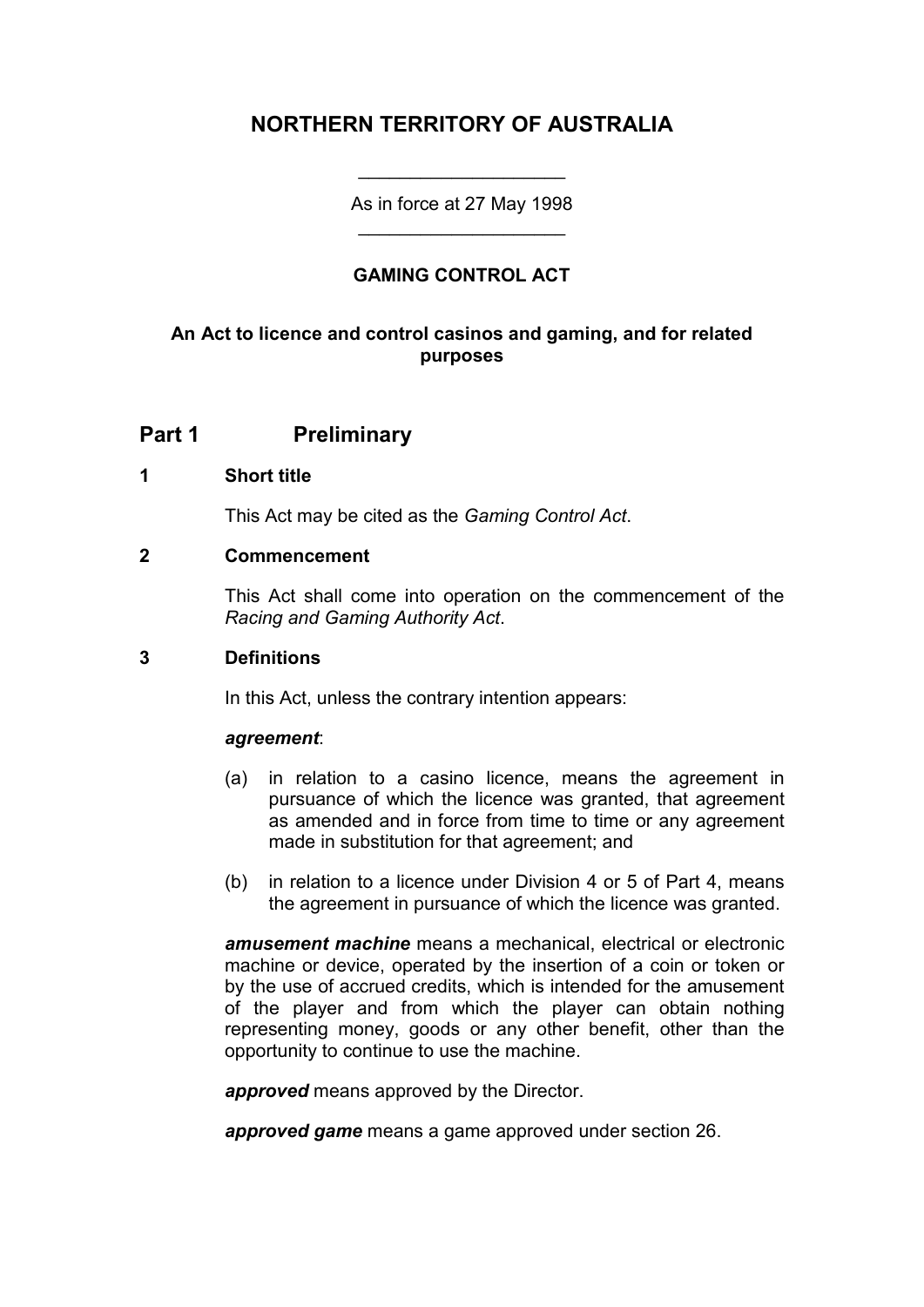# **NORTHERN TERRITORY OF AUSTRALIA**

As in force at 27 May 1998 \_\_\_\_\_\_\_\_\_\_\_\_\_\_\_\_\_\_\_\_

\_\_\_\_\_\_\_\_\_\_\_\_\_\_\_\_\_\_\_\_

### **GAMING CONTROL ACT**

### **An Act to licence and control casinos and gaming, and for related purposes**

**Part 1 Preliminary**

#### **1 Short title**

This Act may be cited as the *Gaming Control Act*.

#### **2 Commencement**

This Act shall come into operation on the commencement of the *Racing and Gaming Authority Act*.

#### **3 Definitions**

In this Act, unless the contrary intention appears:

#### *agreement*:

- (a) in relation to a casino licence, means the agreement in pursuance of which the licence was granted, that agreement as amended and in force from time to time or any agreement made in substitution for that agreement; and
- (b) in relation to a licence under Division 4 or 5 of Part 4, means the agreement in pursuance of which the licence was granted.

*amusement machine* means a mechanical, electrical or electronic machine or device, operated by the insertion of a coin or token or by the use of accrued credits, which is intended for the amusement of the player and from which the player can obtain nothing representing money, goods or any other benefit, other than the opportunity to continue to use the machine.

*approved* means approved by the Director.

*approved game* means a game approved under section 26.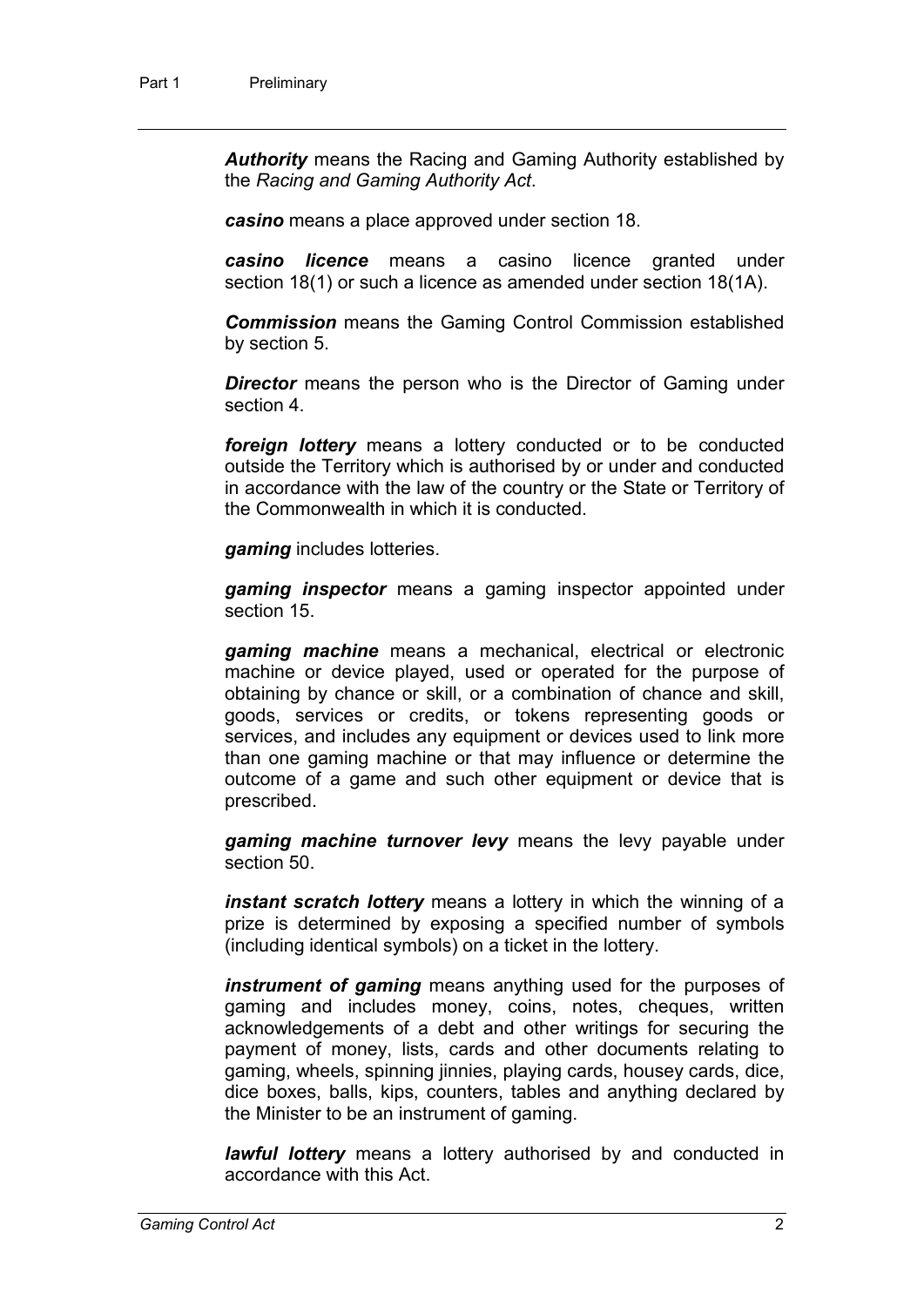*Authority* means the Racing and Gaming Authority established by the *Racing and Gaming Authority Act*.

*casino* means a place approved under section 18.

*casino licence* means a casino licence granted under section 18(1) or such a licence as amended under section 18(1A).

*Commission* means the Gaming Control Commission established by section 5.

**Director** means the person who is the Director of Gaming under section 4.

*foreign lottery* means a lottery conducted or to be conducted outside the Territory which is authorised by or under and conducted in accordance with the law of the country or the State or Territory of the Commonwealth in which it is conducted.

*gaming* includes lotteries.

*gaming inspector* means a gaming inspector appointed under section 15.

*gaming machine* means a mechanical, electrical or electronic machine or device played, used or operated for the purpose of obtaining by chance or skill, or a combination of chance and skill, goods, services or credits, or tokens representing goods or services, and includes any equipment or devices used to link more than one gaming machine or that may influence or determine the outcome of a game and such other equipment or device that is prescribed.

*gaming machine turnover levy* means the levy payable under section 50.

*instant scratch lottery* means a lottery in which the winning of a prize is determined by exposing a specified number of symbols (including identical symbols) on a ticket in the lottery.

*instrument of gaming* means anything used for the purposes of gaming and includes money, coins, notes, cheques, written acknowledgements of a debt and other writings for securing the payment of money, lists, cards and other documents relating to gaming, wheels, spinning jinnies, playing cards, housey cards, dice, dice boxes, balls, kips, counters, tables and anything declared by the Minister to be an instrument of gaming.

*lawful lottery* means a lottery authorised by and conducted in accordance with this Act.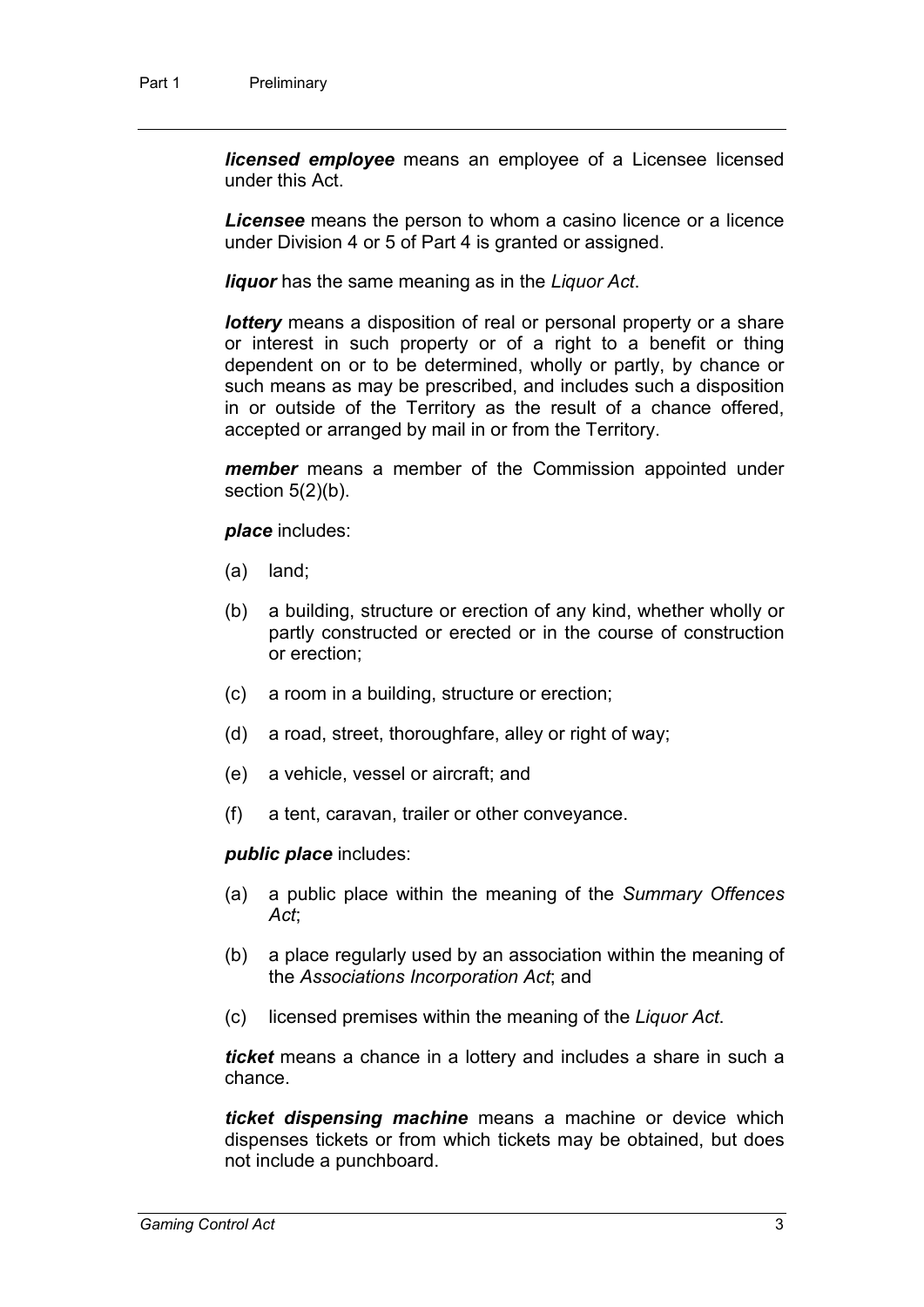*licensed employee* means an employee of a Licensee licensed under this Act.

*Licensee* means the person to whom a casino licence or a licence under Division 4 or 5 of Part 4 is granted or assigned.

*liquor* has the same meaning as in the *Liquor Act*.

*lottery* means a disposition of real or personal property or a share or interest in such property or of a right to a benefit or thing dependent on or to be determined, wholly or partly, by chance or such means as may be prescribed, and includes such a disposition in or outside of the Territory as the result of a chance offered, accepted or arranged by mail in or from the Territory.

*member* means a member of the Commission appointed under section  $5(2)(b)$ .

*place* includes:

- (a) land;
- (b) a building, structure or erection of any kind, whether wholly or partly constructed or erected or in the course of construction or erection;
- (c) a room in a building, structure or erection;
- (d) a road, street, thoroughfare, alley or right of way;
- (e) a vehicle, vessel or aircraft; and
- (f) a tent, caravan, trailer or other conveyance.

*public place* includes:

- (a) a public place within the meaning of the *Summary Offences Act*;
- (b) a place regularly used by an association within the meaning of the *Associations Incorporation Act*; and
- (c) licensed premises within the meaning of the *Liquor Act*.

*ticket* means a chance in a lottery and includes a share in such a chance.

*ticket dispensing machine* means a machine or device which dispenses tickets or from which tickets may be obtained, but does not include a punchboard.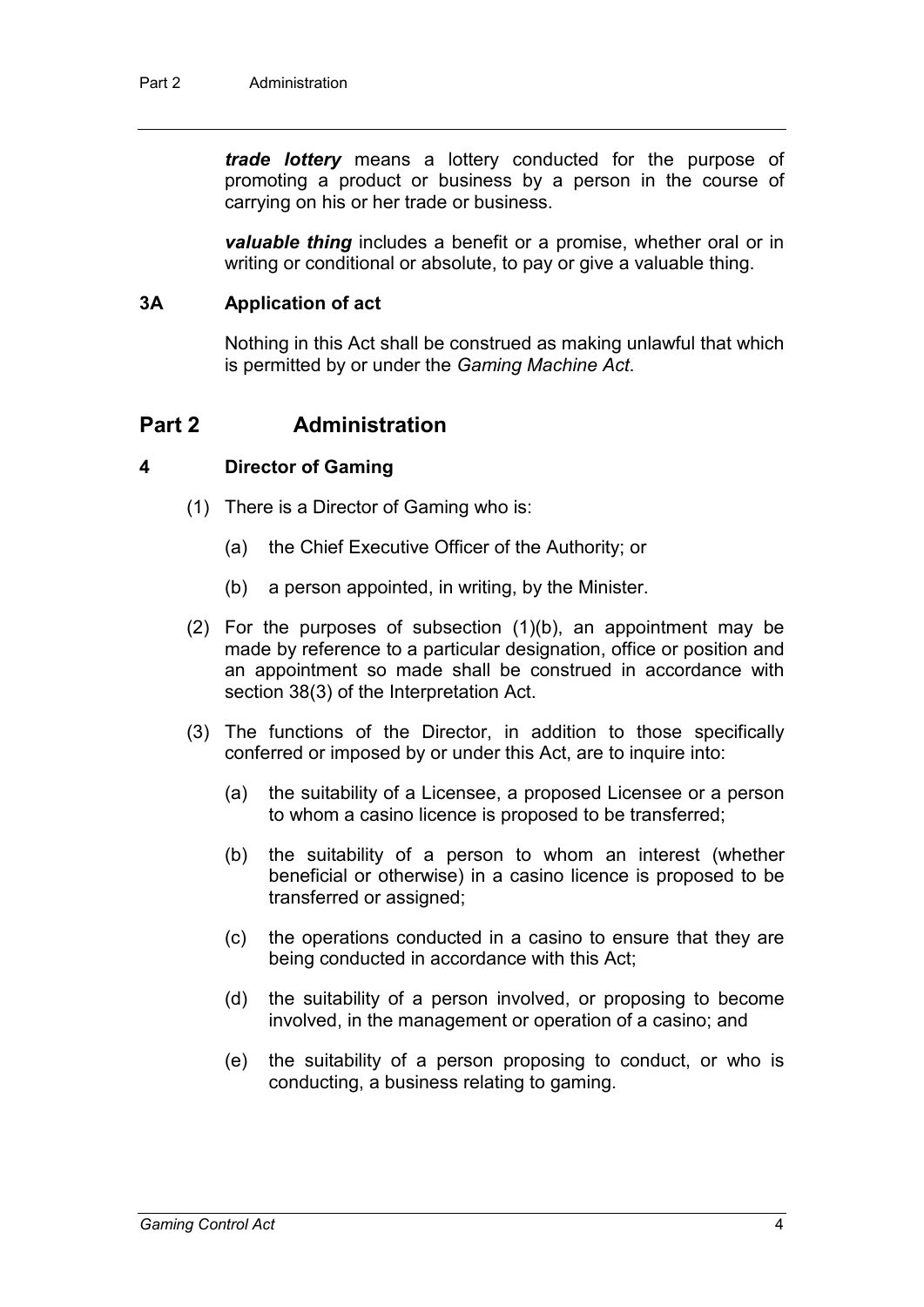*trade lottery* means a lottery conducted for the purpose of promoting a product or business by a person in the course of carrying on his or her trade or business.

*valuable thing* includes a benefit or a promise, whether oral or in writing or conditional or absolute, to pay or give a valuable thing.

#### **3A Application of act**

Nothing in this Act shall be construed as making unlawful that which is permitted by or under the *Gaming Machine Act*.

### **Part 2 Administration**

#### **4 Director of Gaming**

- (1) There is a Director of Gaming who is:
	- (a) the Chief Executive Officer of the Authority; or
	- (b) a person appointed, in writing, by the Minister.
- (2) For the purposes of subsection (1)(b), an appointment may be made by reference to a particular designation, office or position and an appointment so made shall be construed in accordance with section 38(3) of the Interpretation Act.
- (3) The functions of the Director, in addition to those specifically conferred or imposed by or under this Act, are to inquire into:
	- (a) the suitability of a Licensee, a proposed Licensee or a person to whom a casino licence is proposed to be transferred;
	- (b) the suitability of a person to whom an interest (whether beneficial or otherwise) in a casino licence is proposed to be transferred or assigned;
	- (c) the operations conducted in a casino to ensure that they are being conducted in accordance with this Act;
	- (d) the suitability of a person involved, or proposing to become involved, in the management or operation of a casino; and
	- (e) the suitability of a person proposing to conduct, or who is conducting, a business relating to gaming.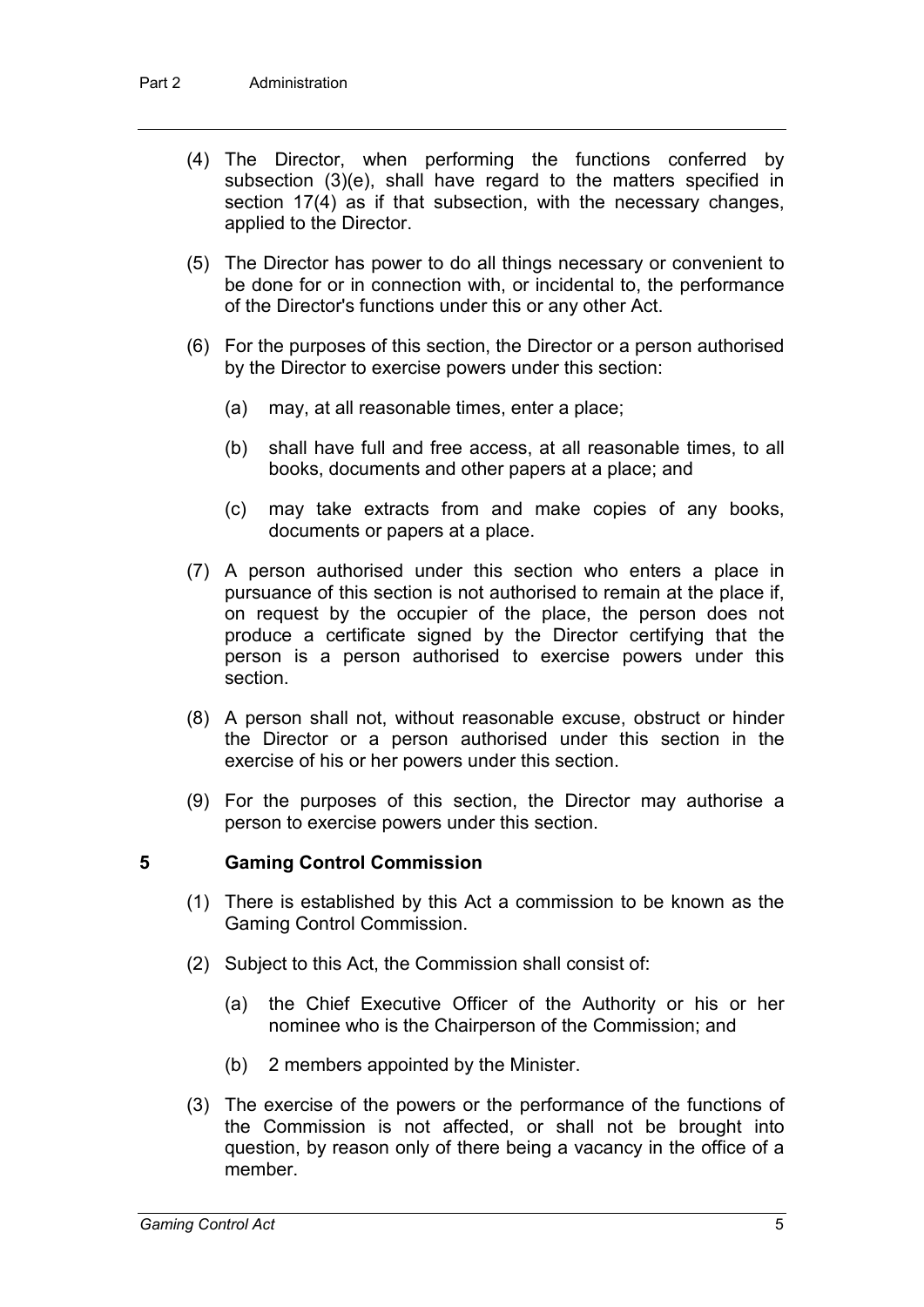- (4) The Director, when performing the functions conferred by subsection (3)(e), shall have regard to the matters specified in section 17(4) as if that subsection, with the necessary changes, applied to the Director.
- (5) The Director has power to do all things necessary or convenient to be done for or in connection with, or incidental to, the performance of the Director's functions under this or any other Act.
- (6) For the purposes of this section, the Director or a person authorised by the Director to exercise powers under this section:
	- (a) may, at all reasonable times, enter a place;
	- (b) shall have full and free access, at all reasonable times, to all books, documents and other papers at a place; and
	- (c) may take extracts from and make copies of any books, documents or papers at a place.
- (7) A person authorised under this section who enters a place in pursuance of this section is not authorised to remain at the place if, on request by the occupier of the place, the person does not produce a certificate signed by the Director certifying that the person is a person authorised to exercise powers under this section.
- (8) A person shall not, without reasonable excuse, obstruct or hinder the Director or a person authorised under this section in the exercise of his or her powers under this section.
- (9) For the purposes of this section, the Director may authorise a person to exercise powers under this section.

#### **5 Gaming Control Commission**

- (1) There is established by this Act a commission to be known as the Gaming Control Commission.
- (2) Subject to this Act, the Commission shall consist of:
	- (a) the Chief Executive Officer of the Authority or his or her nominee who is the Chairperson of the Commission; and
	- (b) 2 members appointed by the Minister.
- (3) The exercise of the powers or the performance of the functions of the Commission is not affected, or shall not be brought into question, by reason only of there being a vacancy in the office of a member.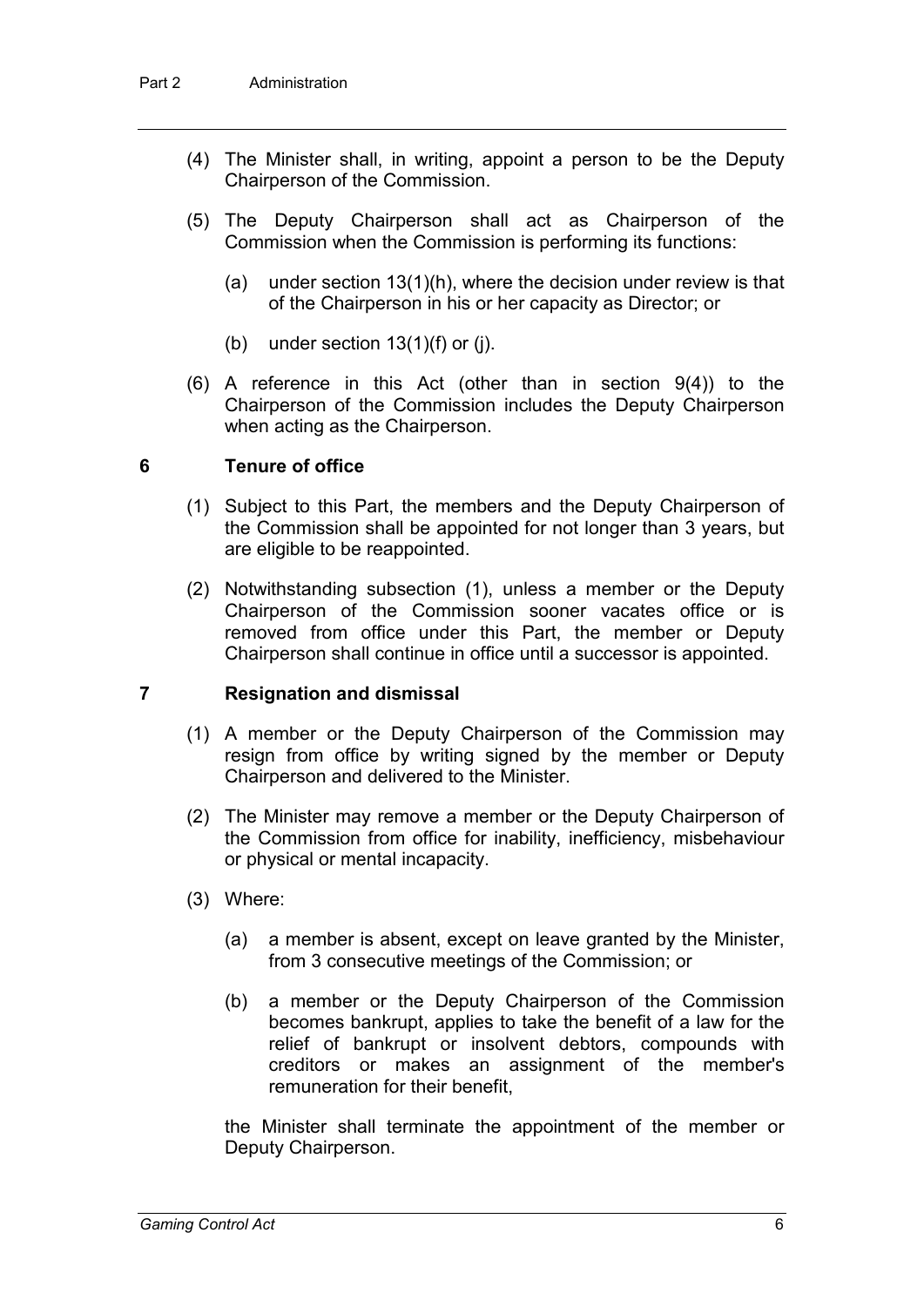- (4) The Minister shall, in writing, appoint a person to be the Deputy Chairperson of the Commission.
- (5) The Deputy Chairperson shall act as Chairperson of the Commission when the Commission is performing its functions:
	- (a) under section 13(1)(h), where the decision under review is that of the Chairperson in his or her capacity as Director; or
	- (b) under section  $13(1)(f)$  or (j).
- (6) A reference in this Act (other than in section 9(4)) to the Chairperson of the Commission includes the Deputy Chairperson when acting as the Chairperson.

#### **6 Tenure of office**

- (1) Subject to this Part, the members and the Deputy Chairperson of the Commission shall be appointed for not longer than 3 years, but are eligible to be reappointed.
- (2) Notwithstanding subsection (1), unless a member or the Deputy Chairperson of the Commission sooner vacates office or is removed from office under this Part, the member or Deputy Chairperson shall continue in office until a successor is appointed.

#### **7 Resignation and dismissal**

- (1) A member or the Deputy Chairperson of the Commission may resign from office by writing signed by the member or Deputy Chairperson and delivered to the Minister.
- (2) The Minister may remove a member or the Deputy Chairperson of the Commission from office for inability, inefficiency, misbehaviour or physical or mental incapacity.
- (3) Where:
	- (a) a member is absent, except on leave granted by the Minister, from 3 consecutive meetings of the Commission; or
	- (b) a member or the Deputy Chairperson of the Commission becomes bankrupt, applies to take the benefit of a law for the relief of bankrupt or insolvent debtors, compounds with creditors or makes an assignment of the member's remuneration for their benefit,

the Minister shall terminate the appointment of the member or Deputy Chairperson.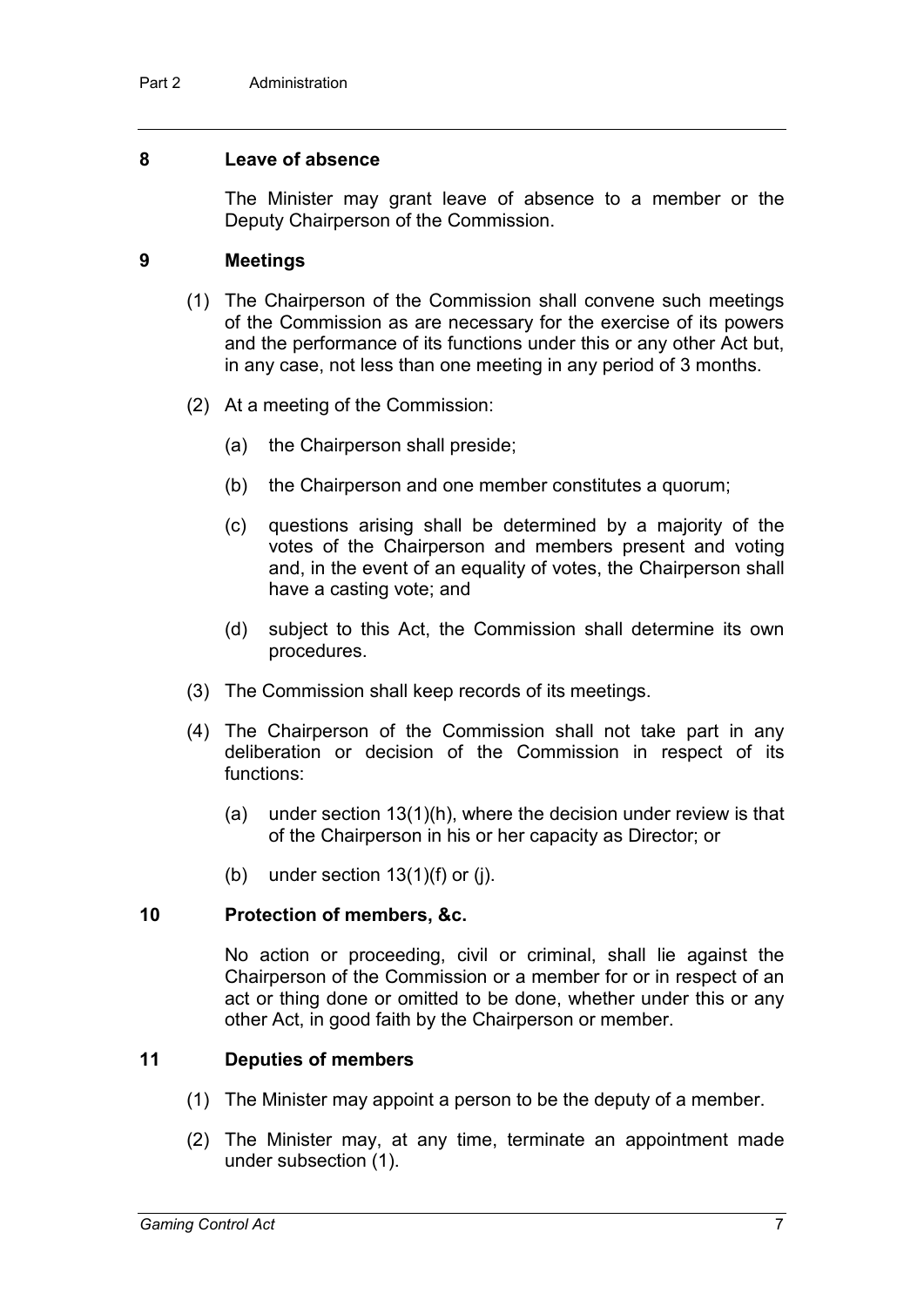#### **8 Leave of absence**

The Minister may grant leave of absence to a member or the Deputy Chairperson of the Commission.

#### **9 Meetings**

- (1) The Chairperson of the Commission shall convene such meetings of the Commission as are necessary for the exercise of its powers and the performance of its functions under this or any other Act but, in any case, not less than one meeting in any period of 3 months.
- (2) At a meeting of the Commission:
	- (a) the Chairperson shall preside;
	- (b) the Chairperson and one member constitutes a quorum;
	- (c) questions arising shall be determined by a majority of the votes of the Chairperson and members present and voting and, in the event of an equality of votes, the Chairperson shall have a casting vote; and
	- (d) subject to this Act, the Commission shall determine its own procedures.
- (3) The Commission shall keep records of its meetings.
- (4) The Chairperson of the Commission shall not take part in any deliberation or decision of the Commission in respect of its functions:
	- (a) under section 13(1)(h), where the decision under review is that of the Chairperson in his or her capacity as Director; or
	- (b) under section  $13(1)(f)$  or (i).

#### **10 Protection of members, &c.**

No action or proceeding, civil or criminal, shall lie against the Chairperson of the Commission or a member for or in respect of an act or thing done or omitted to be done, whether under this or any other Act, in good faith by the Chairperson or member.

#### **11 Deputies of members**

- (1) The Minister may appoint a person to be the deputy of a member.
- (2) The Minister may, at any time, terminate an appointment made under subsection (1).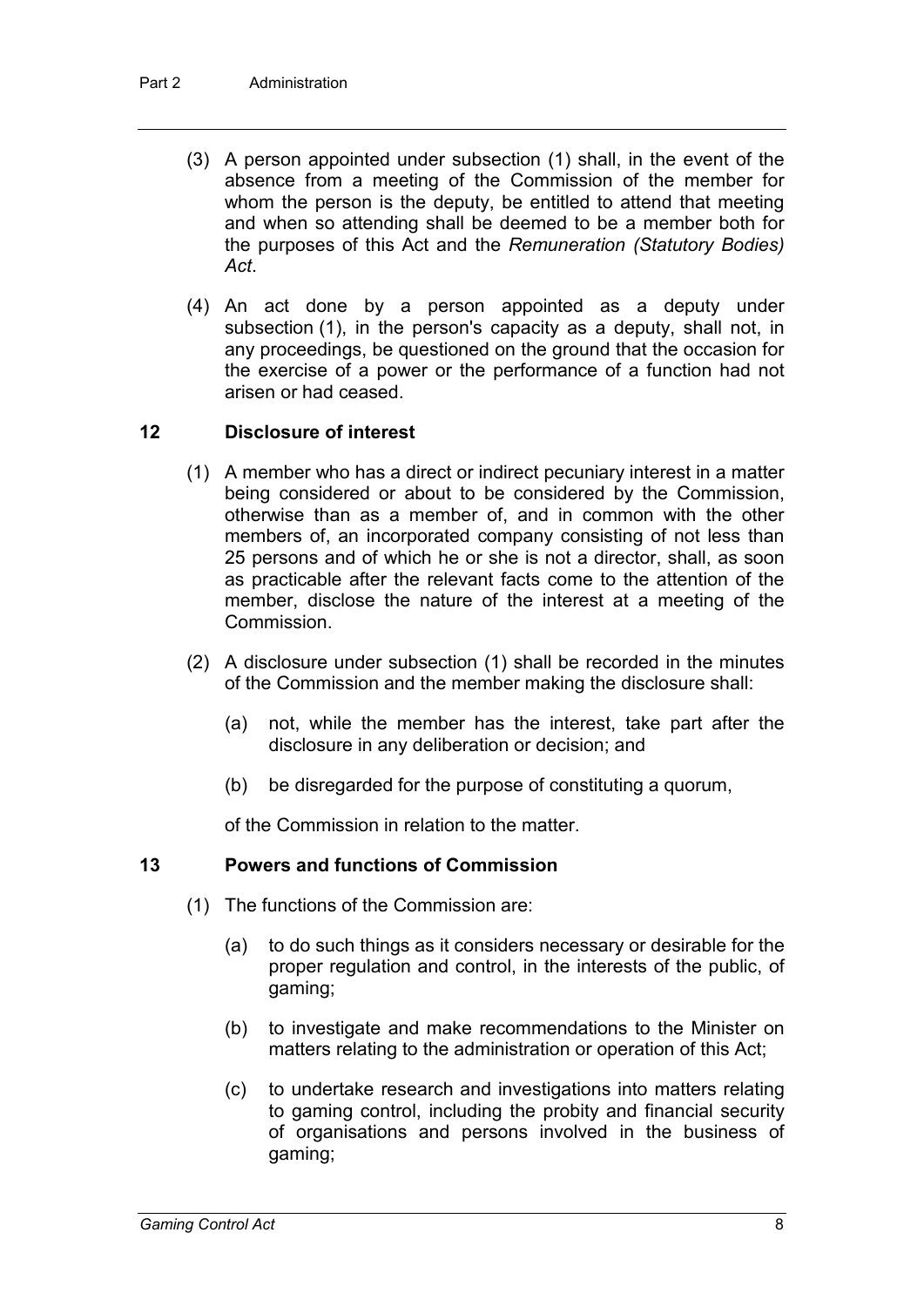- (3) A person appointed under subsection (1) shall, in the event of the absence from a meeting of the Commission of the member for whom the person is the deputy, be entitled to attend that meeting and when so attending shall be deemed to be a member both for the purposes of this Act and the *Remuneration (Statutory Bodies) Act*.
- (4) An act done by a person appointed as a deputy under subsection (1), in the person's capacity as a deputy, shall not, in any proceedings, be questioned on the ground that the occasion for the exercise of a power or the performance of a function had not arisen or had ceased.

#### **12 Disclosure of interest**

- (1) A member who has a direct or indirect pecuniary interest in a matter being considered or about to be considered by the Commission, otherwise than as a member of, and in common with the other members of, an incorporated company consisting of not less than 25 persons and of which he or she is not a director, shall, as soon as practicable after the relevant facts come to the attention of the member, disclose the nature of the interest at a meeting of the Commission.
- (2) A disclosure under subsection (1) shall be recorded in the minutes of the Commission and the member making the disclosure shall:
	- (a) not, while the member has the interest, take part after the disclosure in any deliberation or decision; and
	- (b) be disregarded for the purpose of constituting a quorum,

of the Commission in relation to the matter.

#### **13 Powers and functions of Commission**

- (1) The functions of the Commission are:
	- (a) to do such things as it considers necessary or desirable for the proper regulation and control, in the interests of the public, of gaming;
	- (b) to investigate and make recommendations to the Minister on matters relating to the administration or operation of this Act;
	- (c) to undertake research and investigations into matters relating to gaming control, including the probity and financial security of organisations and persons involved in the business of gaming;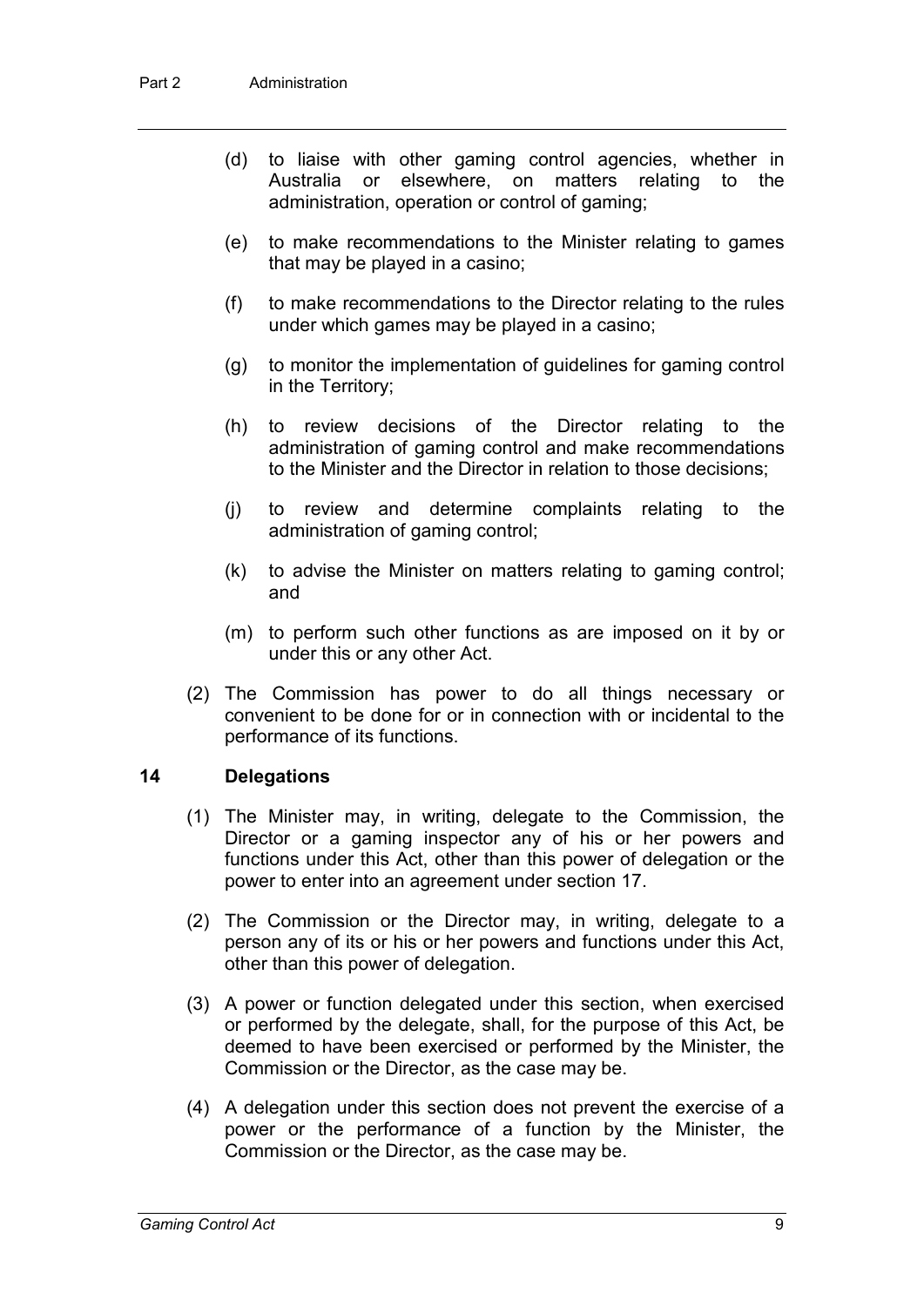- (d) to liaise with other gaming control agencies, whether in Australia or elsewhere, on matters relating to the administration, operation or control of gaming;
- (e) to make recommendations to the Minister relating to games that may be played in a casino;
- (f) to make recommendations to the Director relating to the rules under which games may be played in a casino;
- (g) to monitor the implementation of guidelines for gaming control in the Territory;
- (h) to review decisions of the Director relating to the administration of gaming control and make recommendations to the Minister and the Director in relation to those decisions;
- (j) to review and determine complaints relating to the administration of gaming control;
- (k) to advise the Minister on matters relating to gaming control; and
- (m) to perform such other functions as are imposed on it by or under this or any other Act.
- (2) The Commission has power to do all things necessary or convenient to be done for or in connection with or incidental to the performance of its functions.

#### **14 Delegations**

- (1) The Minister may, in writing, delegate to the Commission, the Director or a gaming inspector any of his or her powers and functions under this Act, other than this power of delegation or the power to enter into an agreement under section 17.
- (2) The Commission or the Director may, in writing, delegate to a person any of its or his or her powers and functions under this Act, other than this power of delegation.
- (3) A power or function delegated under this section, when exercised or performed by the delegate, shall, for the purpose of this Act, be deemed to have been exercised or performed by the Minister, the Commission or the Director, as the case may be.
- (4) A delegation under this section does not prevent the exercise of a power or the performance of a function by the Minister, the Commission or the Director, as the case may be.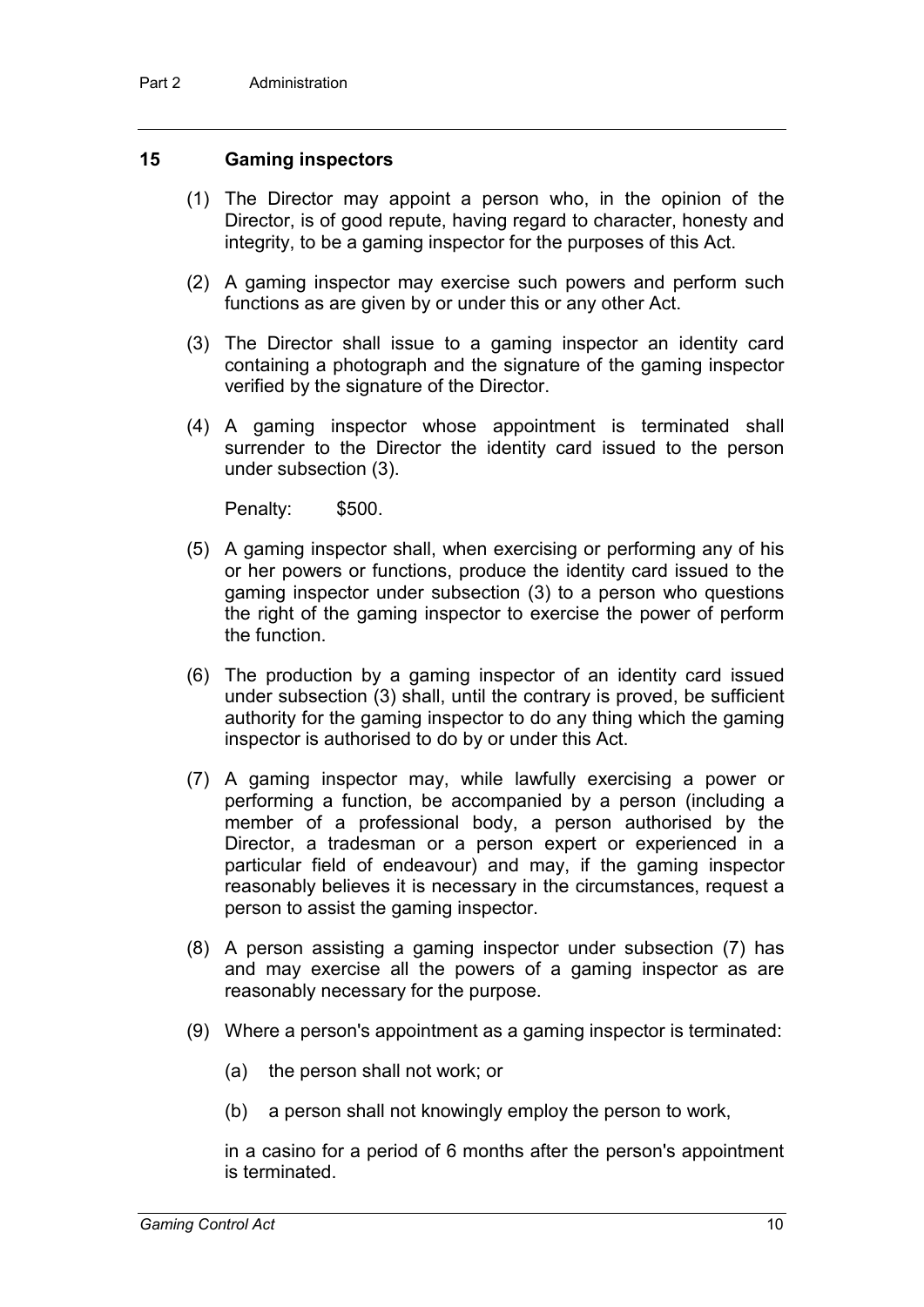#### **15 Gaming inspectors**

- (1) The Director may appoint a person who, in the opinion of the Director, is of good repute, having regard to character, honesty and integrity, to be a gaming inspector for the purposes of this Act.
- (2) A gaming inspector may exercise such powers and perform such functions as are given by or under this or any other Act.
- (3) The Director shall issue to a gaming inspector an identity card containing a photograph and the signature of the gaming inspector verified by the signature of the Director.
- (4) A gaming inspector whose appointment is terminated shall surrender to the Director the identity card issued to the person under subsection (3).

Penalty: \$500.

- (5) A gaming inspector shall, when exercising or performing any of his or her powers or functions, produce the identity card issued to the gaming inspector under subsection (3) to a person who questions the right of the gaming inspector to exercise the power of perform the function.
- (6) The production by a gaming inspector of an identity card issued under subsection (3) shall, until the contrary is proved, be sufficient authority for the gaming inspector to do any thing which the gaming inspector is authorised to do by or under this Act.
- (7) A gaming inspector may, while lawfully exercising a power or performing a function, be accompanied by a person (including a member of a professional body, a person authorised by the Director, a tradesman or a person expert or experienced in a particular field of endeavour) and may, if the gaming inspector reasonably believes it is necessary in the circumstances, request a person to assist the gaming inspector.
- (8) A person assisting a gaming inspector under subsection (7) has and may exercise all the powers of a gaming inspector as are reasonably necessary for the purpose.
- (9) Where a person's appointment as a gaming inspector is terminated:
	- (a) the person shall not work; or
	- (b) a person shall not knowingly employ the person to work,

in a casino for a period of 6 months after the person's appointment is terminated.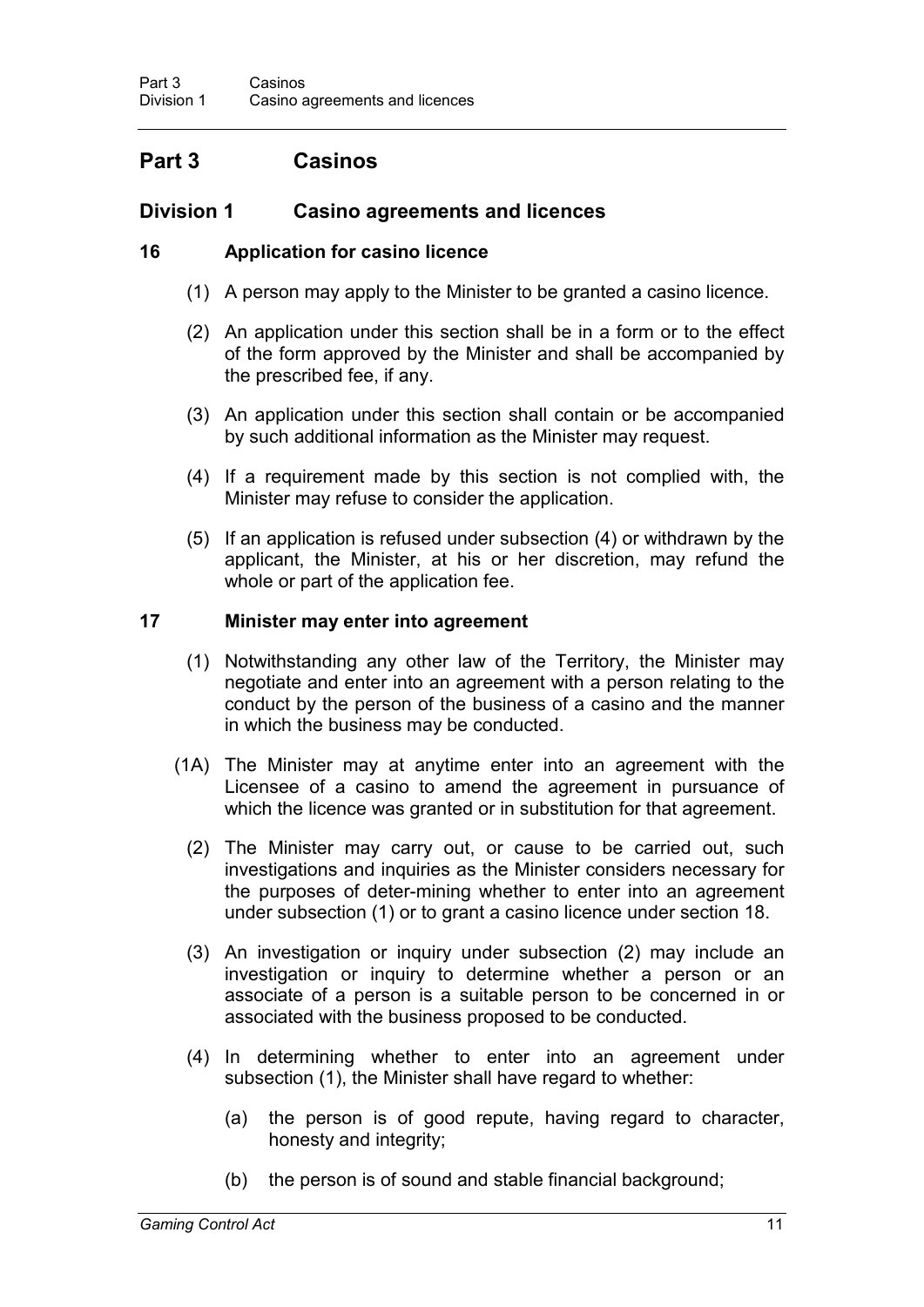## **Part 3 Casinos**

### **Division 1 Casino agreements and licences**

### **16 Application for casino licence**

- (1) A person may apply to the Minister to be granted a casino licence.
- (2) An application under this section shall be in a form or to the effect of the form approved by the Minister and shall be accompanied by the prescribed fee, if any.
- (3) An application under this section shall contain or be accompanied by such additional information as the Minister may request.
- (4) If a requirement made by this section is not complied with, the Minister may refuse to consider the application.
- (5) If an application is refused under subsection (4) or withdrawn by the applicant, the Minister, at his or her discretion, may refund the whole or part of the application fee.

#### **17 Minister may enter into agreement**

- (1) Notwithstanding any other law of the Territory, the Minister may negotiate and enter into an agreement with a person relating to the conduct by the person of the business of a casino and the manner in which the business may be conducted.
- (1A) The Minister may at anytime enter into an agreement with the Licensee of a casino to amend the agreement in pursuance of which the licence was granted or in substitution for that agreement.
	- (2) The Minister may carry out, or cause to be carried out, such investigations and inquiries as the Minister considers necessary for the purposes of deter-mining whether to enter into an agreement under subsection (1) or to grant a casino licence under section 18.
	- (3) An investigation or inquiry under subsection (2) may include an investigation or inquiry to determine whether a person or an associate of a person is a suitable person to be concerned in or associated with the business proposed to be conducted.
	- (4) In determining whether to enter into an agreement under subsection (1), the Minister shall have regard to whether:
		- (a) the person is of good repute, having regard to character, honesty and integrity;
		- (b) the person is of sound and stable financial background;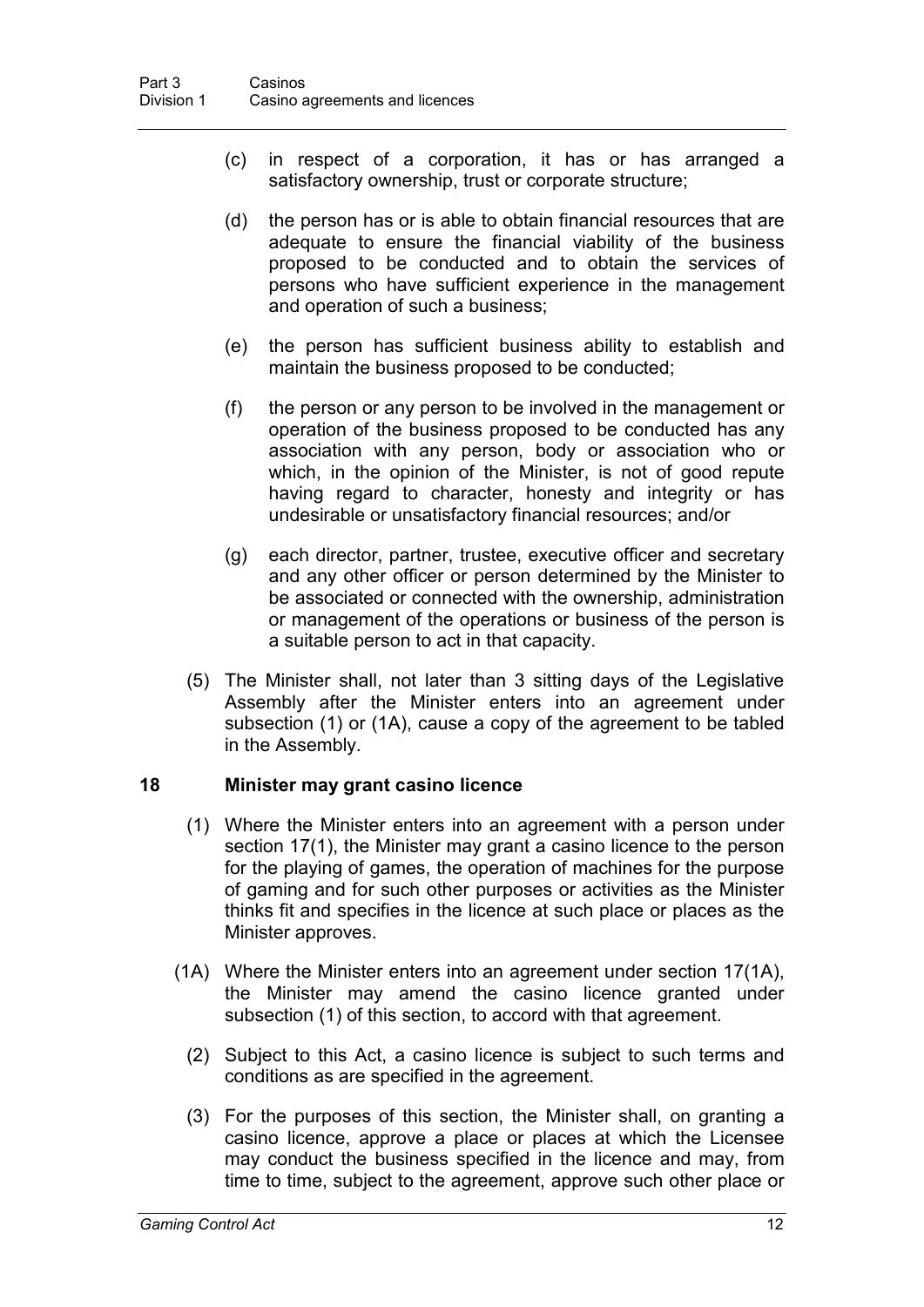- (c) in respect of a corporation, it has or has arranged a satisfactory ownership, trust or corporate structure;
- (d) the person has or is able to obtain financial resources that are adequate to ensure the financial viability of the business proposed to be conducted and to obtain the services of persons who have sufficient experience in the management and operation of such a business;
- (e) the person has sufficient business ability to establish and maintain the business proposed to be conducted;
- (f) the person or any person to be involved in the management or operation of the business proposed to be conducted has any association with any person, body or association who or which, in the opinion of the Minister, is not of good repute having regard to character, honesty and integrity or has undesirable or unsatisfactory financial resources; and/or
- (g) each director, partner, trustee, executive officer and secretary and any other officer or person determined by the Minister to be associated or connected with the ownership, administration or management of the operations or business of the person is a suitable person to act in that capacity.
- (5) The Minister shall, not later than 3 sitting days of the Legislative Assembly after the Minister enters into an agreement under subsection (1) or (1A), cause a copy of the agreement to be tabled in the Assembly.

#### **18 Minister may grant casino licence**

- (1) Where the Minister enters into an agreement with a person under section 17(1), the Minister may grant a casino licence to the person for the playing of games, the operation of machines for the purpose of gaming and for such other purposes or activities as the Minister thinks fit and specifies in the licence at such place or places as the Minister approves.
- (1A) Where the Minister enters into an agreement under section 17(1A), the Minister may amend the casino licence granted under subsection (1) of this section, to accord with that agreement.
	- (2) Subject to this Act, a casino licence is subject to such terms and conditions as are specified in the agreement.
	- (3) For the purposes of this section, the Minister shall, on granting a casino licence, approve a place or places at which the Licensee may conduct the business specified in the licence and may, from time to time, subject to the agreement, approve such other place or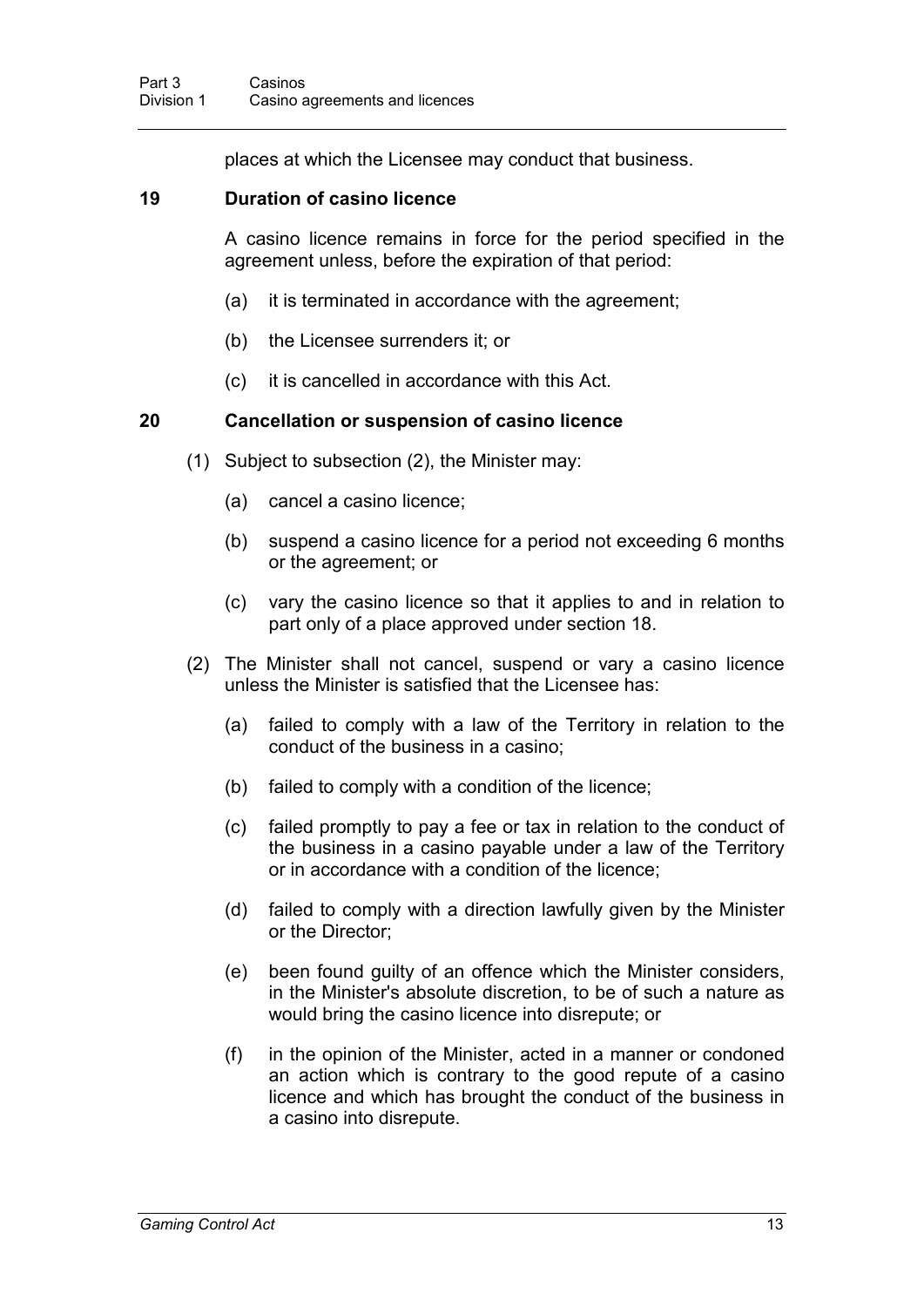places at which the Licensee may conduct that business.

#### **19 Duration of casino licence**

A casino licence remains in force for the period specified in the agreement unless, before the expiration of that period:

- (a) it is terminated in accordance with the agreement;
- (b) the Licensee surrenders it; or
- (c) it is cancelled in accordance with this Act.

#### **20 Cancellation or suspension of casino licence**

- (1) Subject to subsection (2), the Minister may:
	- (a) cancel a casino licence;
	- (b) suspend a casino licence for a period not exceeding 6 months or the agreement; or
	- (c) vary the casino licence so that it applies to and in relation to part only of a place approved under section 18.
- (2) The Minister shall not cancel, suspend or vary a casino licence unless the Minister is satisfied that the Licensee has:
	- (a) failed to comply with a law of the Territory in relation to the conduct of the business in a casino;
	- (b) failed to comply with a condition of the licence;
	- (c) failed promptly to pay a fee or tax in relation to the conduct of the business in a casino payable under a law of the Territory or in accordance with a condition of the licence;
	- (d) failed to comply with a direction lawfully given by the Minister or the Director;
	- (e) been found guilty of an offence which the Minister considers, in the Minister's absolute discretion, to be of such a nature as would bring the casino licence into disrepute; or
	- (f) in the opinion of the Minister, acted in a manner or condoned an action which is contrary to the good repute of a casino licence and which has brought the conduct of the business in a casino into disrepute.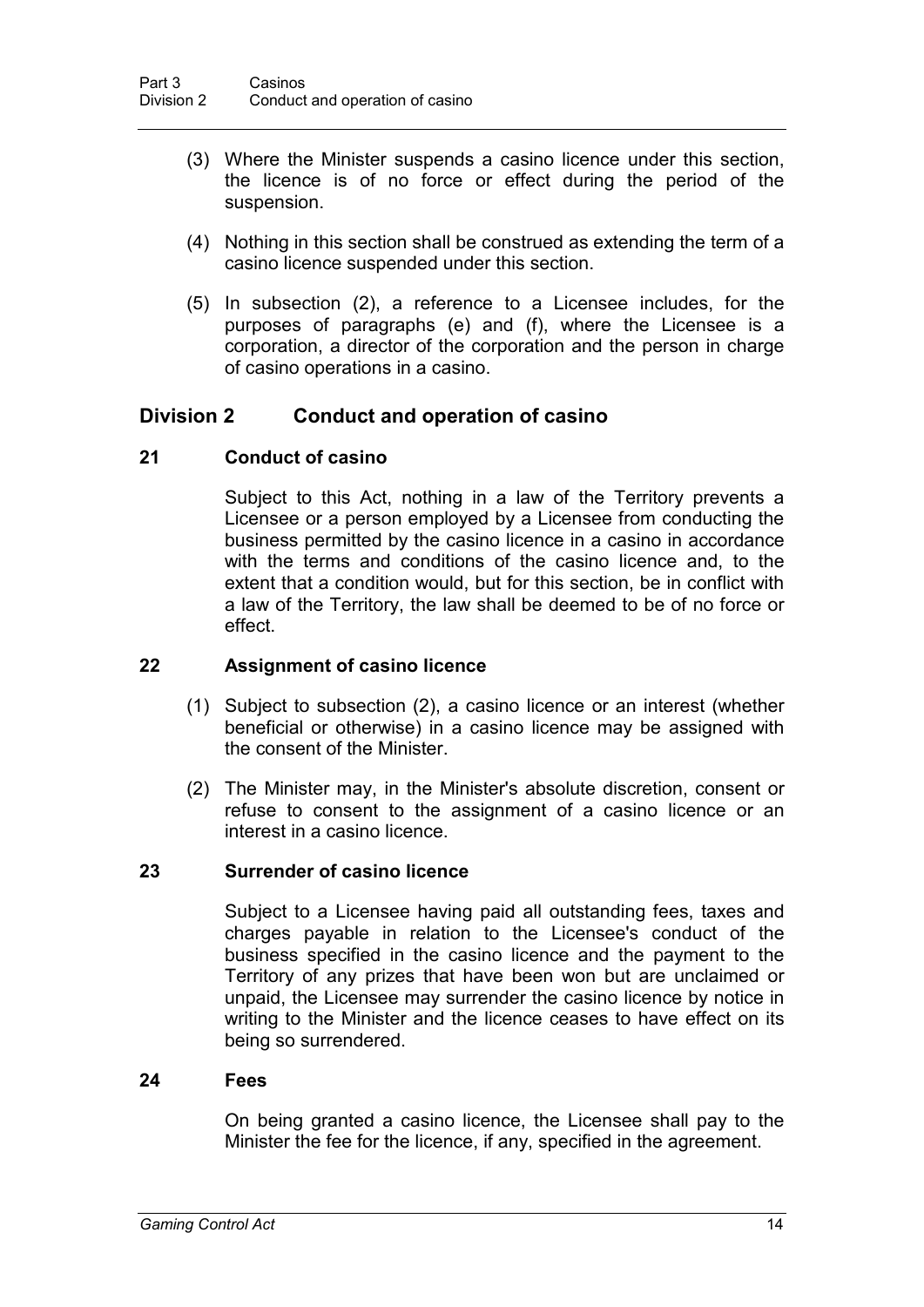- (3) Where the Minister suspends a casino licence under this section, the licence is of no force or effect during the period of the suspension.
- (4) Nothing in this section shall be construed as extending the term of a casino licence suspended under this section.
- (5) In subsection (2), a reference to a Licensee includes, for the purposes of paragraphs (e) and (f), where the Licensee is a corporation, a director of the corporation and the person in charge of casino operations in a casino.

### **Division 2 Conduct and operation of casino**

#### **21 Conduct of casino**

Subject to this Act, nothing in a law of the Territory prevents a Licensee or a person employed by a Licensee from conducting the business permitted by the casino licence in a casino in accordance with the terms and conditions of the casino licence and, to the extent that a condition would, but for this section, be in conflict with a law of the Territory, the law shall be deemed to be of no force or effect.

#### **22 Assignment of casino licence**

- (1) Subject to subsection (2), a casino licence or an interest (whether beneficial or otherwise) in a casino licence may be assigned with the consent of the Minister.
- (2) The Minister may, in the Minister's absolute discretion, consent or refuse to consent to the assignment of a casino licence or an interest in a casino licence.

#### **23 Surrender of casino licence**

Subject to a Licensee having paid all outstanding fees, taxes and charges payable in relation to the Licensee's conduct of the business specified in the casino licence and the payment to the Territory of any prizes that have been won but are unclaimed or unpaid, the Licensee may surrender the casino licence by notice in writing to the Minister and the licence ceases to have effect on its being so surrendered.

#### **24 Fees**

On being granted a casino licence, the Licensee shall pay to the Minister the fee for the licence, if any, specified in the agreement.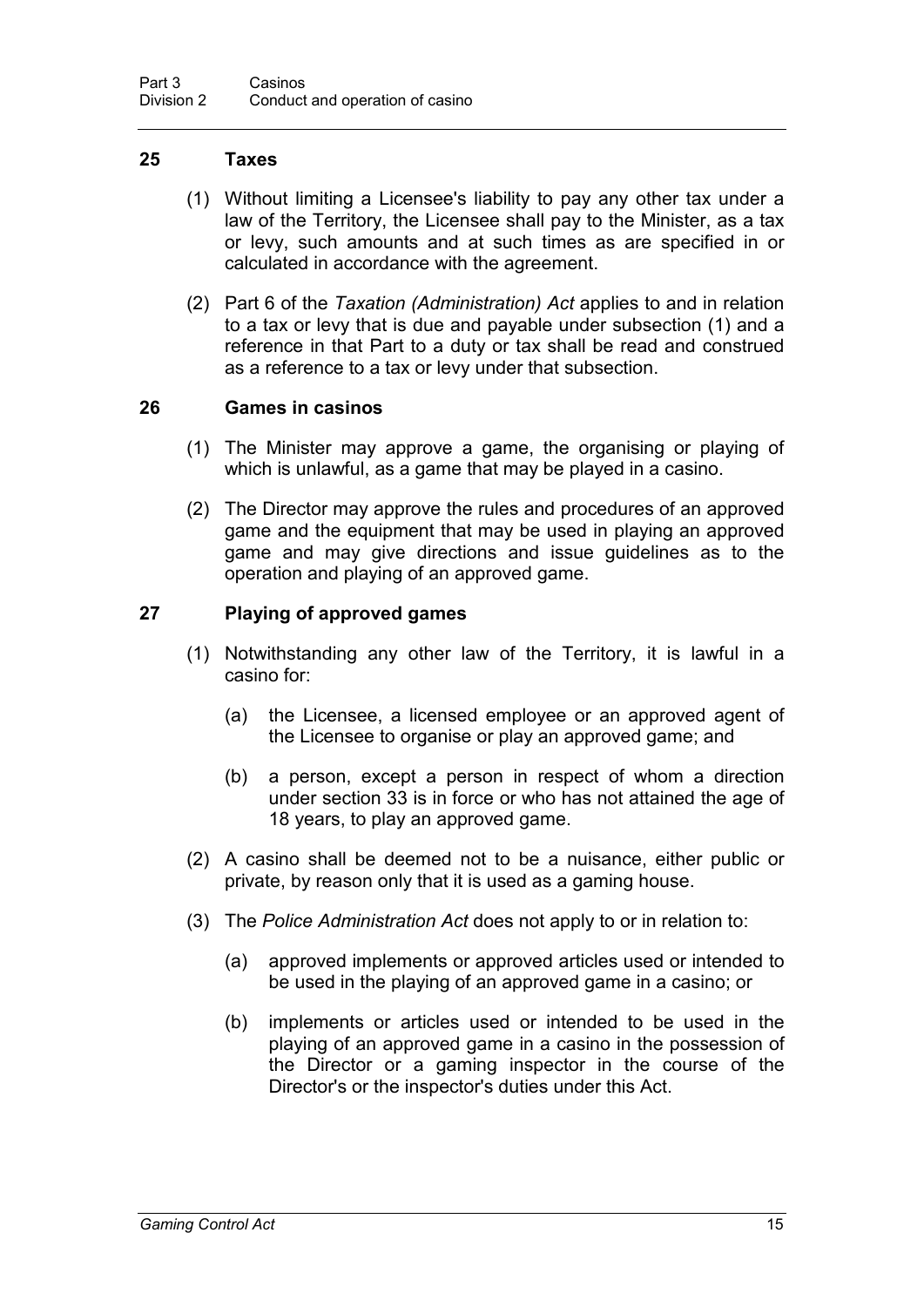#### **25 Taxes**

- (1) Without limiting a Licensee's liability to pay any other tax under a law of the Territory, the Licensee shall pay to the Minister, as a tax or levy, such amounts and at such times as are specified in or calculated in accordance with the agreement.
- (2) Part 6 of the *Taxation (Administration) Act* applies to and in relation to a tax or levy that is due and payable under subsection (1) and a reference in that Part to a duty or tax shall be read and construed as a reference to a tax or levy under that subsection.

#### **26 Games in casinos**

- (1) The Minister may approve a game, the organising or playing of which is unlawful, as a game that may be played in a casino.
- (2) The Director may approve the rules and procedures of an approved game and the equipment that may be used in playing an approved game and may give directions and issue guidelines as to the operation and playing of an approved game.

#### **27 Playing of approved games**

- (1) Notwithstanding any other law of the Territory, it is lawful in a casino for:
	- (a) the Licensee, a licensed employee or an approved agent of the Licensee to organise or play an approved game; and
	- (b) a person, except a person in respect of whom a direction under section 33 is in force or who has not attained the age of 18 years, to play an approved game.
- (2) A casino shall be deemed not to be a nuisance, either public or private, by reason only that it is used as a gaming house.
- (3) The *Police Administration Act* does not apply to or in relation to:
	- (a) approved implements or approved articles used or intended to be used in the playing of an approved game in a casino; or
	- (b) implements or articles used or intended to be used in the playing of an approved game in a casino in the possession of the Director or a gaming inspector in the course of the Director's or the inspector's duties under this Act.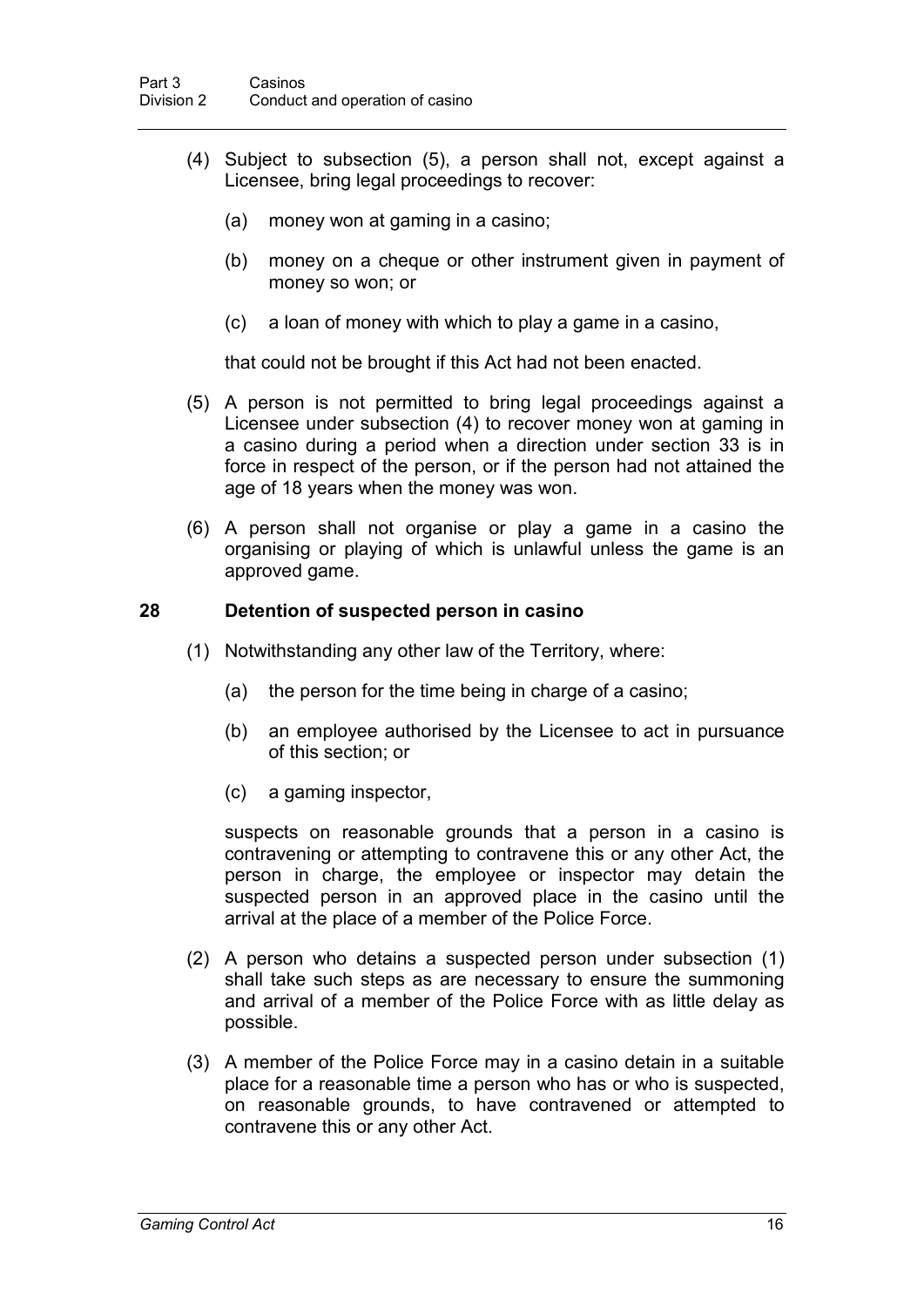- (4) Subject to subsection (5), a person shall not, except against a Licensee, bring legal proceedings to recover:
	- (a) money won at gaming in a casino;
	- (b) money on a cheque or other instrument given in payment of money so won; or
	- (c) a loan of money with which to play a game in a casino,

that could not be brought if this Act had not been enacted.

- (5) A person is not permitted to bring legal proceedings against a Licensee under subsection (4) to recover money won at gaming in a casino during a period when a direction under section 33 is in force in respect of the person, or if the person had not attained the age of 18 years when the money was won.
- (6) A person shall not organise or play a game in a casino the organising or playing of which is unlawful unless the game is an approved game.

#### **28 Detention of suspected person in casino**

- (1) Notwithstanding any other law of the Territory, where:
	- (a) the person for the time being in charge of a casino;
	- (b) an employee authorised by the Licensee to act in pursuance of this section; or
	- (c) a gaming inspector,

suspects on reasonable grounds that a person in a casino is contravening or attempting to contravene this or any other Act, the person in charge, the employee or inspector may detain the suspected person in an approved place in the casino until the arrival at the place of a member of the Police Force.

- (2) A person who detains a suspected person under subsection (1) shall take such steps as are necessary to ensure the summoning and arrival of a member of the Police Force with as little delay as possible.
- (3) A member of the Police Force may in a casino detain in a suitable place for a reasonable time a person who has or who is suspected, on reasonable grounds, to have contravened or attempted to contravene this or any other Act.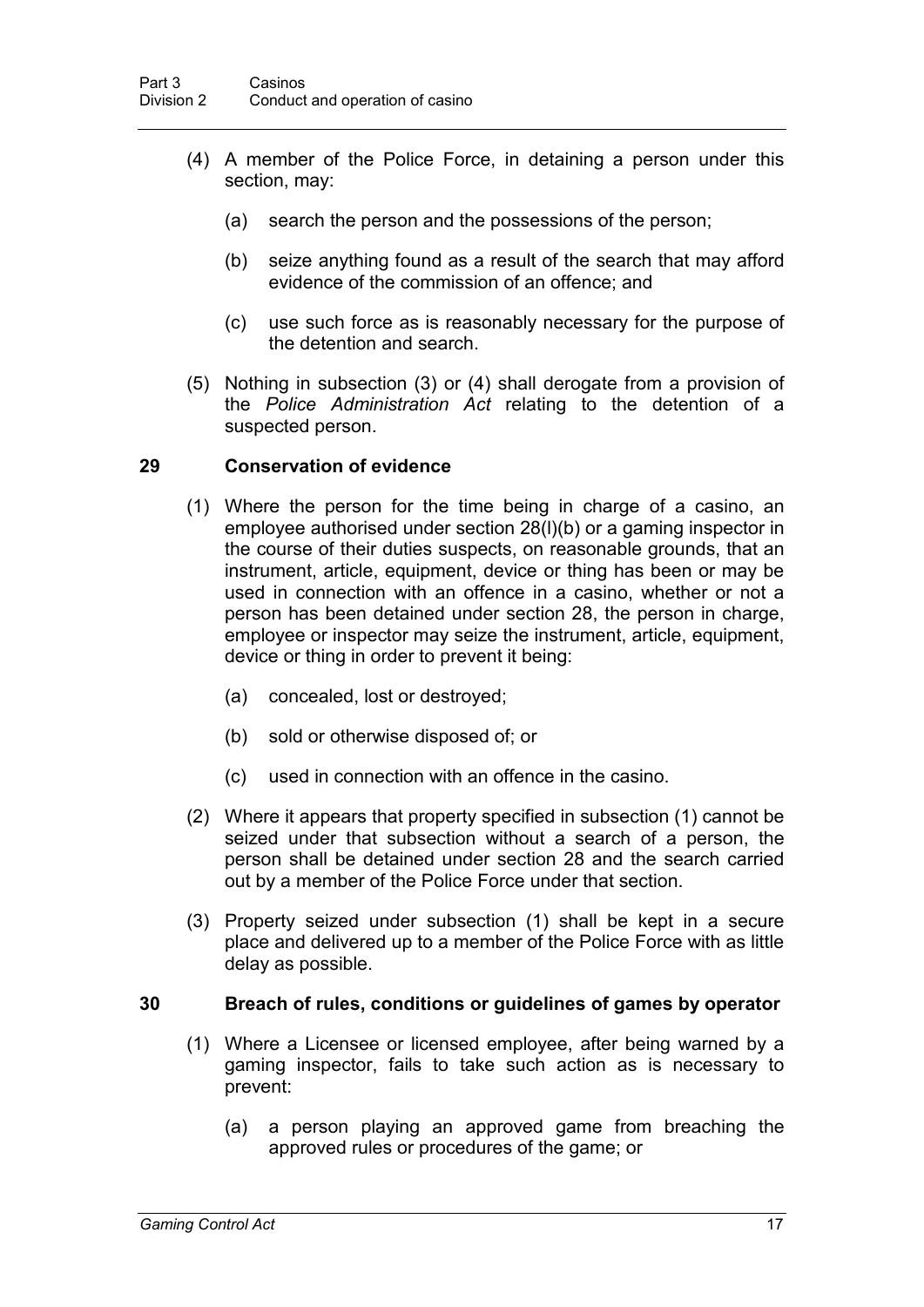- (4) A member of the Police Force, in detaining a person under this section, may:
	- (a) search the person and the possessions of the person;
	- (b) seize anything found as a result of the search that may afford evidence of the commission of an offence; and
	- (c) use such force as is reasonably necessary for the purpose of the detention and search.
- (5) Nothing in subsection (3) or (4) shall derogate from a provision of the *Police Administration Act* relating to the detention of a suspected person.

#### **29 Conservation of evidence**

- (1) Where the person for the time being in charge of a casino, an employee authorised under section 28(l)(b) or a gaming inspector in the course of their duties suspects, on reasonable grounds, that an instrument, article, equipment, device or thing has been or may be used in connection with an offence in a casino, whether or not a person has been detained under section 28, the person in charge, employee or inspector may seize the instrument, article, equipment, device or thing in order to prevent it being:
	- (a) concealed, lost or destroyed;
	- (b) sold or otherwise disposed of; or
	- (c) used in connection with an offence in the casino.
- (2) Where it appears that property specified in subsection (1) cannot be seized under that subsection without a search of a person, the person shall be detained under section 28 and the search carried out by a member of the Police Force under that section.
- (3) Property seized under subsection (1) shall be kept in a secure place and delivered up to a member of the Police Force with as little delay as possible.

#### **30 Breach of rules, conditions or guidelines of games by operator**

- (1) Where a Licensee or licensed employee, after being warned by a gaming inspector, fails to take such action as is necessary to prevent:
	- (a) a person playing an approved game from breaching the approved rules or procedures of the game; or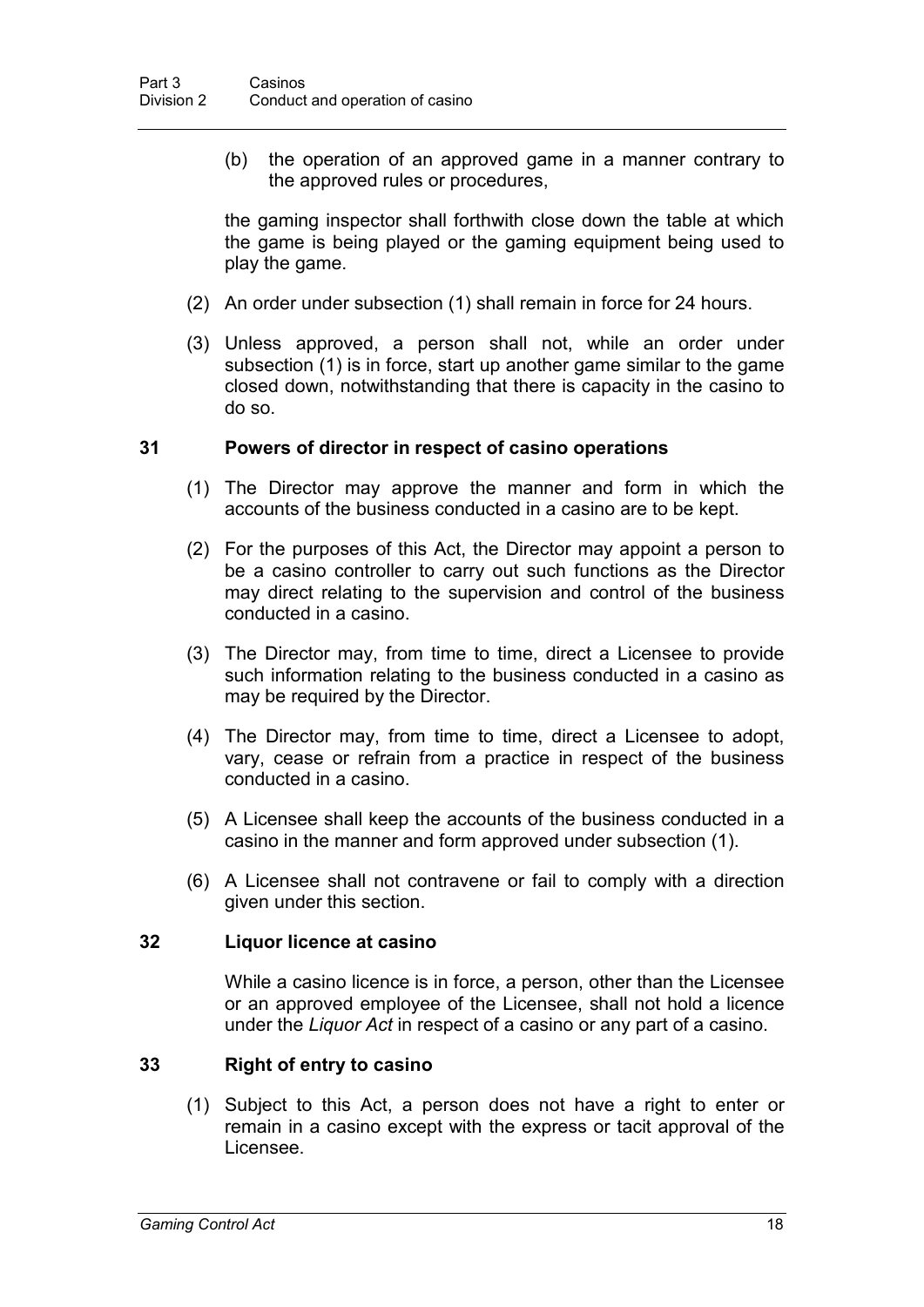(b) the operation of an approved game in a manner contrary to the approved rules or procedures,

the gaming inspector shall forthwith close down the table at which the game is being played or the gaming equipment being used to play the game.

- (2) An order under subsection (1) shall remain in force for 24 hours.
- (3) Unless approved, a person shall not, while an order under subsection (1) is in force, start up another game similar to the game closed down, notwithstanding that there is capacity in the casino to do so.

#### **31 Powers of director in respect of casino operations**

- (1) The Director may approve the manner and form in which the accounts of the business conducted in a casino are to be kept.
- (2) For the purposes of this Act, the Director may appoint a person to be a casino controller to carry out such functions as the Director may direct relating to the supervision and control of the business conducted in a casino.
- (3) The Director may, from time to time, direct a Licensee to provide such information relating to the business conducted in a casino as may be required by the Director.
- (4) The Director may, from time to time, direct a Licensee to adopt, vary, cease or refrain from a practice in respect of the business conducted in a casino.
- (5) A Licensee shall keep the accounts of the business conducted in a casino in the manner and form approved under subsection (1).
- (6) A Licensee shall not contravene or fail to comply with a direction given under this section.

#### **32 Liquor licence at casino**

While a casino licence is in force, a person, other than the Licensee or an approved employee of the Licensee, shall not hold a licence under the *Liquor Act* in respect of a casino or any part of a casino.

#### **33 Right of entry to casino**

(1) Subject to this Act, a person does not have a right to enter or remain in a casino except with the express or tacit approval of the Licensee.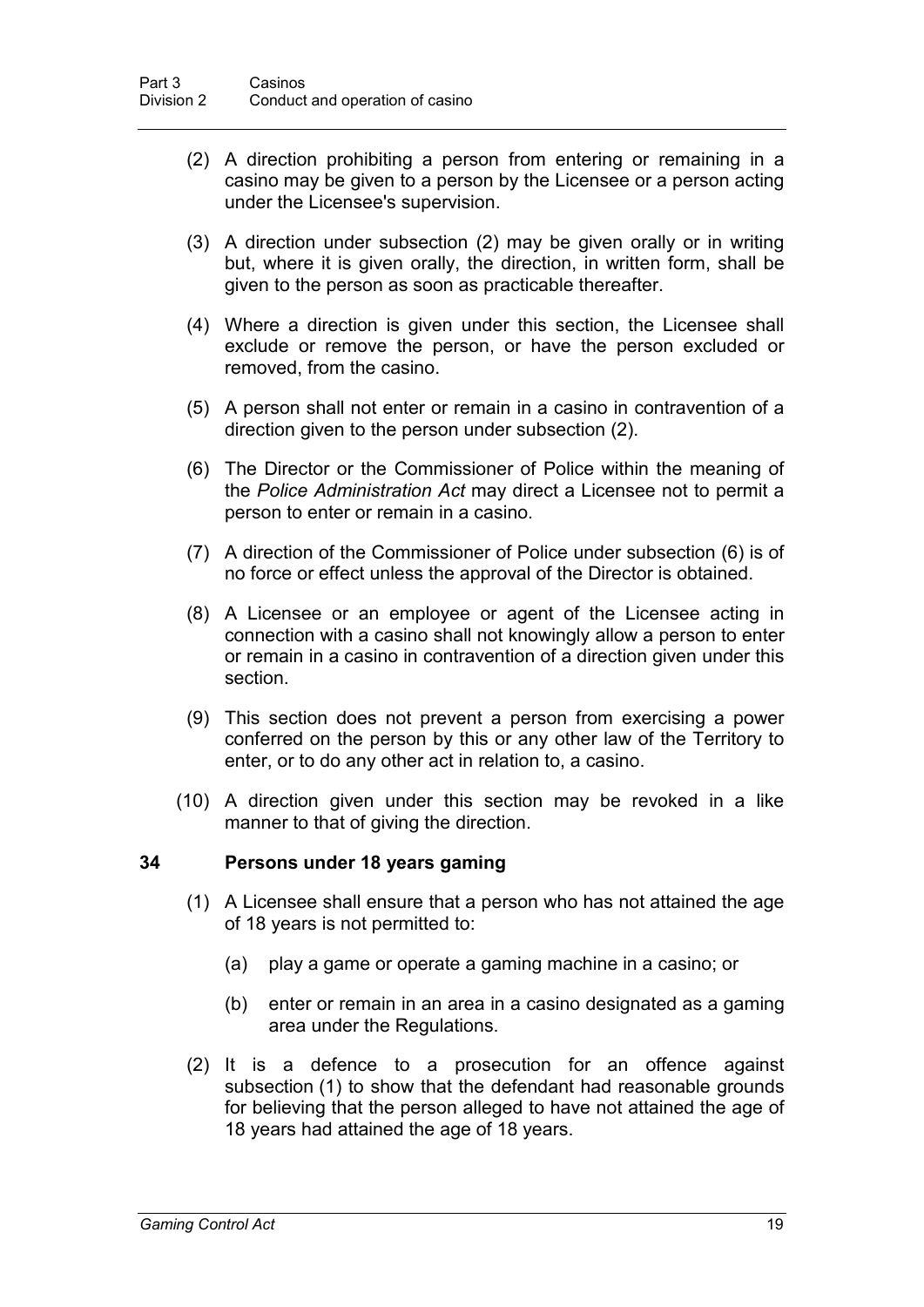- (2) A direction prohibiting a person from entering or remaining in a casino may be given to a person by the Licensee or a person acting under the Licensee's supervision.
- (3) A direction under subsection (2) may be given orally or in writing but, where it is given orally, the direction, in written form, shall be given to the person as soon as practicable thereafter.
- (4) Where a direction is given under this section, the Licensee shall exclude or remove the person, or have the person excluded or removed, from the casino.
- (5) A person shall not enter or remain in a casino in contravention of a direction given to the person under subsection (2).
- (6) The Director or the Commissioner of Police within the meaning of the *Police Administration Act* may direct a Licensee not to permit a person to enter or remain in a casino.
- (7) A direction of the Commissioner of Police under subsection (6) is of no force or effect unless the approval of the Director is obtained.
- (8) A Licensee or an employee or agent of the Licensee acting in connection with a casino shall not knowingly allow a person to enter or remain in a casino in contravention of a direction given under this section.
- (9) This section does not prevent a person from exercising a power conferred on the person by this or any other law of the Territory to enter, or to do any other act in relation to, a casino.
- (10) A direction given under this section may be revoked in a like manner to that of giving the direction.

#### **34 Persons under 18 years gaming**

- (1) A Licensee shall ensure that a person who has not attained the age of 18 years is not permitted to:
	- (a) play a game or operate a gaming machine in a casino; or
	- (b) enter or remain in an area in a casino designated as a gaming area under the Regulations.
- (2) It is a defence to a prosecution for an offence against subsection (1) to show that the defendant had reasonable grounds for believing that the person alleged to have not attained the age of 18 years had attained the age of 18 years.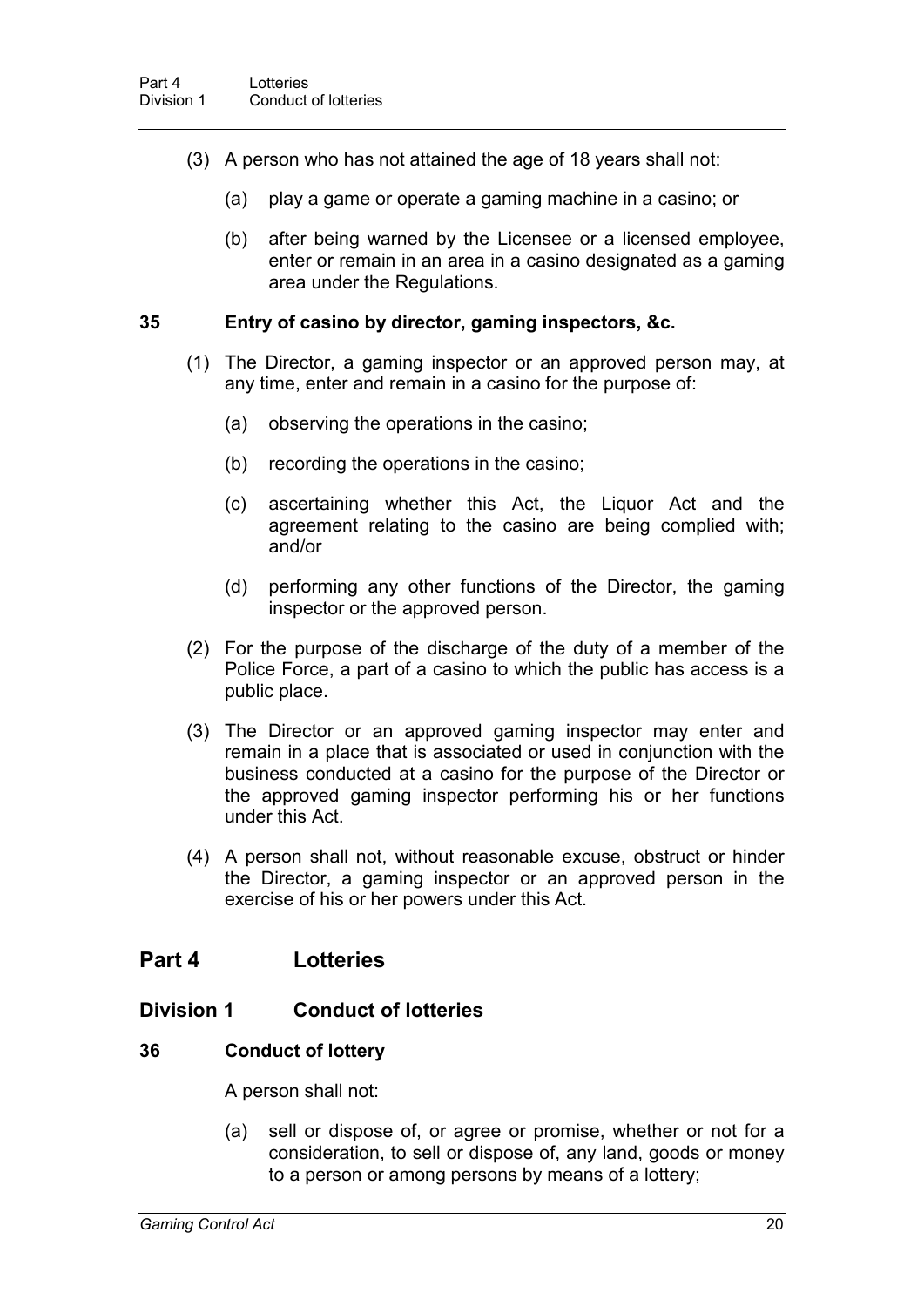- (3) A person who has not attained the age of 18 years shall not:
	- (a) play a game or operate a gaming machine in a casino; or
	- (b) after being warned by the Licensee or a licensed employee, enter or remain in an area in a casino designated as a gaming area under the Regulations.

#### **35 Entry of casino by director, gaming inspectors, &c.**

- (1) The Director, a gaming inspector or an approved person may, at any time, enter and remain in a casino for the purpose of:
	- (a) observing the operations in the casino;
	- (b) recording the operations in the casino;
	- (c) ascertaining whether this Act, the Liquor Act and the agreement relating to the casino are being complied with; and/or
	- (d) performing any other functions of the Director, the gaming inspector or the approved person.
- (2) For the purpose of the discharge of the duty of a member of the Police Force, a part of a casino to which the public has access is a public place.
- (3) The Director or an approved gaming inspector may enter and remain in a place that is associated or used in conjunction with the business conducted at a casino for the purpose of the Director or the approved gaming inspector performing his or her functions under this Act.
- (4) A person shall not, without reasonable excuse, obstruct or hinder the Director, a gaming inspector or an approved person in the exercise of his or her powers under this Act.

## **Part 4 Lotteries**

### **Division 1 Conduct of lotteries**

#### **36 Conduct of lottery**

A person shall not:

(a) sell or dispose of, or agree or promise, whether or not for a consideration, to sell or dispose of, any land, goods or money to a person or among persons by means of a lottery;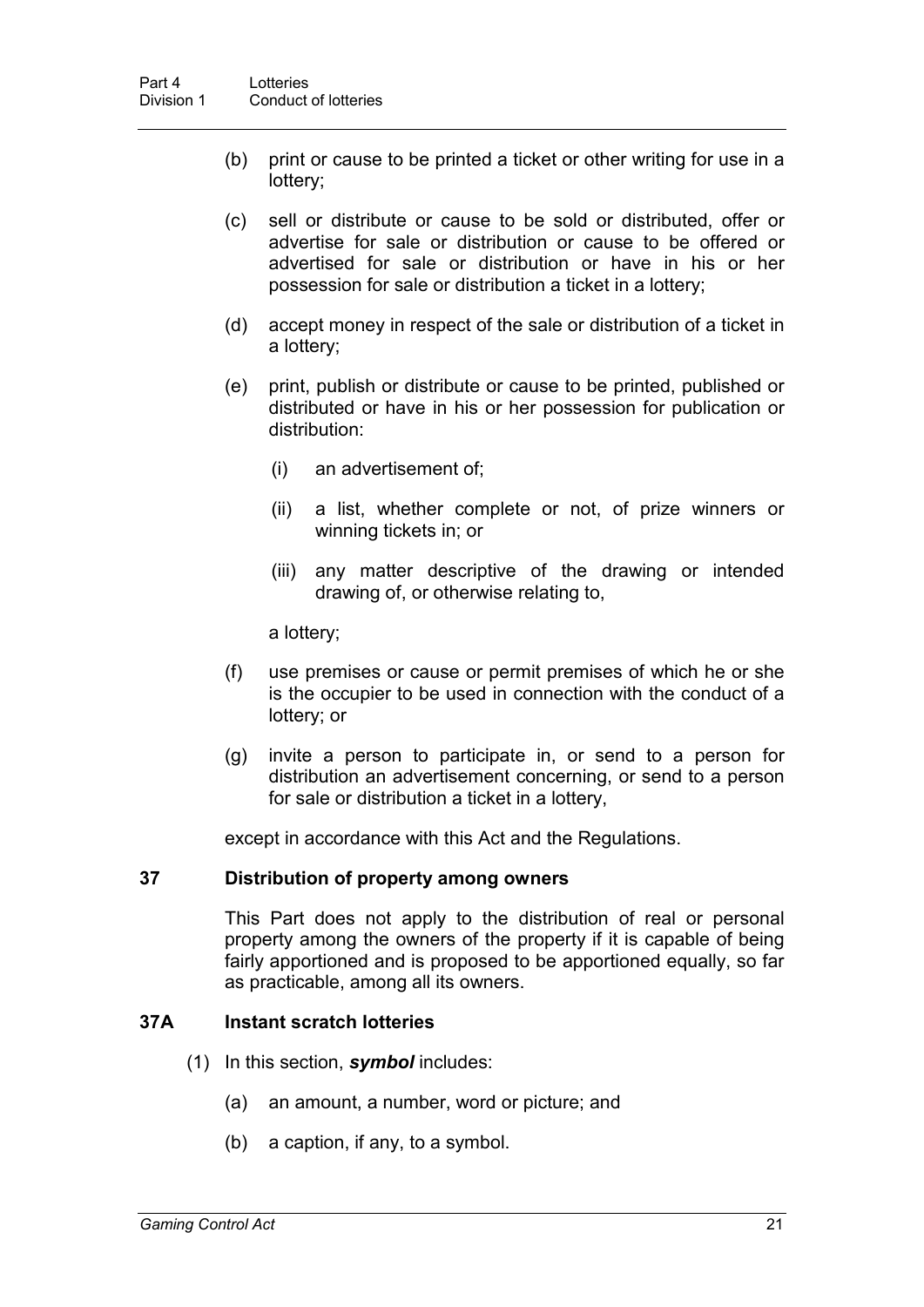- (b) print or cause to be printed a ticket or other writing for use in a lottery;
- (c) sell or distribute or cause to be sold or distributed, offer or advertise for sale or distribution or cause to be offered or advertised for sale or distribution or have in his or her possession for sale or distribution a ticket in a lottery;
- (d) accept money in respect of the sale or distribution of a ticket in a lottery;
- (e) print, publish or distribute or cause to be printed, published or distributed or have in his or her possession for publication or distribution:
	- (i) an advertisement of;
	- (ii) a list, whether complete or not, of prize winners or winning tickets in; or
	- (iii) any matter descriptive of the drawing or intended drawing of, or otherwise relating to,

a lottery;

- (f) use premises or cause or permit premises of which he or she is the occupier to be used in connection with the conduct of a lottery; or
- (g) invite a person to participate in, or send to a person for distribution an advertisement concerning, or send to a person for sale or distribution a ticket in a lottery,

except in accordance with this Act and the Regulations.

#### **37 Distribution of property among owners**

This Part does not apply to the distribution of real or personal property among the owners of the property if it is capable of being fairly apportioned and is proposed to be apportioned equally, so far as practicable, among all its owners.

#### **37A Instant scratch lotteries**

- (1) In this section, *symbol* includes:
	- (a) an amount, a number, word or picture; and
	- (b) a caption, if any, to a symbol.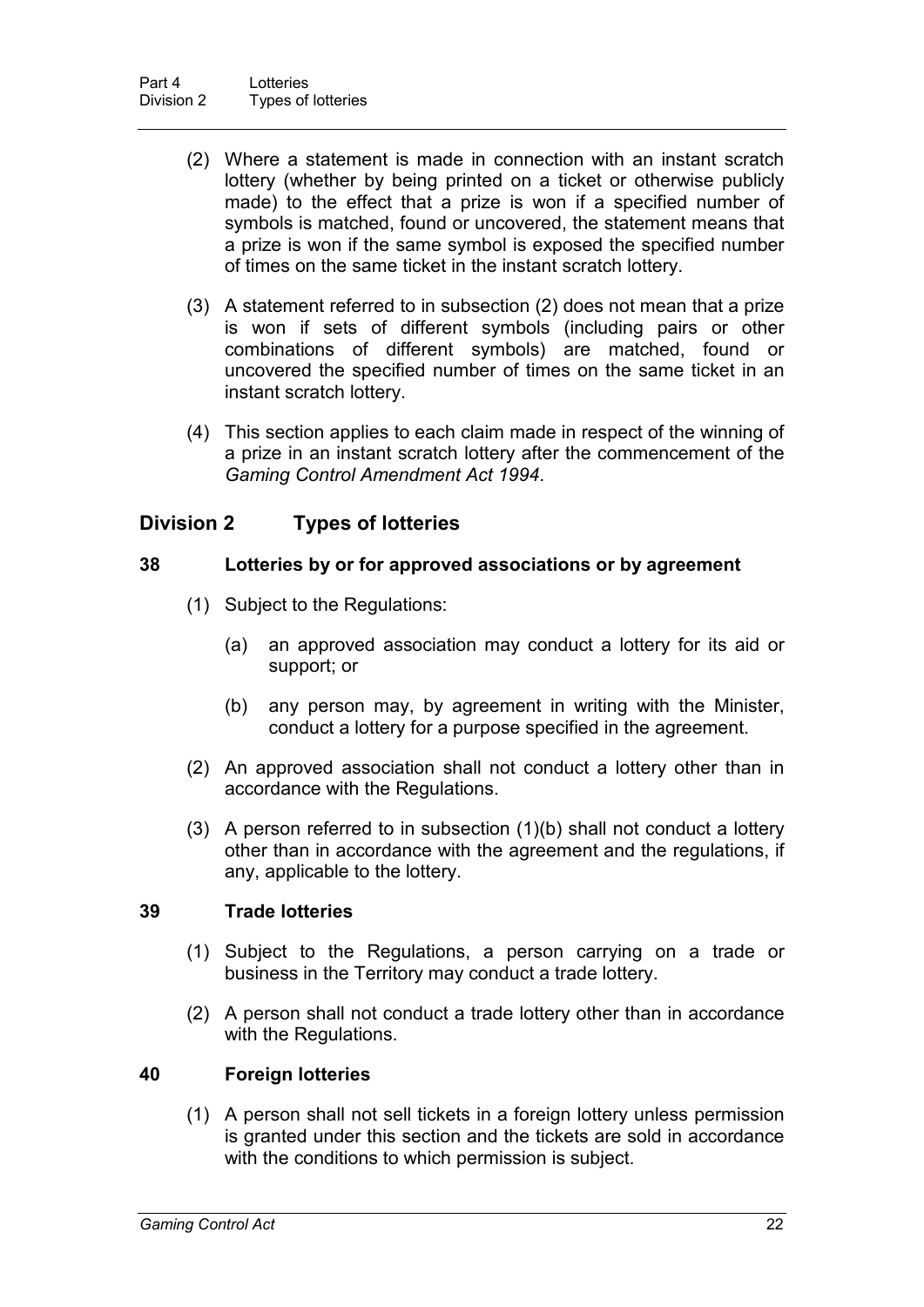- (2) Where a statement is made in connection with an instant scratch lottery (whether by being printed on a ticket or otherwise publicly made) to the effect that a prize is won if a specified number of symbols is matched, found or uncovered, the statement means that a prize is won if the same symbol is exposed the specified number of times on the same ticket in the instant scratch lottery.
- (3) A statement referred to in subsection (2) does not mean that a prize is won if sets of different symbols (including pairs or other combinations of different symbols) are matched, found or uncovered the specified number of times on the same ticket in an instant scratch lottery.
- (4) This section applies to each claim made in respect of the winning of a prize in an instant scratch lottery after the commencement of the *Gaming Control Amendment Act 1994*.

## **Division 2 Types of lotteries**

#### **38 Lotteries by or for approved associations or by agreement**

- (1) Subject to the Regulations:
	- (a) an approved association may conduct a lottery for its aid or support; or
	- (b) any person may, by agreement in writing with the Minister, conduct a lottery for a purpose specified in the agreement.
- (2) An approved association shall not conduct a lottery other than in accordance with the Regulations.
- (3) A person referred to in subsection (1)(b) shall not conduct a lottery other than in accordance with the agreement and the regulations, if any, applicable to the lottery.

#### **39 Trade lotteries**

- (1) Subject to the Regulations, a person carrying on a trade or business in the Territory may conduct a trade lottery.
- (2) A person shall not conduct a trade lottery other than in accordance with the Regulations.

#### **40 Foreign lotteries**

(1) A person shall not sell tickets in a foreign lottery unless permission is granted under this section and the tickets are sold in accordance with the conditions to which permission is subject.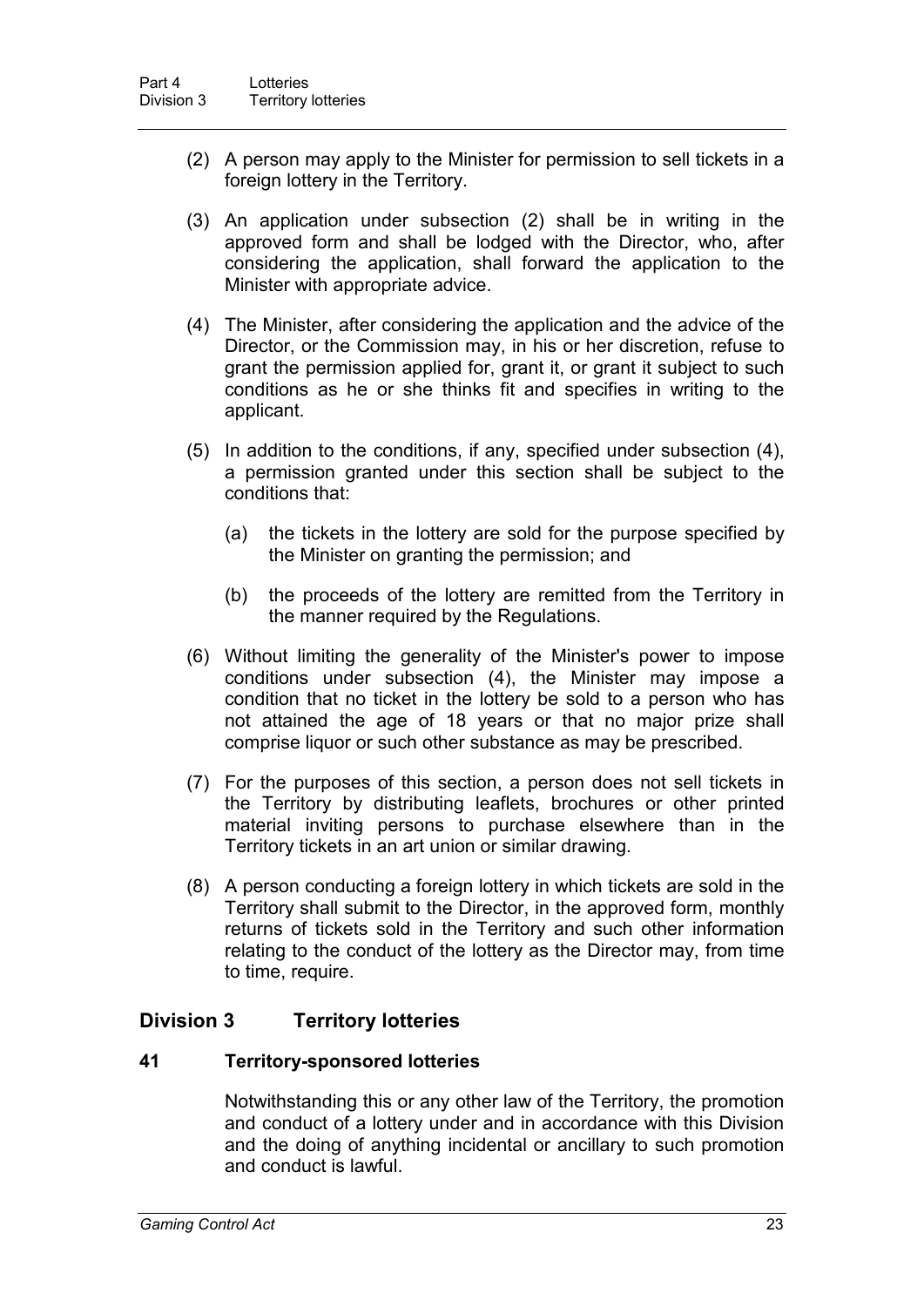- (2) A person may apply to the Minister for permission to sell tickets in a foreign lottery in the Territory.
- (3) An application under subsection (2) shall be in writing in the approved form and shall be lodged with the Director, who, after considering the application, shall forward the application to the Minister with appropriate advice.
- (4) The Minister, after considering the application and the advice of the Director, or the Commission may, in his or her discretion, refuse to grant the permission applied for, grant it, or grant it subject to such conditions as he or she thinks fit and specifies in writing to the applicant.
- (5) In addition to the conditions, if any, specified under subsection (4), a permission granted under this section shall be subject to the conditions that:
	- (a) the tickets in the lottery are sold for the purpose specified by the Minister on granting the permission; and
	- (b) the proceeds of the lottery are remitted from the Territory in the manner required by the Regulations.
- (6) Without limiting the generality of the Minister's power to impose conditions under subsection (4), the Minister may impose a condition that no ticket in the lottery be sold to a person who has not attained the age of 18 years or that no major prize shall comprise liquor or such other substance as may be prescribed.
- (7) For the purposes of this section, a person does not sell tickets in the Territory by distributing leaflets, brochures or other printed material inviting persons to purchase elsewhere than in the Territory tickets in an art union or similar drawing.
- (8) A person conducting a foreign lottery in which tickets are sold in the Territory shall submit to the Director, in the approved form, monthly returns of tickets sold in the Territory and such other information relating to the conduct of the lottery as the Director may, from time to time, require.

## **Division 3 Territory lotteries**

#### **41 Territory-sponsored lotteries**

Notwithstanding this or any other law of the Territory, the promotion and conduct of a lottery under and in accordance with this Division and the doing of anything incidental or ancillary to such promotion and conduct is lawful.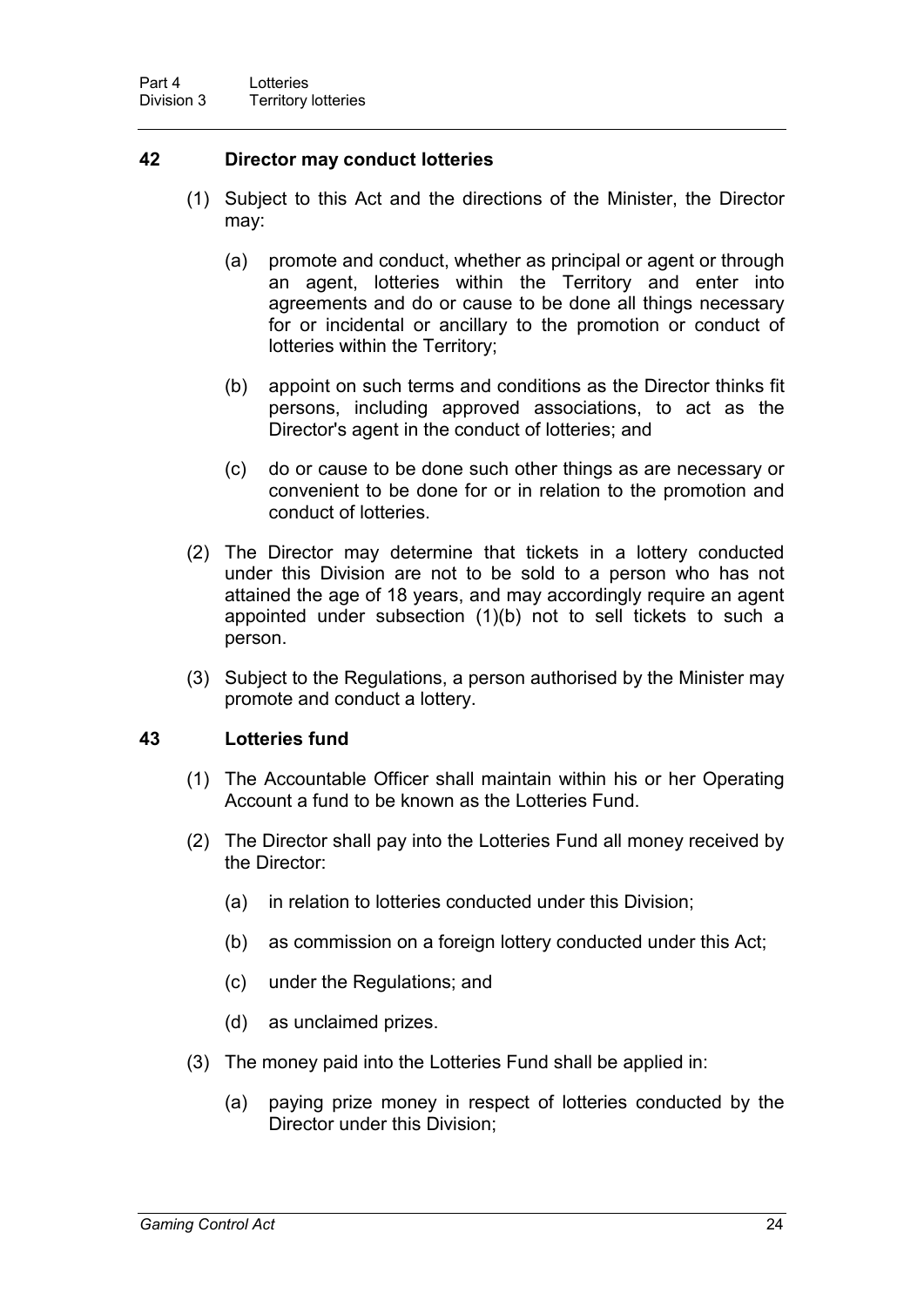#### **42 Director may conduct lotteries**

- (1) Subject to this Act and the directions of the Minister, the Director may:
	- (a) promote and conduct, whether as principal or agent or through an agent, lotteries within the Territory and enter into agreements and do or cause to be done all things necessary for or incidental or ancillary to the promotion or conduct of lotteries within the Territory;
	- (b) appoint on such terms and conditions as the Director thinks fit persons, including approved associations, to act as the Director's agent in the conduct of lotteries; and
	- (c) do or cause to be done such other things as are necessary or convenient to be done for or in relation to the promotion and conduct of lotteries.
- (2) The Director may determine that tickets in a lottery conducted under this Division are not to be sold to a person who has not attained the age of 18 years, and may accordingly require an agent appointed under subsection (1)(b) not to sell tickets to such a person.
- (3) Subject to the Regulations, a person authorised by the Minister may promote and conduct a lottery.

#### **43 Lotteries fund**

- (1) The Accountable Officer shall maintain within his or her Operating Account a fund to be known as the Lotteries Fund.
- (2) The Director shall pay into the Lotteries Fund all money received by the Director:
	- (a) in relation to lotteries conducted under this Division;
	- (b) as commission on a foreign lottery conducted under this Act;
	- (c) under the Regulations; and
	- (d) as unclaimed prizes.
- (3) The money paid into the Lotteries Fund shall be applied in:
	- (a) paying prize money in respect of lotteries conducted by the Director under this Division;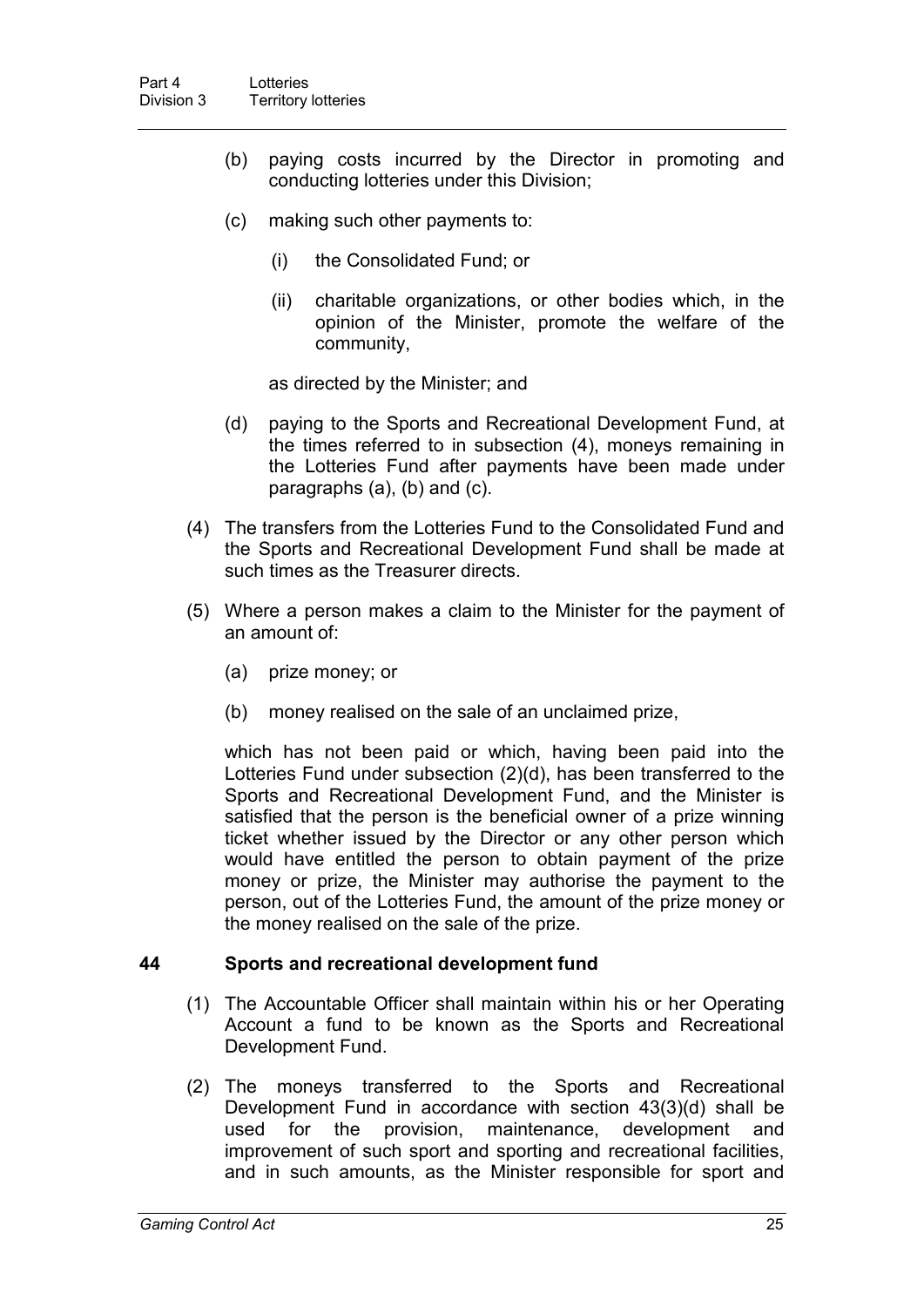- (b) paying costs incurred by the Director in promoting and conducting lotteries under this Division;
- (c) making such other payments to:
	- (i) the Consolidated Fund; or
	- (ii) charitable organizations, or other bodies which, in the opinion of the Minister, promote the welfare of the community,

as directed by the Minister; and

- (d) paying to the Sports and Recreational Development Fund, at the times referred to in subsection (4), moneys remaining in the Lotteries Fund after payments have been made under paragraphs (a), (b) and (c).
- (4) The transfers from the Lotteries Fund to the Consolidated Fund and the Sports and Recreational Development Fund shall be made at such times as the Treasurer directs.
- (5) Where a person makes a claim to the Minister for the payment of an amount of:
	- (a) prize money; or
	- (b) money realised on the sale of an unclaimed prize,

which has not been paid or which, having been paid into the Lotteries Fund under subsection (2)(d), has been transferred to the Sports and Recreational Development Fund, and the Minister is satisfied that the person is the beneficial owner of a prize winning ticket whether issued by the Director or any other person which would have entitled the person to obtain payment of the prize money or prize, the Minister may authorise the payment to the person, out of the Lotteries Fund, the amount of the prize money or the money realised on the sale of the prize.

#### **44 Sports and recreational development fund**

- (1) The Accountable Officer shall maintain within his or her Operating Account a fund to be known as the Sports and Recreational Development Fund.
- (2) The moneys transferred to the Sports and Recreational Development Fund in accordance with section 43(3)(d) shall be used for the provision, maintenance, development and improvement of such sport and sporting and recreational facilities, and in such amounts, as the Minister responsible for sport and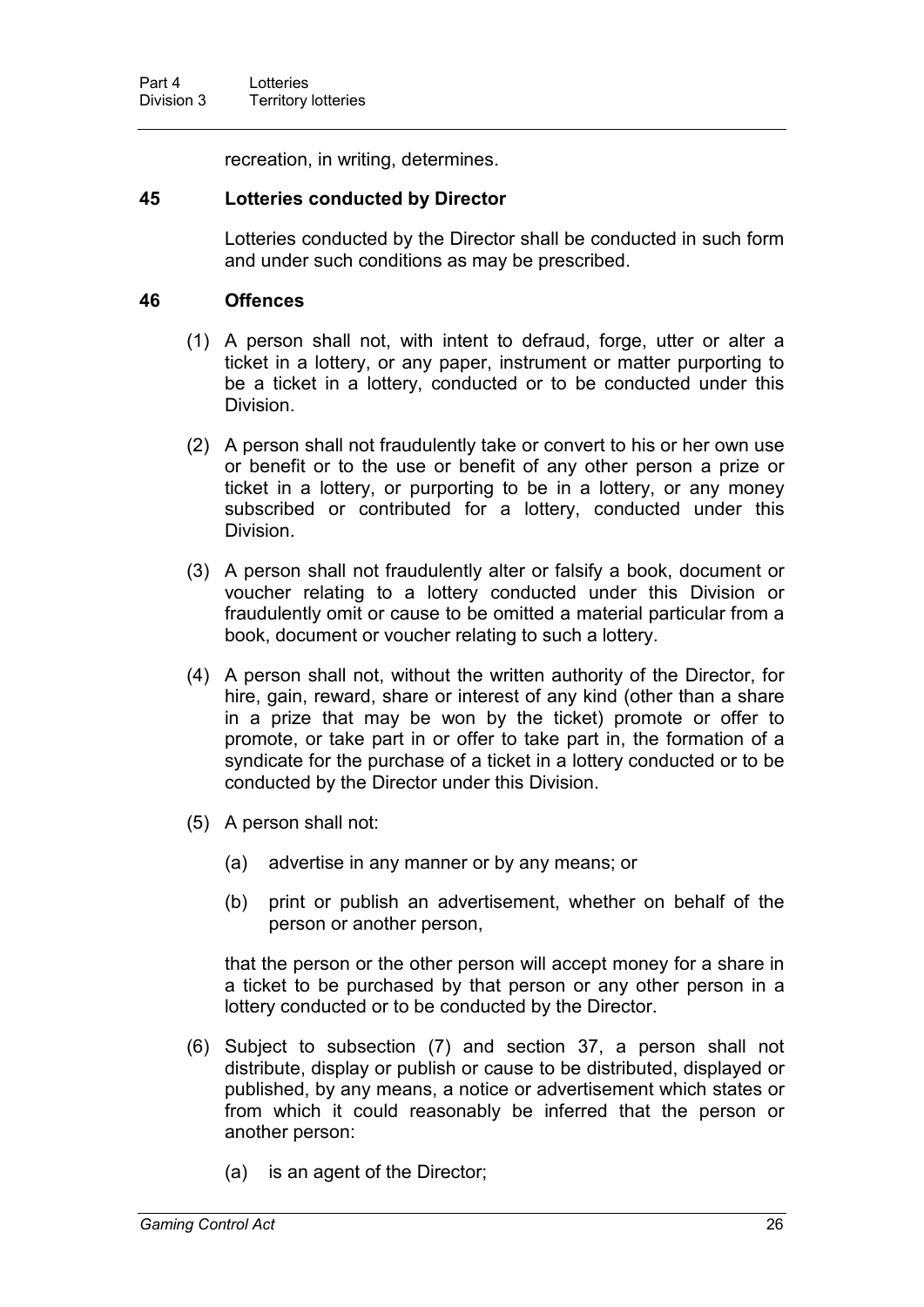recreation, in writing, determines.

#### **45 Lotteries conducted by Director**

Lotteries conducted by the Director shall be conducted in such form and under such conditions as may be prescribed.

#### **46 Offences**

- (1) A person shall not, with intent to defraud, forge, utter or alter a ticket in a lottery, or any paper, instrument or matter purporting to be a ticket in a lottery, conducted or to be conducted under this Division.
- (2) A person shall not fraudulently take or convert to his or her own use or benefit or to the use or benefit of any other person a prize or ticket in a lottery, or purporting to be in a lottery, or any money subscribed or contributed for a lottery, conducted under this Division.
- (3) A person shall not fraudulently alter or falsify a book, document or voucher relating to a lottery conducted under this Division or fraudulently omit or cause to be omitted a material particular from a book, document or voucher relating to such a lottery.
- (4) A person shall not, without the written authority of the Director, for hire, gain, reward, share or interest of any kind (other than a share in a prize that may be won by the ticket) promote or offer to promote, or take part in or offer to take part in, the formation of a syndicate for the purchase of a ticket in a lottery conducted or to be conducted by the Director under this Division.
- (5) A person shall not:
	- (a) advertise in any manner or by any means; or
	- (b) print or publish an advertisement, whether on behalf of the person or another person,

that the person or the other person will accept money for a share in a ticket to be purchased by that person or any other person in a lottery conducted or to be conducted by the Director.

- (6) Subject to subsection (7) and section 37, a person shall not distribute, display or publish or cause to be distributed, displayed or published, by any means, a notice or advertisement which states or from which it could reasonably be inferred that the person or another person:
	- (a) is an agent of the Director;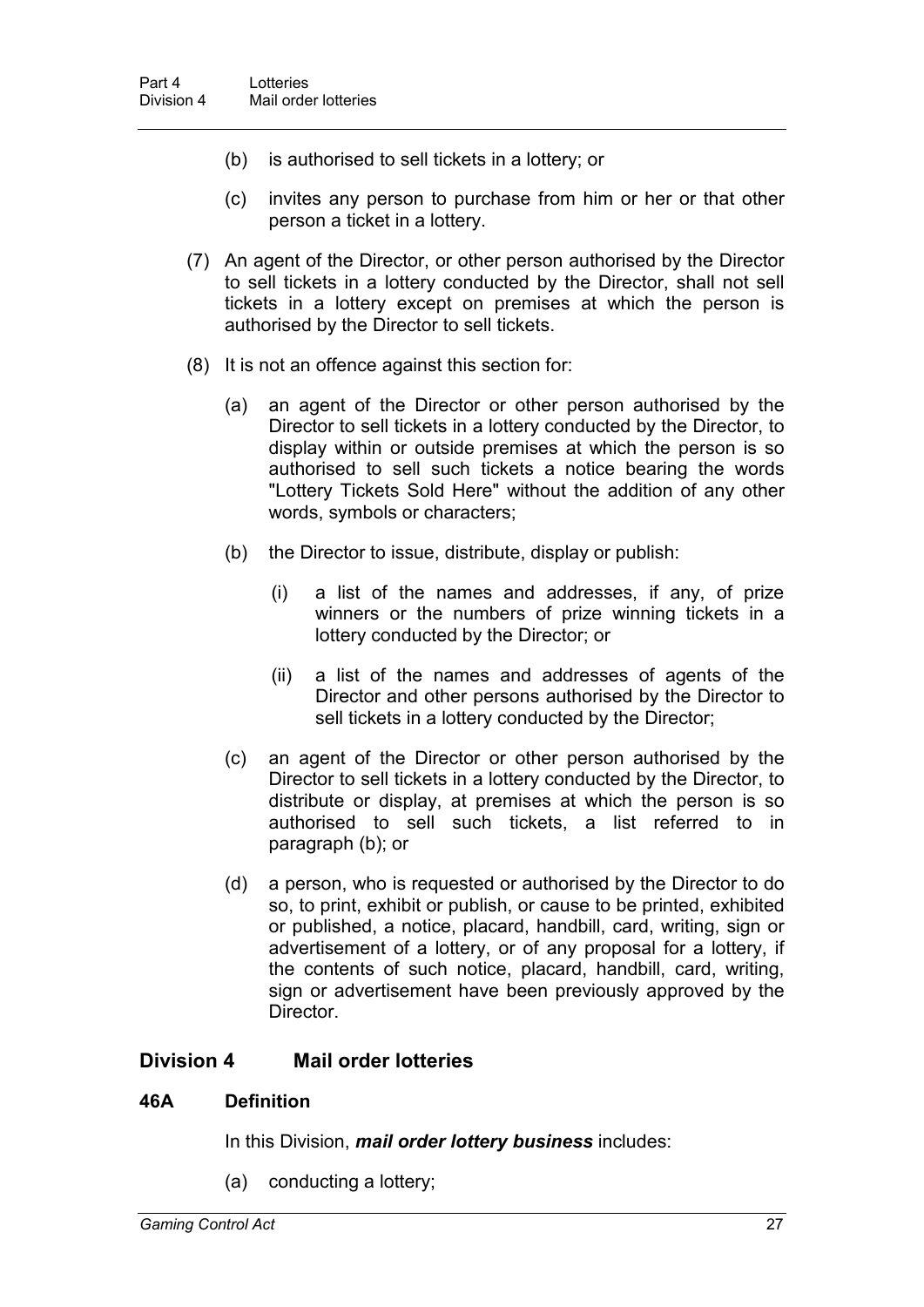- (b) is authorised to sell tickets in a lottery; or
- (c) invites any person to purchase from him or her or that other person a ticket in a lottery.
- (7) An agent of the Director, or other person authorised by the Director to sell tickets in a lottery conducted by the Director, shall not sell tickets in a lottery except on premises at which the person is authorised by the Director to sell tickets.
- (8) It is not an offence against this section for:
	- (a) an agent of the Director or other person authorised by the Director to sell tickets in a lottery conducted by the Director, to display within or outside premises at which the person is so authorised to sell such tickets a notice bearing the words "Lottery Tickets Sold Here" without the addition of any other words, symbols or characters;
	- (b) the Director to issue, distribute, display or publish:
		- (i) a list of the names and addresses, if any, of prize winners or the numbers of prize winning tickets in a lottery conducted by the Director; or
		- (ii) a list of the names and addresses of agents of the Director and other persons authorised by the Director to sell tickets in a lottery conducted by the Director;
	- (c) an agent of the Director or other person authorised by the Director to sell tickets in a lottery conducted by the Director, to distribute or display, at premises at which the person is so authorised to sell such tickets, a list referred to in paragraph (b); or
	- (d) a person, who is requested or authorised by the Director to do so, to print, exhibit or publish, or cause to be printed, exhibited or published, a notice, placard, handbill, card, writing, sign or advertisement of a lottery, or of any proposal for a lottery, if the contents of such notice, placard, handbill, card, writing, sign or advertisement have been previously approved by the Director.

#### **Division 4 Mail order lotteries**

#### **46A Definition**

In this Division, *mail order lottery business* includes:

(a) conducting a lottery;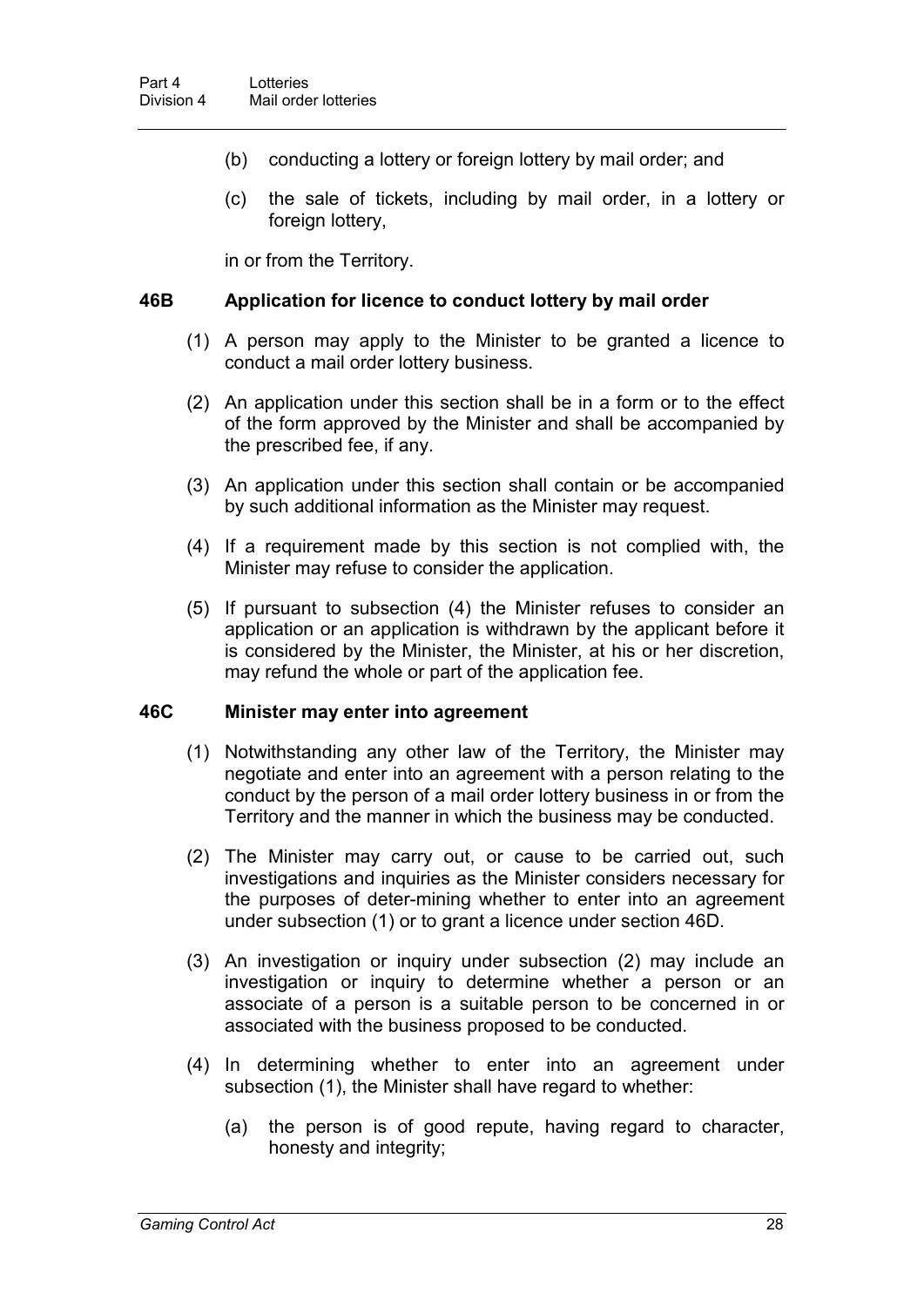- (b) conducting a lottery or foreign lottery by mail order; and
- (c) the sale of tickets, including by mail order, in a lottery or foreign lottery,

in or from the Territory.

#### **46B Application for licence to conduct lottery by mail order**

- (1) A person may apply to the Minister to be granted a licence to conduct a mail order lottery business.
- (2) An application under this section shall be in a form or to the effect of the form approved by the Minister and shall be accompanied by the prescribed fee, if any.
- (3) An application under this section shall contain or be accompanied by such additional information as the Minister may request.
- (4) If a requirement made by this section is not complied with, the Minister may refuse to consider the application.
- (5) If pursuant to subsection (4) the Minister refuses to consider an application or an application is withdrawn by the applicant before it is considered by the Minister, the Minister, at his or her discretion, may refund the whole or part of the application fee.

#### **46C Minister may enter into agreement**

- (1) Notwithstanding any other law of the Territory, the Minister may negotiate and enter into an agreement with a person relating to the conduct by the person of a mail order lottery business in or from the Territory and the manner in which the business may be conducted.
- (2) The Minister may carry out, or cause to be carried out, such investigations and inquiries as the Minister considers necessary for the purposes of deter-mining whether to enter into an agreement under subsection (1) or to grant a licence under section 46D.
- (3) An investigation or inquiry under subsection (2) may include an investigation or inquiry to determine whether a person or an associate of a person is a suitable person to be concerned in or associated with the business proposed to be conducted.
- (4) In determining whether to enter into an agreement under subsection (1), the Minister shall have regard to whether:
	- (a) the person is of good repute, having regard to character, honesty and integrity;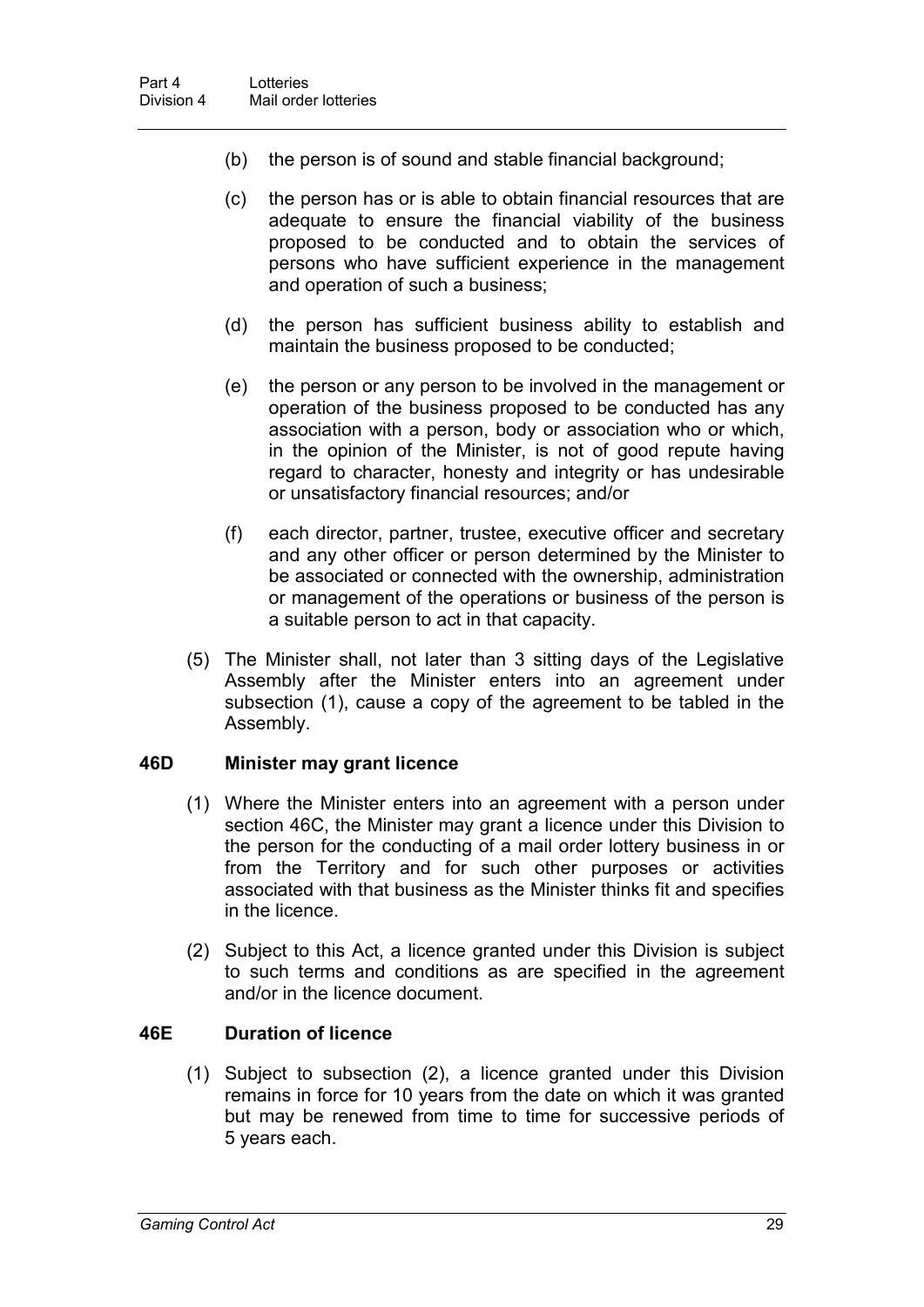- (b) the person is of sound and stable financial background;
- (c) the person has or is able to obtain financial resources that are adequate to ensure the financial viability of the business proposed to be conducted and to obtain the services of persons who have sufficient experience in the management and operation of such a business;
- (d) the person has sufficient business ability to establish and maintain the business proposed to be conducted;
- (e) the person or any person to be involved in the management or operation of the business proposed to be conducted has any association with a person, body or association who or which, in the opinion of the Minister, is not of good repute having regard to character, honesty and integrity or has undesirable or unsatisfactory financial resources; and/or
- (f) each director, partner, trustee, executive officer and secretary and any other officer or person determined by the Minister to be associated or connected with the ownership, administration or management of the operations or business of the person is a suitable person to act in that capacity.
- (5) The Minister shall, not later than 3 sitting days of the Legislative Assembly after the Minister enters into an agreement under subsection (1), cause a copy of the agreement to be tabled in the Assembly.

#### **46D Minister may grant licence**

- (1) Where the Minister enters into an agreement with a person under section 46C, the Minister may grant a licence under this Division to the person for the conducting of a mail order lottery business in or from the Territory and for such other purposes or activities associated with that business as the Minister thinks fit and specifies in the licence.
- (2) Subject to this Act, a licence granted under this Division is subject to such terms and conditions as are specified in the agreement and/or in the licence document.

#### **46E Duration of licence**

(1) Subject to subsection (2), a licence granted under this Division remains in force for 10 years from the date on which it was granted but may be renewed from time to time for successive periods of 5 years each.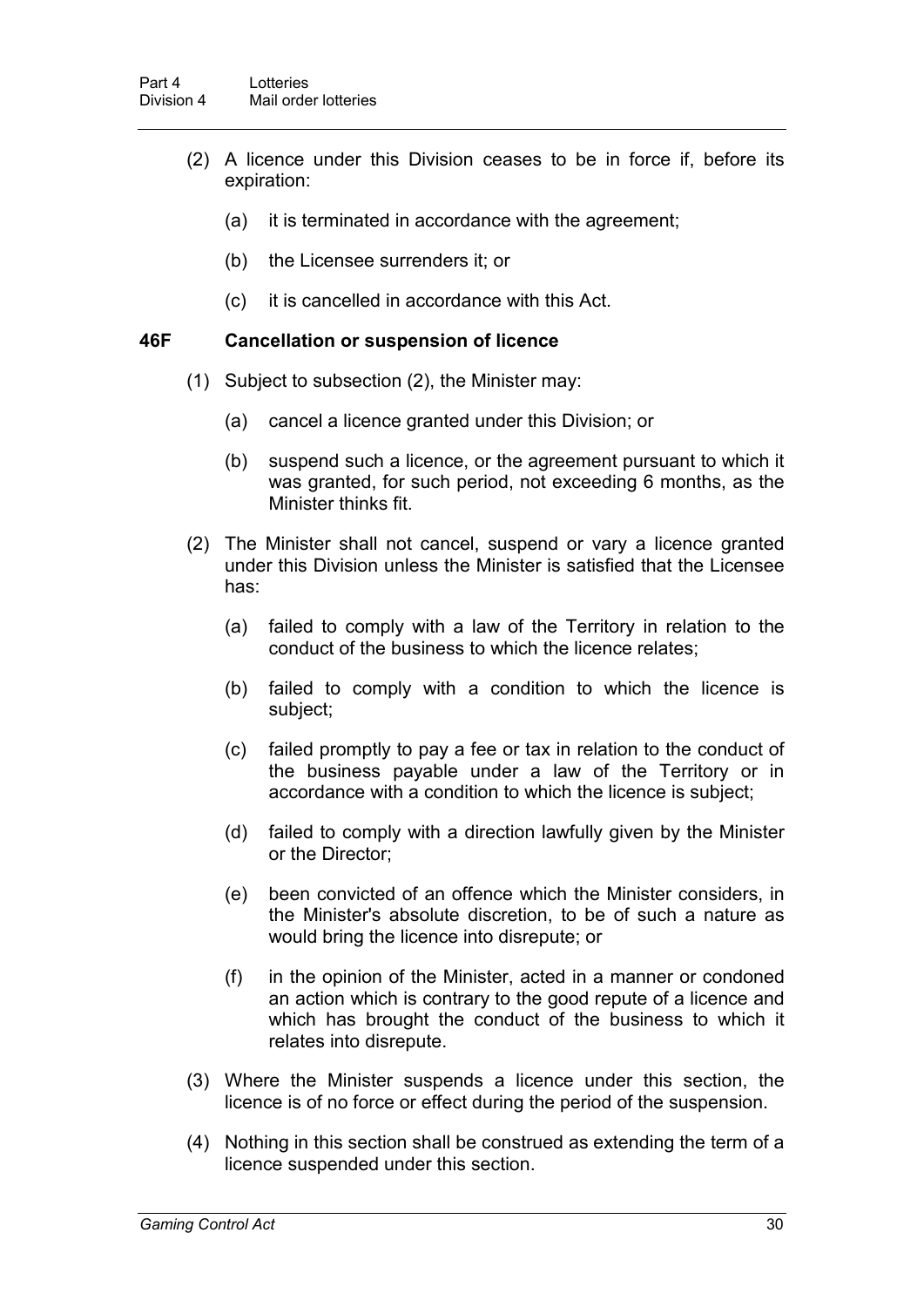- (2) A licence under this Division ceases to be in force if, before its expiration:
	- (a) it is terminated in accordance with the agreement;
	- (b) the Licensee surrenders it; or
	- (c) it is cancelled in accordance with this Act.

#### **46F Cancellation or suspension of licence**

- (1) Subject to subsection (2), the Minister may:
	- (a) cancel a licence granted under this Division; or
	- (b) suspend such a licence, or the agreement pursuant to which it was granted, for such period, not exceeding 6 months, as the Minister thinks fit.
- (2) The Minister shall not cancel, suspend or vary a licence granted under this Division unless the Minister is satisfied that the Licensee has:
	- (a) failed to comply with a law of the Territory in relation to the conduct of the business to which the licence relates;
	- (b) failed to comply with a condition to which the licence is subject;
	- (c) failed promptly to pay a fee or tax in relation to the conduct of the business payable under a law of the Territory or in accordance with a condition to which the licence is subject;
	- (d) failed to comply with a direction lawfully given by the Minister or the Director;
	- (e) been convicted of an offence which the Minister considers, in the Minister's absolute discretion, to be of such a nature as would bring the licence into disrepute; or
	- (f) in the opinion of the Minister, acted in a manner or condoned an action which is contrary to the good repute of a licence and which has brought the conduct of the business to which it relates into disrepute.
- (3) Where the Minister suspends a licence under this section, the licence is of no force or effect during the period of the suspension.
- (4) Nothing in this section shall be construed as extending the term of a licence suspended under this section.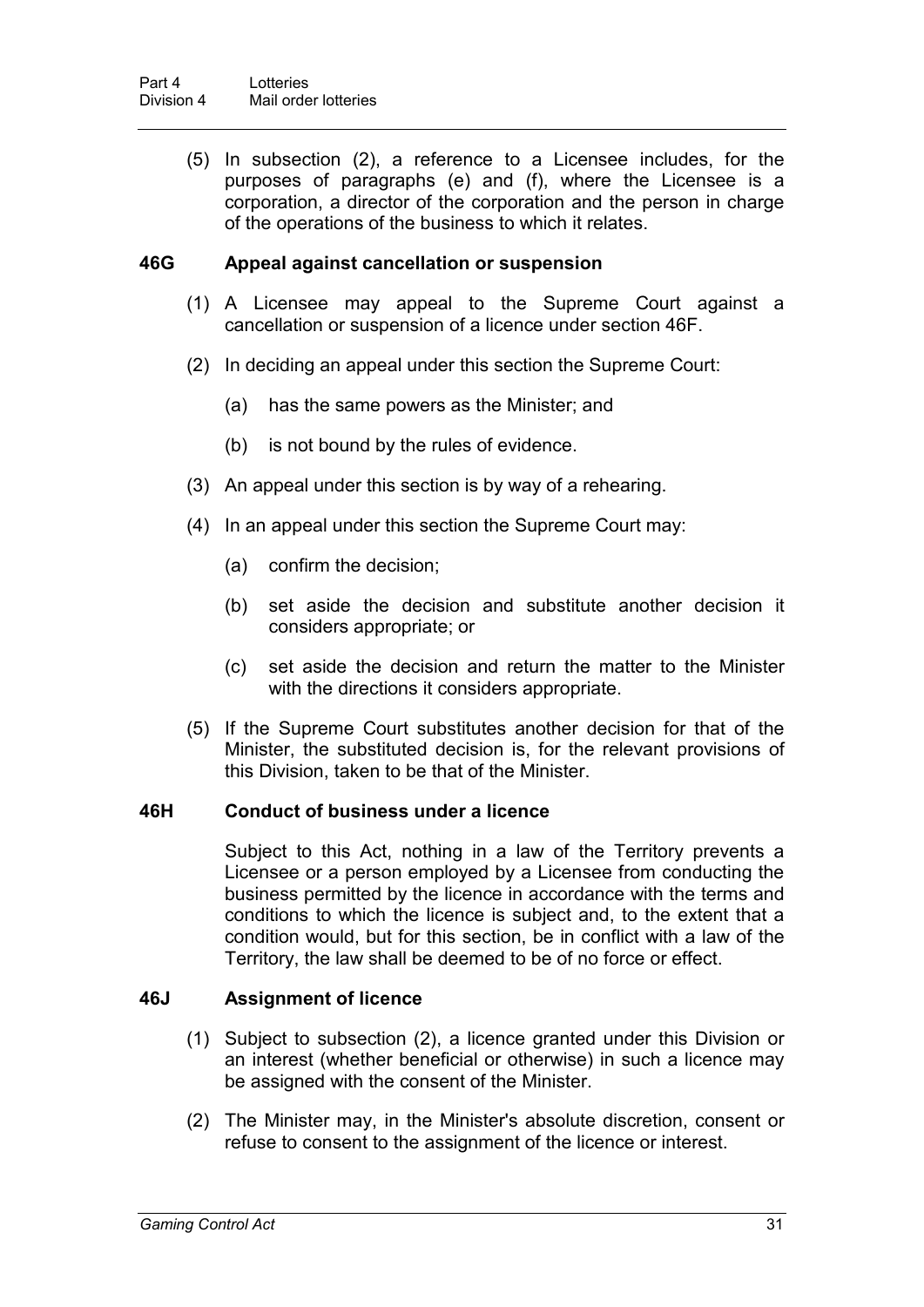(5) In subsection (2), a reference to a Licensee includes, for the purposes of paragraphs (e) and (f), where the Licensee is a corporation, a director of the corporation and the person in charge of the operations of the business to which it relates.

#### **46G Appeal against cancellation or suspension**

- (1) A Licensee may appeal to the Supreme Court against a cancellation or suspension of a licence under section 46F.
- (2) In deciding an appeal under this section the Supreme Court:
	- (a) has the same powers as the Minister; and
	- (b) is not bound by the rules of evidence.
- (3) An appeal under this section is by way of a rehearing.
- (4) In an appeal under this section the Supreme Court may:
	- (a) confirm the decision;
	- (b) set aside the decision and substitute another decision it considers appropriate; or
	- (c) set aside the decision and return the matter to the Minister with the directions it considers appropriate.
- (5) If the Supreme Court substitutes another decision for that of the Minister, the substituted decision is, for the relevant provisions of this Division, taken to be that of the Minister.

#### **46H Conduct of business under a licence**

Subject to this Act, nothing in a law of the Territory prevents a Licensee or a person employed by a Licensee from conducting the business permitted by the licence in accordance with the terms and conditions to which the licence is subject and, to the extent that a condition would, but for this section, be in conflict with a law of the Territory, the law shall be deemed to be of no force or effect.

#### **46J Assignment of licence**

- (1) Subject to subsection (2), a licence granted under this Division or an interest (whether beneficial or otherwise) in such a licence may be assigned with the consent of the Minister.
- (2) The Minister may, in the Minister's absolute discretion, consent or refuse to consent to the assignment of the licence or interest.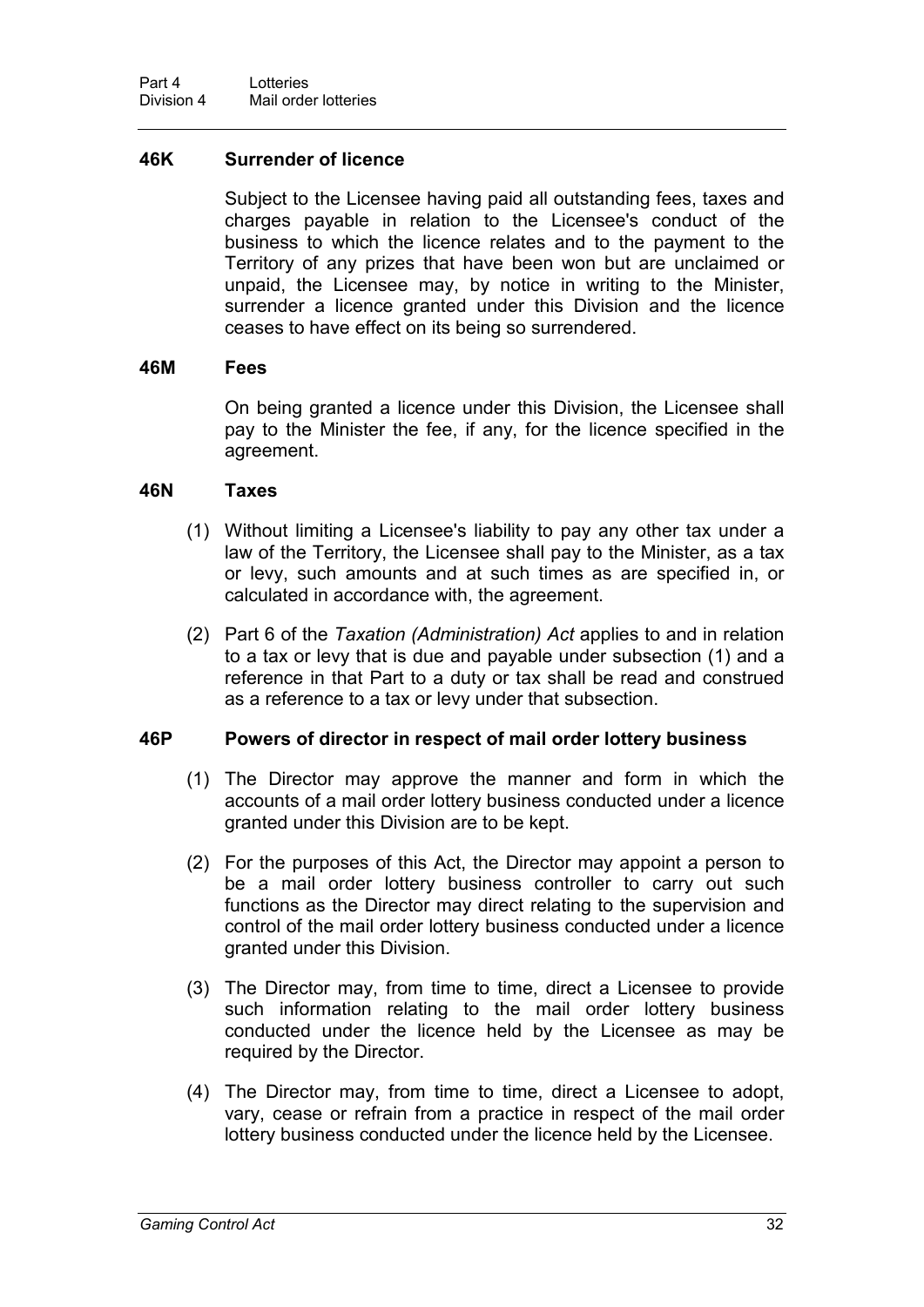#### **46K Surrender of licence**

Subject to the Licensee having paid all outstanding fees, taxes and charges payable in relation to the Licensee's conduct of the business to which the licence relates and to the payment to the Territory of any prizes that have been won but are unclaimed or unpaid, the Licensee may, by notice in writing to the Minister, surrender a licence granted under this Division and the licence ceases to have effect on its being so surrendered.

#### **46M Fees**

On being granted a licence under this Division, the Licensee shall pay to the Minister the fee, if any, for the licence specified in the agreement.

#### **46N Taxes**

- (1) Without limiting a Licensee's liability to pay any other tax under a law of the Territory, the Licensee shall pay to the Minister, as a tax or levy, such amounts and at such times as are specified in, or calculated in accordance with, the agreement.
- (2) Part 6 of the *Taxation (Administration) Act* applies to and in relation to a tax or levy that is due and payable under subsection (1) and a reference in that Part to a duty or tax shall be read and construed as a reference to a tax or levy under that subsection.

#### **46P Powers of director in respect of mail order lottery business**

- (1) The Director may approve the manner and form in which the accounts of a mail order lottery business conducted under a licence granted under this Division are to be kept.
- (2) For the purposes of this Act, the Director may appoint a person to be a mail order lottery business controller to carry out such functions as the Director may direct relating to the supervision and control of the mail order lottery business conducted under a licence granted under this Division.
- (3) The Director may, from time to time, direct a Licensee to provide such information relating to the mail order lottery business conducted under the licence held by the Licensee as may be required by the Director.
- (4) The Director may, from time to time, direct a Licensee to adopt, vary, cease or refrain from a practice in respect of the mail order lottery business conducted under the licence held by the Licensee.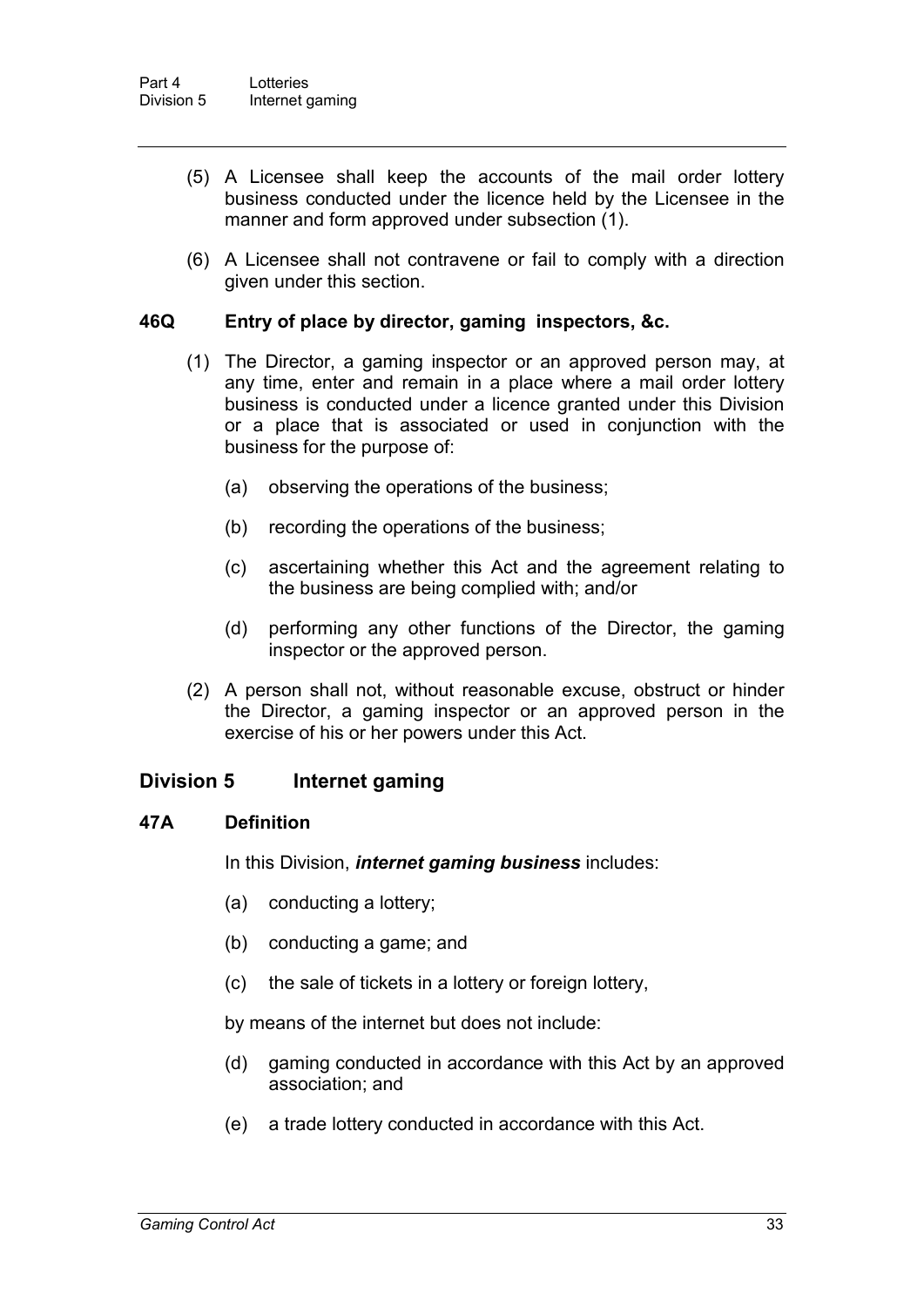- (5) A Licensee shall keep the accounts of the mail order lottery business conducted under the licence held by the Licensee in the manner and form approved under subsection (1).
- (6) A Licensee shall not contravene or fail to comply with a direction given under this section.

#### **46Q Entry of place by director, gaming inspectors, &c.**

- (1) The Director, a gaming inspector or an approved person may, at any time, enter and remain in a place where a mail order lottery business is conducted under a licence granted under this Division or a place that is associated or used in conjunction with the business for the purpose of:
	- (a) observing the operations of the business;
	- (b) recording the operations of the business;
	- (c) ascertaining whether this Act and the agreement relating to the business are being complied with; and/or
	- (d) performing any other functions of the Director, the gaming inspector or the approved person.
- (2) A person shall not, without reasonable excuse, obstruct or hinder the Director, a gaming inspector or an approved person in the exercise of his or her powers under this Act.

#### **Division 5 Internet gaming**

#### **47A Definition**

In this Division, *internet gaming business* includes:

- (a) conducting a lottery;
- (b) conducting a game; and
- (c) the sale of tickets in a lottery or foreign lottery,
- by means of the internet but does not include:
- (d) gaming conducted in accordance with this Act by an approved association; and
- (e) a trade lottery conducted in accordance with this Act.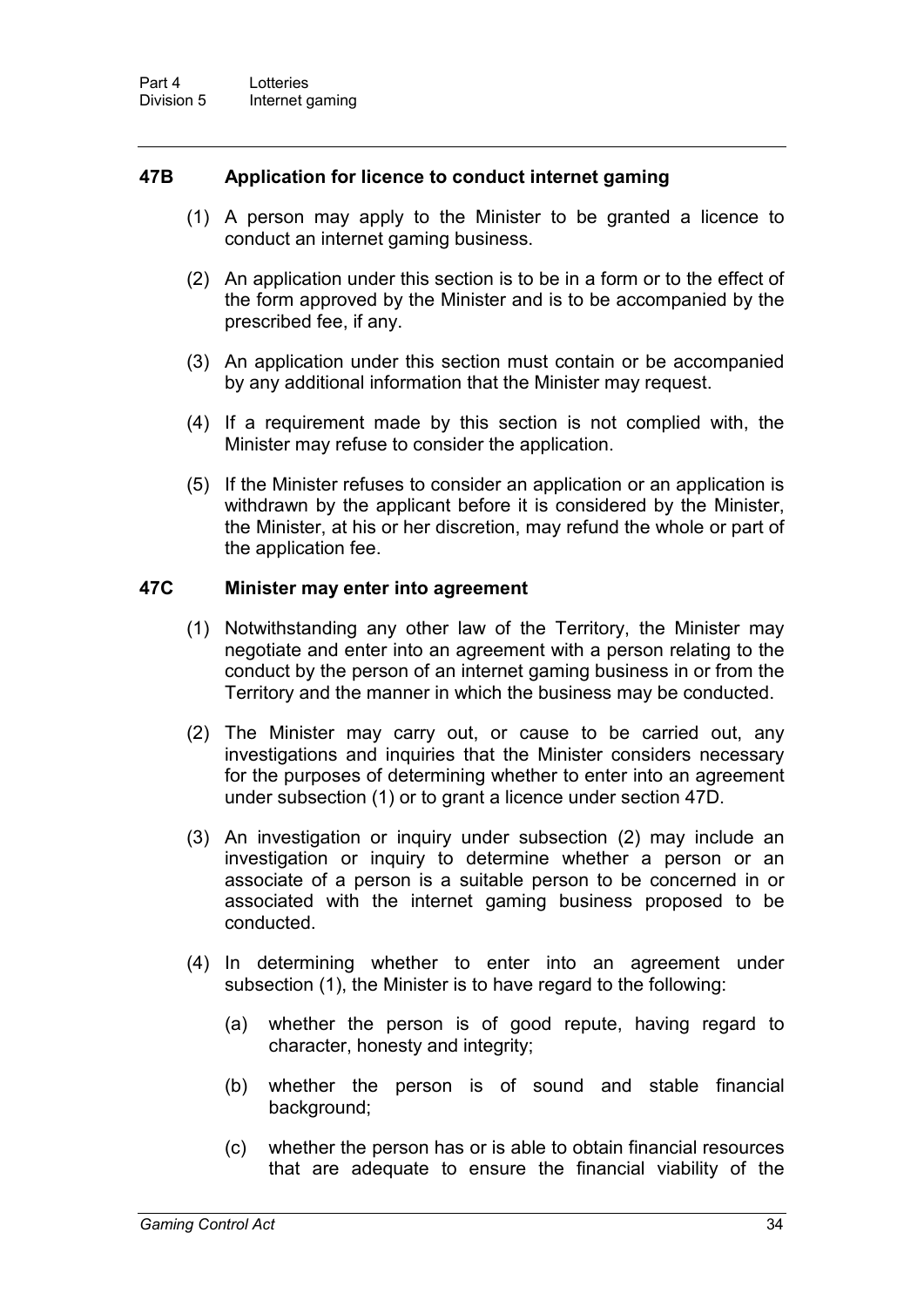#### **47B Application for licence to conduct internet gaming**

- (1) A person may apply to the Minister to be granted a licence to conduct an internet gaming business.
- (2) An application under this section is to be in a form or to the effect of the form approved by the Minister and is to be accompanied by the prescribed fee, if any.
- (3) An application under this section must contain or be accompanied by any additional information that the Minister may request.
- (4) If a requirement made by this section is not complied with, the Minister may refuse to consider the application.
- (5) If the Minister refuses to consider an application or an application is withdrawn by the applicant before it is considered by the Minister, the Minister, at his or her discretion, may refund the whole or part of the application fee.

#### **47C Minister may enter into agreement**

- (1) Notwithstanding any other law of the Territory, the Minister may negotiate and enter into an agreement with a person relating to the conduct by the person of an internet gaming business in or from the Territory and the manner in which the business may be conducted.
- (2) The Minister may carry out, or cause to be carried out, any investigations and inquiries that the Minister considers necessary for the purposes of determining whether to enter into an agreement under subsection (1) or to grant a licence under section 47D.
- (3) An investigation or inquiry under subsection (2) may include an investigation or inquiry to determine whether a person or an associate of a person is a suitable person to be concerned in or associated with the internet gaming business proposed to be conducted.
- (4) In determining whether to enter into an agreement under subsection (1), the Minister is to have regard to the following:
	- (a) whether the person is of good repute, having regard to character, honesty and integrity;
	- (b) whether the person is of sound and stable financial background;
	- (c) whether the person has or is able to obtain financial resources that are adequate to ensure the financial viability of the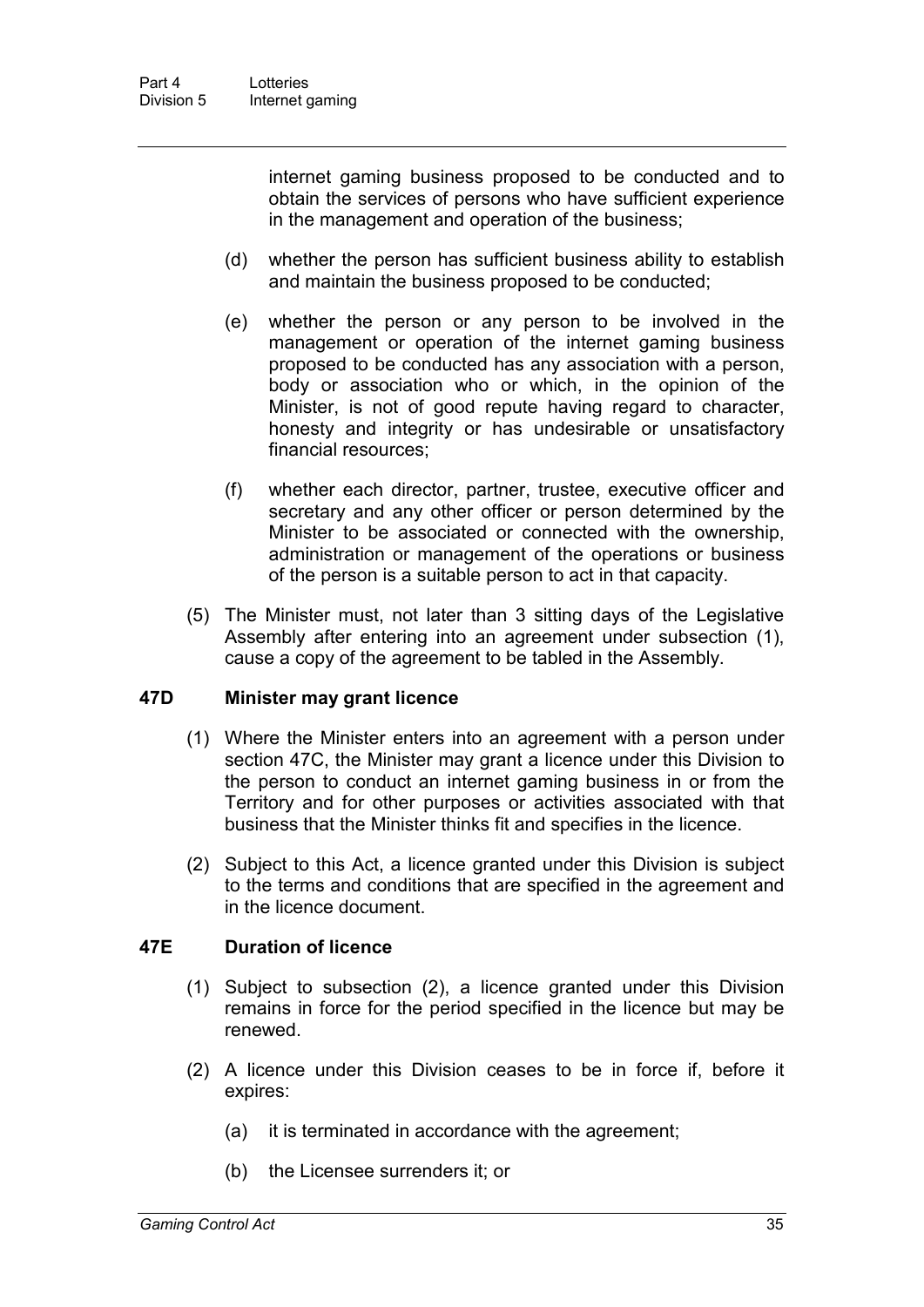internet gaming business proposed to be conducted and to obtain the services of persons who have sufficient experience in the management and operation of the business;

- (d) whether the person has sufficient business ability to establish and maintain the business proposed to be conducted;
- (e) whether the person or any person to be involved in the management or operation of the internet gaming business proposed to be conducted has any association with a person, body or association who or which, in the opinion of the Minister, is not of good repute having regard to character, honesty and integrity or has undesirable or unsatisfactory financial resources;
- (f) whether each director, partner, trustee, executive officer and secretary and any other officer or person determined by the Minister to be associated or connected with the ownership, administration or management of the operations or business of the person is a suitable person to act in that capacity.
- (5) The Minister must, not later than 3 sitting days of the Legislative Assembly after entering into an agreement under subsection (1), cause a copy of the agreement to be tabled in the Assembly.

#### **47D Minister may grant licence**

- (1) Where the Minister enters into an agreement with a person under section 47C, the Minister may grant a licence under this Division to the person to conduct an internet gaming business in or from the Territory and for other purposes or activities associated with that business that the Minister thinks fit and specifies in the licence.
- (2) Subject to this Act, a licence granted under this Division is subject to the terms and conditions that are specified in the agreement and in the licence document.

#### **47E Duration of licence**

- (1) Subject to subsection (2), a licence granted under this Division remains in force for the period specified in the licence but may be renewed.
- (2) A licence under this Division ceases to be in force if, before it expires:
	- (a) it is terminated in accordance with the agreement;
	- (b) the Licensee surrenders it; or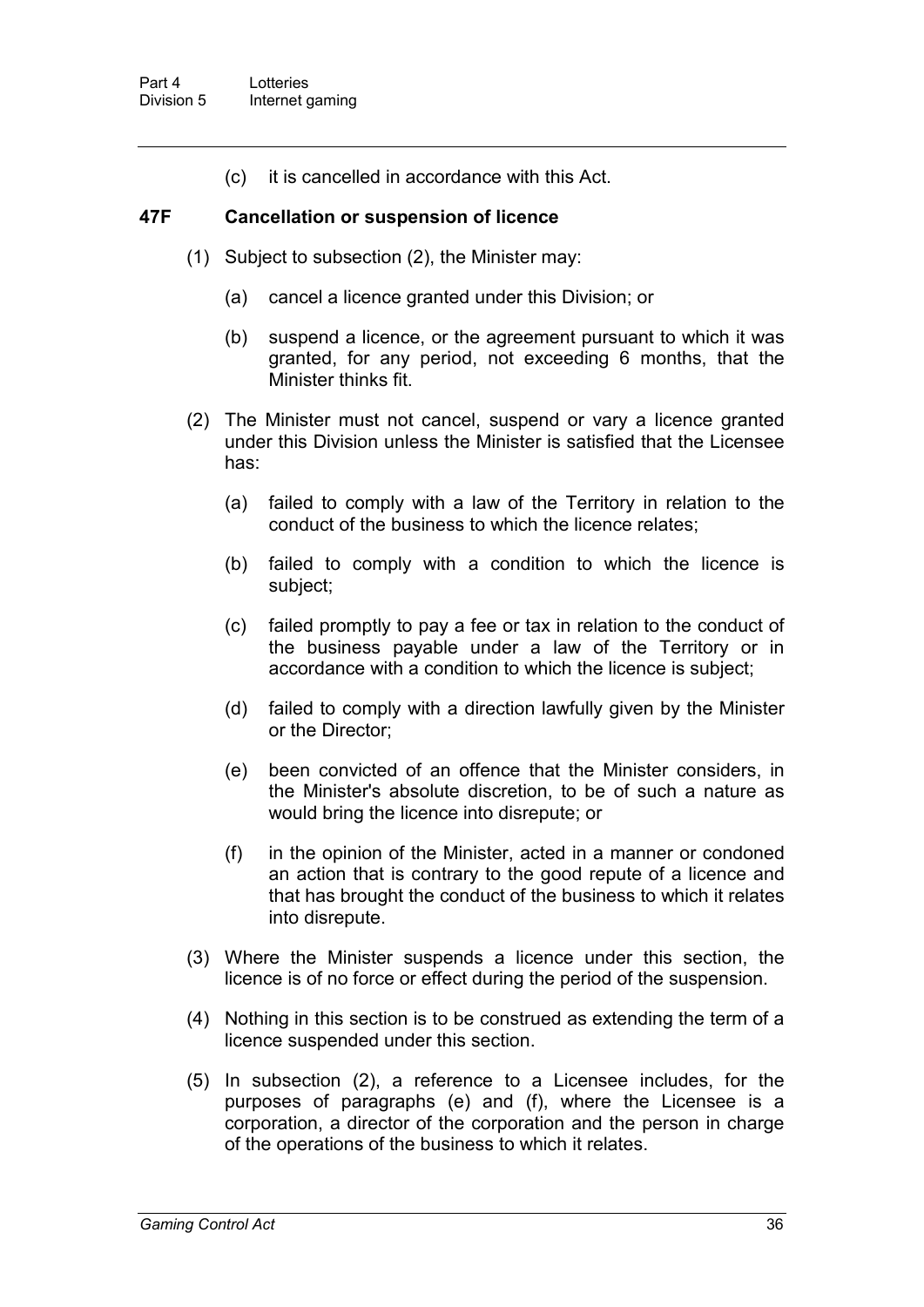(c) it is cancelled in accordance with this Act.

#### **47F Cancellation or suspension of licence**

- (1) Subject to subsection (2), the Minister may:
	- (a) cancel a licence granted under this Division; or
	- (b) suspend a licence, or the agreement pursuant to which it was granted, for any period, not exceeding 6 months, that the Minister thinks fit.
- (2) The Minister must not cancel, suspend or vary a licence granted under this Division unless the Minister is satisfied that the Licensee has:
	- (a) failed to comply with a law of the Territory in relation to the conduct of the business to which the licence relates;
	- (b) failed to comply with a condition to which the licence is subject;
	- (c) failed promptly to pay a fee or tax in relation to the conduct of the business payable under a law of the Territory or in accordance with a condition to which the licence is subject;
	- (d) failed to comply with a direction lawfully given by the Minister or the Director;
	- (e) been convicted of an offence that the Minister considers, in the Minister's absolute discretion, to be of such a nature as would bring the licence into disrepute; or
	- (f) in the opinion of the Minister, acted in a manner or condoned an action that is contrary to the good repute of a licence and that has brought the conduct of the business to which it relates into disrepute.
- (3) Where the Minister suspends a licence under this section, the licence is of no force or effect during the period of the suspension.
- (4) Nothing in this section is to be construed as extending the term of a licence suspended under this section.
- (5) In subsection (2), a reference to a Licensee includes, for the purposes of paragraphs (e) and (f), where the Licensee is a corporation, a director of the corporation and the person in charge of the operations of the business to which it relates.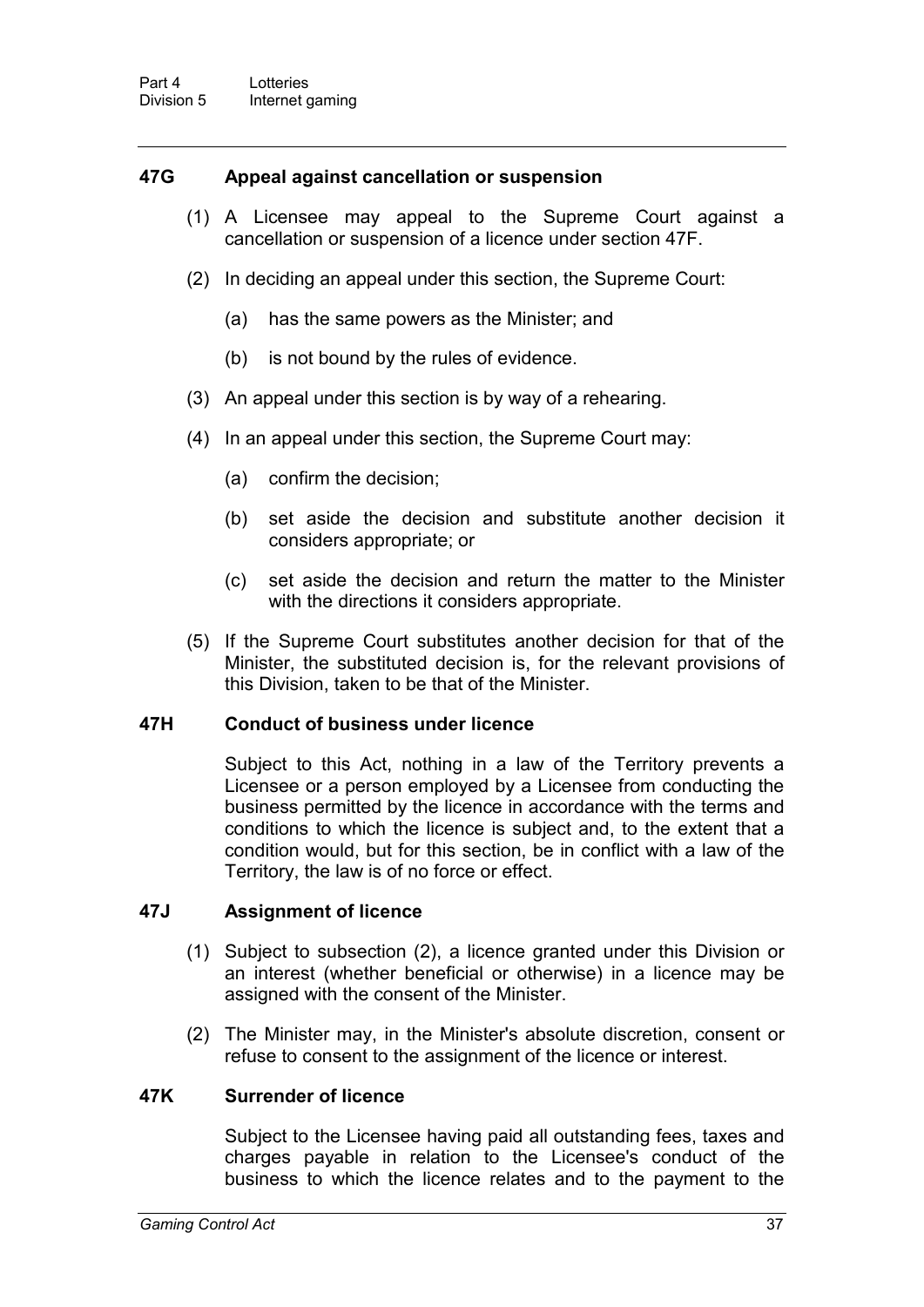#### **47G Appeal against cancellation or suspension**

- (1) A Licensee may appeal to the Supreme Court against a cancellation or suspension of a licence under section 47F.
- (2) In deciding an appeal under this section, the Supreme Court:
	- (a) has the same powers as the Minister; and
	- (b) is not bound by the rules of evidence.
- (3) An appeal under this section is by way of a rehearing.
- (4) In an appeal under this section, the Supreme Court may:
	- (a) confirm the decision;
	- (b) set aside the decision and substitute another decision it considers appropriate; or
	- (c) set aside the decision and return the matter to the Minister with the directions it considers appropriate.
- (5) If the Supreme Court substitutes another decision for that of the Minister, the substituted decision is, for the relevant provisions of this Division, taken to be that of the Minister.

#### **47H Conduct of business under licence**

Subject to this Act, nothing in a law of the Territory prevents a Licensee or a person employed by a Licensee from conducting the business permitted by the licence in accordance with the terms and conditions to which the licence is subject and, to the extent that a condition would, but for this section, be in conflict with a law of the Territory, the law is of no force or effect.

#### **47J Assignment of licence**

- (1) Subject to subsection (2), a licence granted under this Division or an interest (whether beneficial or otherwise) in a licence may be assigned with the consent of the Minister.
- (2) The Minister may, in the Minister's absolute discretion, consent or refuse to consent to the assignment of the licence or interest.

#### **47K Surrender of licence**

Subject to the Licensee having paid all outstanding fees, taxes and charges payable in relation to the Licensee's conduct of the business to which the licence relates and to the payment to the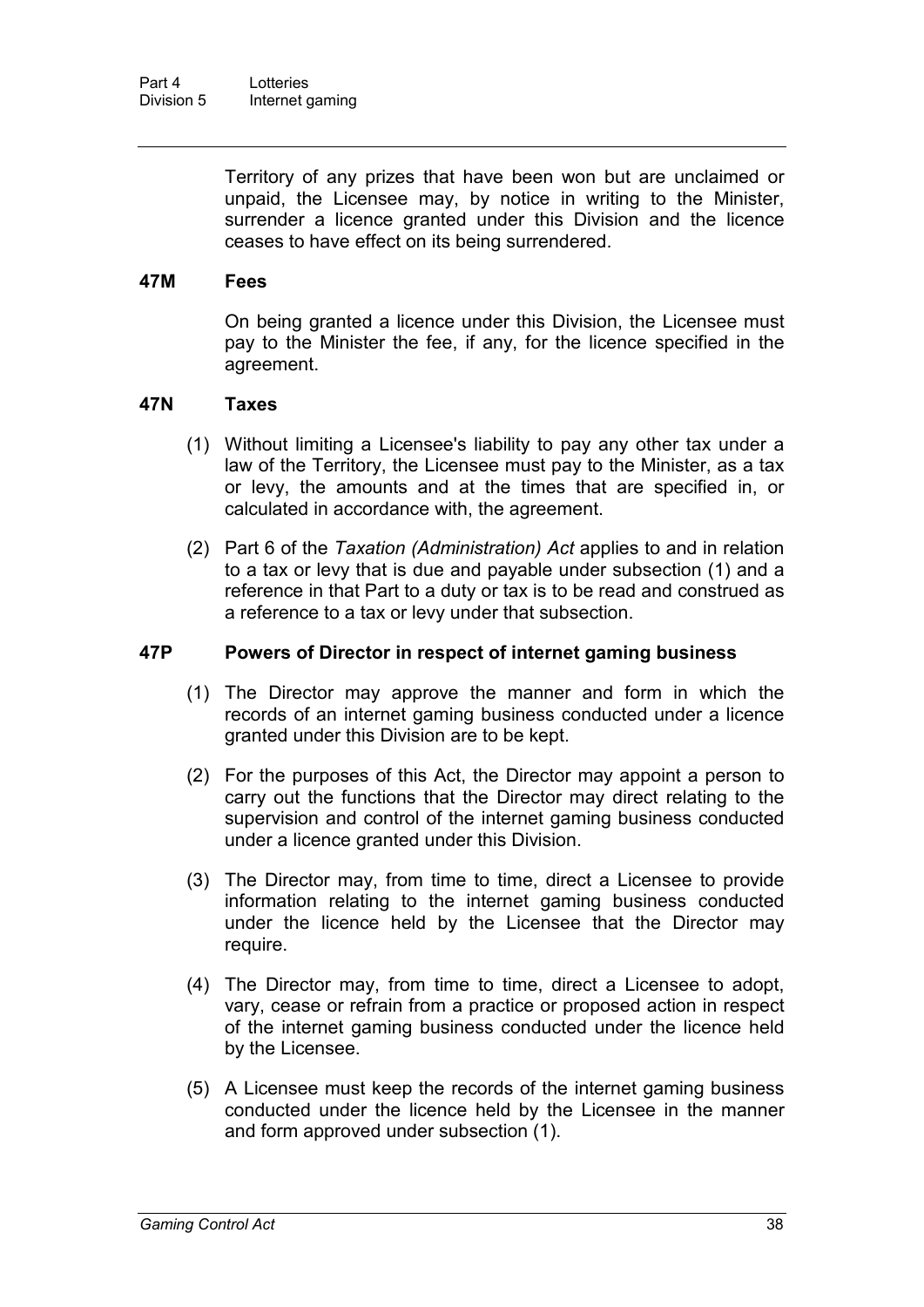Territory of any prizes that have been won but are unclaimed or unpaid, the Licensee may, by notice in writing to the Minister, surrender a licence granted under this Division and the licence ceases to have effect on its being surrendered.

#### **47M Fees**

On being granted a licence under this Division, the Licensee must pay to the Minister the fee, if any, for the licence specified in the agreement.

#### **47N Taxes**

- (1) Without limiting a Licensee's liability to pay any other tax under a law of the Territory, the Licensee must pay to the Minister, as a tax or levy, the amounts and at the times that are specified in, or calculated in accordance with, the agreement.
- (2) Part 6 of the *Taxation (Administration) Act* applies to and in relation to a tax or levy that is due and payable under subsection (1) and a reference in that Part to a duty or tax is to be read and construed as a reference to a tax or levy under that subsection.

#### **47P Powers of Director in respect of internet gaming business**

- (1) The Director may approve the manner and form in which the records of an internet gaming business conducted under a licence granted under this Division are to be kept.
- (2) For the purposes of this Act, the Director may appoint a person to carry out the functions that the Director may direct relating to the supervision and control of the internet gaming business conducted under a licence granted under this Division.
- (3) The Director may, from time to time, direct a Licensee to provide information relating to the internet gaming business conducted under the licence held by the Licensee that the Director may require.
- (4) The Director may, from time to time, direct a Licensee to adopt, vary, cease or refrain from a practice or proposed action in respect of the internet gaming business conducted under the licence held by the Licensee.
- (5) A Licensee must keep the records of the internet gaming business conducted under the licence held by the Licensee in the manner and form approved under subsection (1).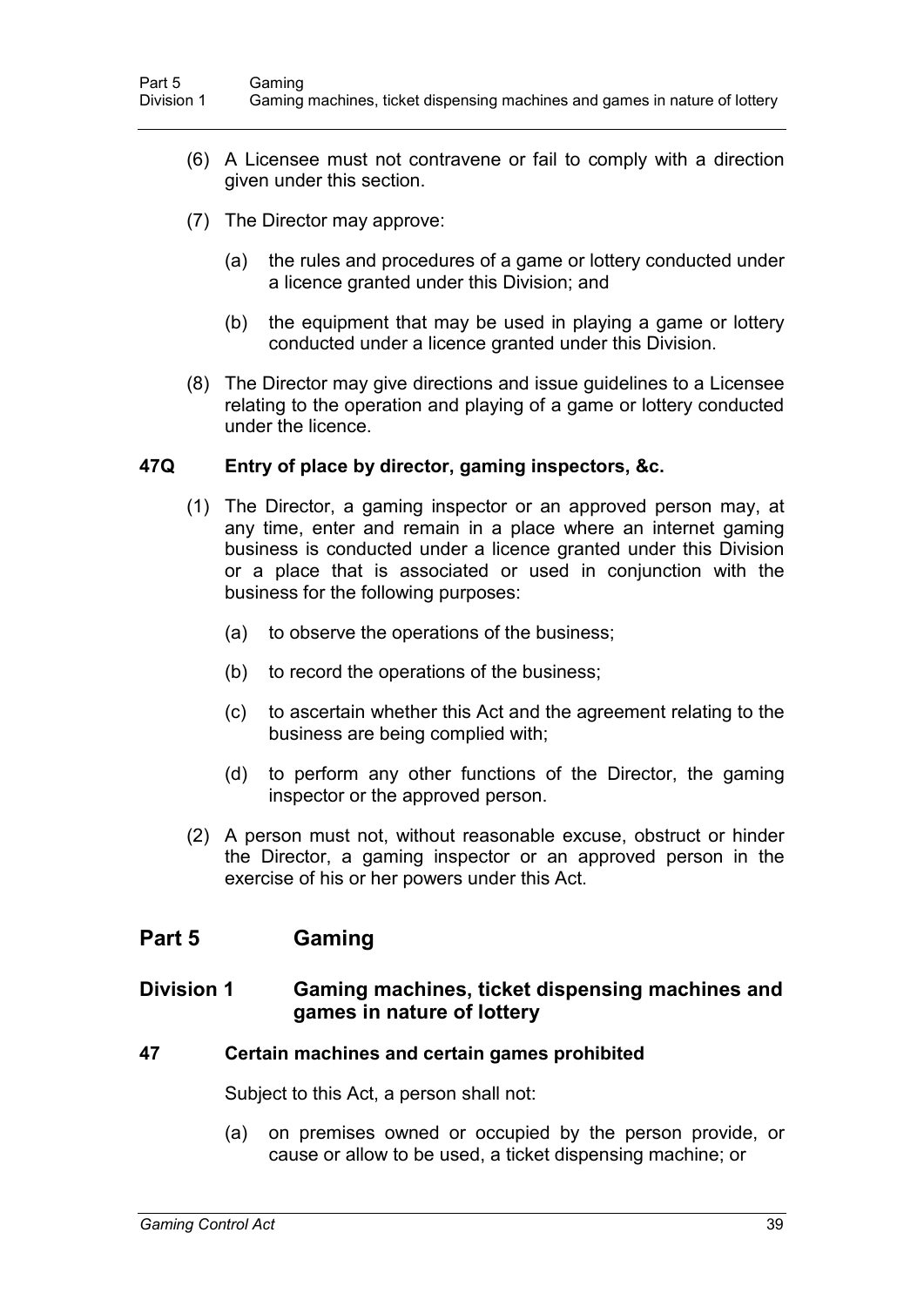- (6) A Licensee must not contravene or fail to comply with a direction given under this section.
- (7) The Director may approve:
	- (a) the rules and procedures of a game or lottery conducted under a licence granted under this Division; and
	- (b) the equipment that may be used in playing a game or lottery conducted under a licence granted under this Division.
- (8) The Director may give directions and issue guidelines to a Licensee relating to the operation and playing of a game or lottery conducted under the licence.

#### **47Q Entry of place by director, gaming inspectors, &c.**

- (1) The Director, a gaming inspector or an approved person may, at any time, enter and remain in a place where an internet gaming business is conducted under a licence granted under this Division or a place that is associated or used in conjunction with the business for the following purposes:
	- (a) to observe the operations of the business;
	- (b) to record the operations of the business;
	- (c) to ascertain whether this Act and the agreement relating to the business are being complied with;
	- (d) to perform any other functions of the Director, the gaming inspector or the approved person.
- (2) A person must not, without reasonable excuse, obstruct or hinder the Director, a gaming inspector or an approved person in the exercise of his or her powers under this Act.

## **Part 5 Gaming**

### **Division 1 Gaming machines, ticket dispensing machines and games in nature of lottery**

#### **47 Certain machines and certain games prohibited**

Subject to this Act, a person shall not:

(a) on premises owned or occupied by the person provide, or cause or allow to be used, a ticket dispensing machine; or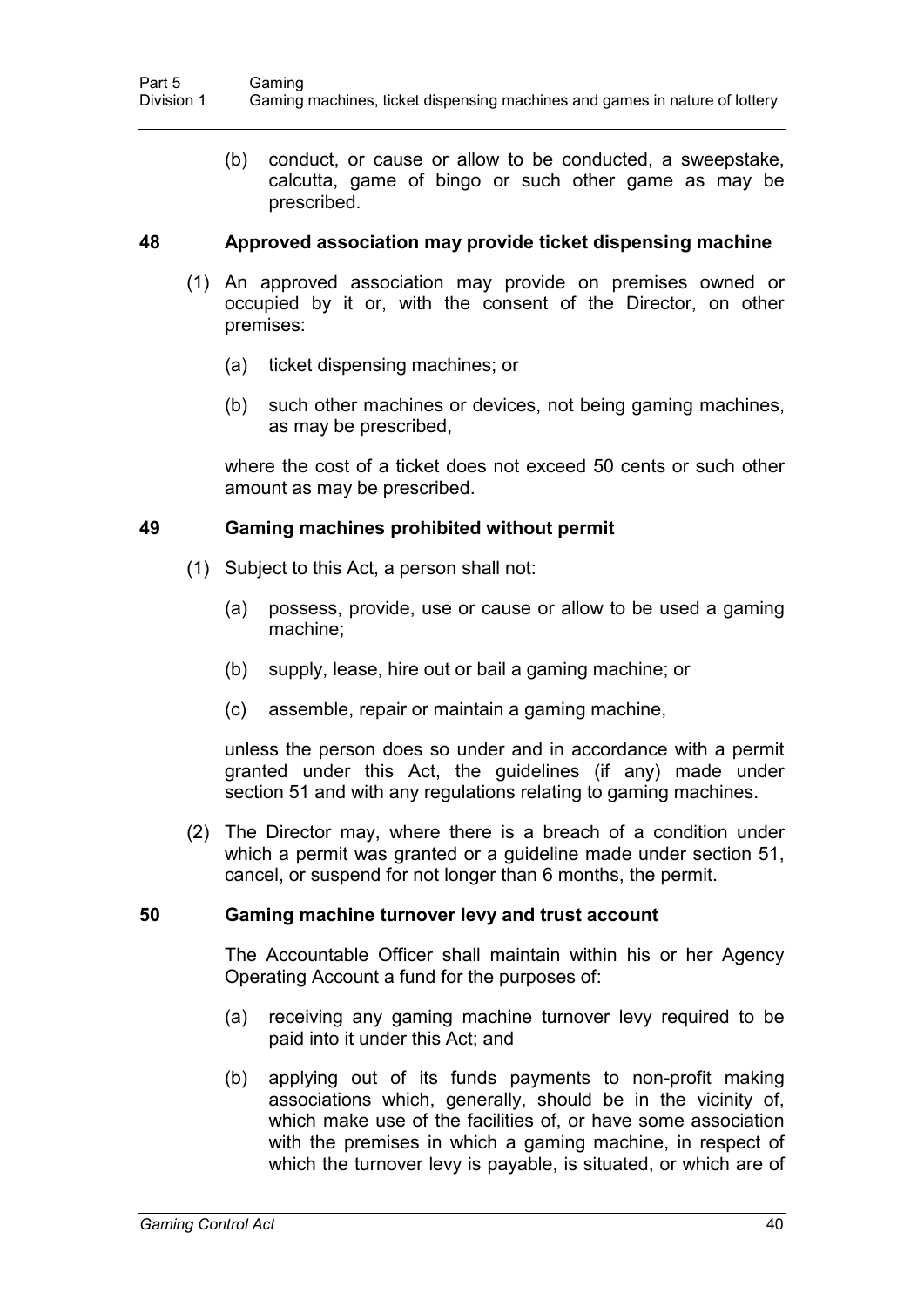(b) conduct, or cause or allow to be conducted, a sweepstake, calcutta, game of bingo or such other game as may be prescribed.

#### **48 Approved association may provide ticket dispensing machine**

- (1) An approved association may provide on premises owned or occupied by it or, with the consent of the Director, on other premises:
	- (a) ticket dispensing machines; or
	- (b) such other machines or devices, not being gaming machines, as may be prescribed,

where the cost of a ticket does not exceed 50 cents or such other amount as may be prescribed.

#### **49 Gaming machines prohibited without permit**

- (1) Subject to this Act, a person shall not:
	- (a) possess, provide, use or cause or allow to be used a gaming machine;
	- (b) supply, lease, hire out or bail a gaming machine; or
	- (c) assemble, repair or maintain a gaming machine,

unless the person does so under and in accordance with a permit granted under this Act, the guidelines (if any) made under section 51 and with any regulations relating to gaming machines.

(2) The Director may, where there is a breach of a condition under which a permit was granted or a guideline made under section 51, cancel, or suspend for not longer than 6 months, the permit.

#### **50 Gaming machine turnover levy and trust account**

The Accountable Officer shall maintain within his or her Agency Operating Account a fund for the purposes of:

- (a) receiving any gaming machine turnover levy required to be paid into it under this Act; and
- (b) applying out of its funds payments to non-profit making associations which, generally, should be in the vicinity of, which make use of the facilities of, or have some association with the premises in which a gaming machine, in respect of which the turnover levy is payable, is situated, or which are of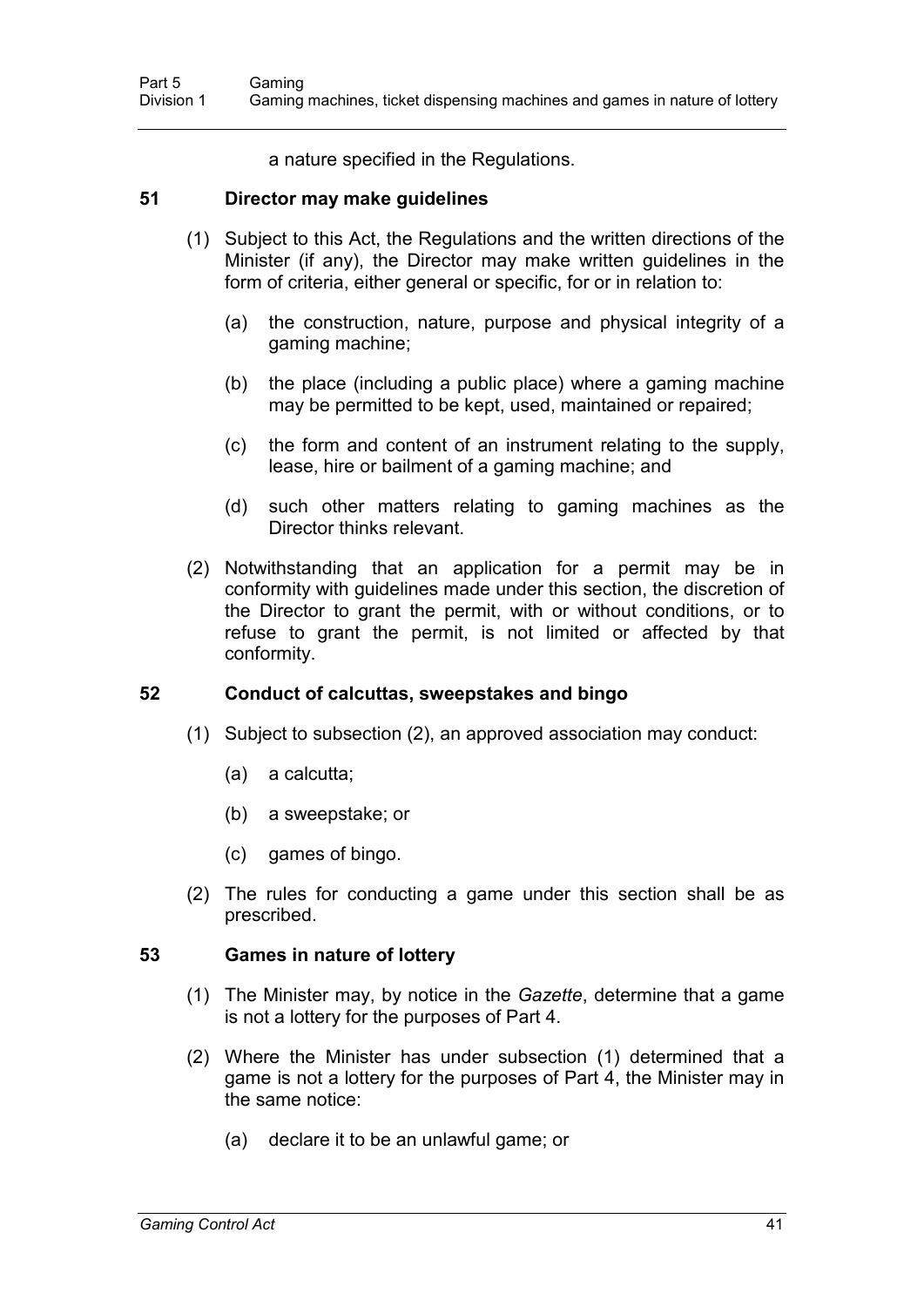a nature specified in the Regulations.

#### **51 Director may make guidelines**

- (1) Subject to this Act, the Regulations and the written directions of the Minister (if any), the Director may make written guidelines in the form of criteria, either general or specific, for or in relation to:
	- (a) the construction, nature, purpose and physical integrity of a gaming machine;
	- (b) the place (including a public place) where a gaming machine may be permitted to be kept, used, maintained or repaired;
	- (c) the form and content of an instrument relating to the supply, lease, hire or bailment of a gaming machine; and
	- (d) such other matters relating to gaming machines as the Director thinks relevant.
- (2) Notwithstanding that an application for a permit may be in conformity with guidelines made under this section, the discretion of the Director to grant the permit, with or without conditions, or to refuse to grant the permit, is not limited or affected by that conformity.

#### **52 Conduct of calcuttas, sweepstakes and bingo**

- (1) Subject to subsection (2), an approved association may conduct:
	- (a) a calcutta;
	- (b) a sweepstake; or
	- (c) games of bingo.
- (2) The rules for conducting a game under this section shall be as prescribed.

#### **53 Games in nature of lottery**

- (1) The Minister may, by notice in the *Gazette*, determine that a game is not a lottery for the purposes of Part 4.
- (2) Where the Minister has under subsection (1) determined that a game is not a lottery for the purposes of Part 4, the Minister may in the same notice:
	- (a) declare it to be an unlawful game; or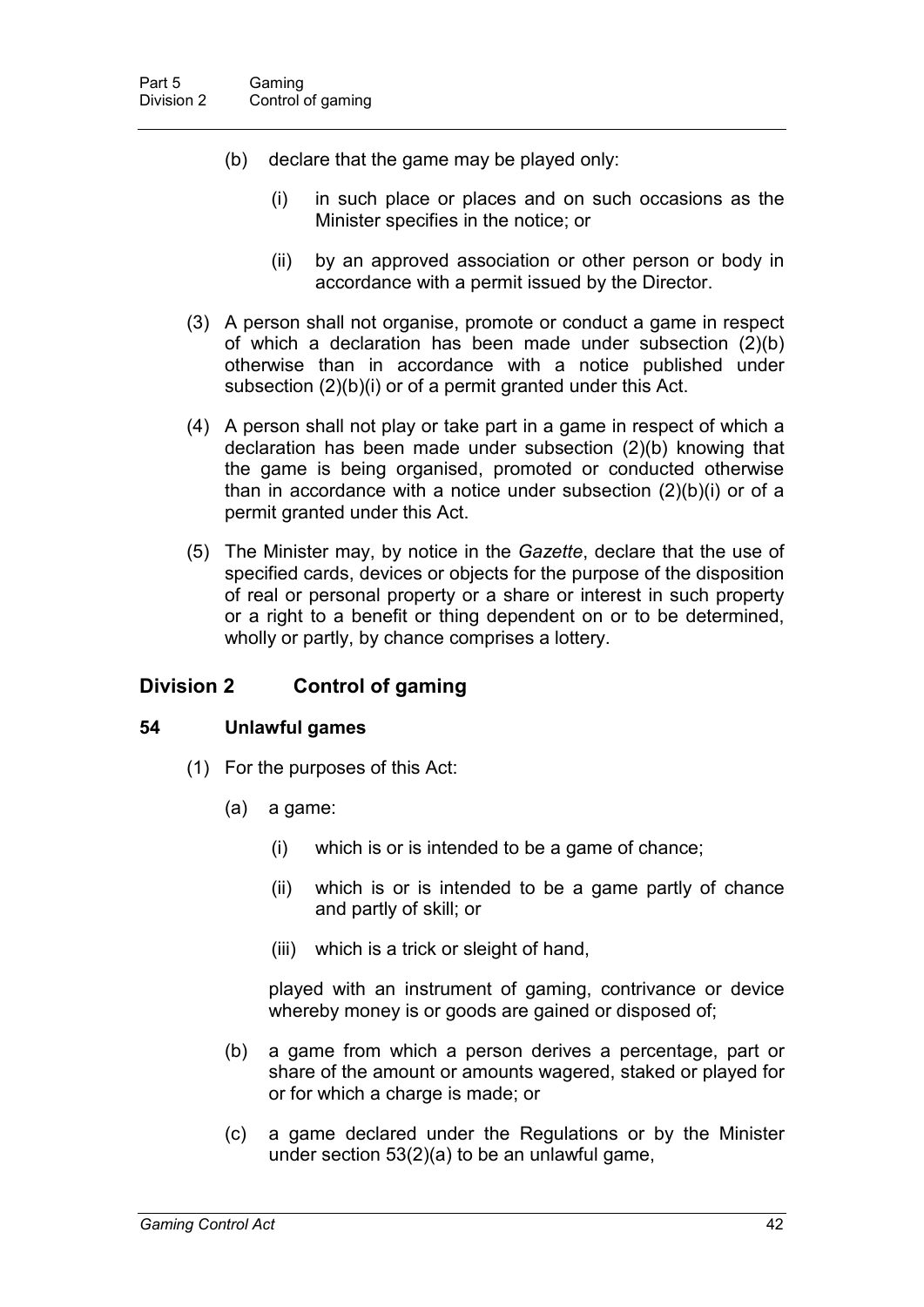- (b) declare that the game may be played only:
	- (i) in such place or places and on such occasions as the Minister specifies in the notice; or
	- (ii) by an approved association or other person or body in accordance with a permit issued by the Director.
- (3) A person shall not organise, promote or conduct a game in respect of which a declaration has been made under subsection (2)(b) otherwise than in accordance with a notice published under subsection (2)(b)(i) or of a permit granted under this Act.
- (4) A person shall not play or take part in a game in respect of which a declaration has been made under subsection (2)(b) knowing that the game is being organised, promoted or conducted otherwise than in accordance with a notice under subsection (2)(b)(i) or of a permit granted under this Act.
- (5) The Minister may, by notice in the *Gazette*, declare that the use of specified cards, devices or objects for the purpose of the disposition of real or personal property or a share or interest in such property or a right to a benefit or thing dependent on or to be determined, wholly or partly, by chance comprises a lottery.

### **Division 2 Control of gaming**

#### **54 Unlawful games**

- (1) For the purposes of this Act:
	- (a) a game:
		- (i) which is or is intended to be a game of chance;
		- (ii) which is or is intended to be a game partly of chance and partly of skill; or
		- (iii) which is a trick or sleight of hand,

played with an instrument of gaming, contrivance or device whereby money is or goods are gained or disposed of;

- (b) a game from which a person derives a percentage, part or share of the amount or amounts wagered, staked or played for or for which a charge is made; or
- (c) a game declared under the Regulations or by the Minister under section 53(2)(a) to be an unlawful game,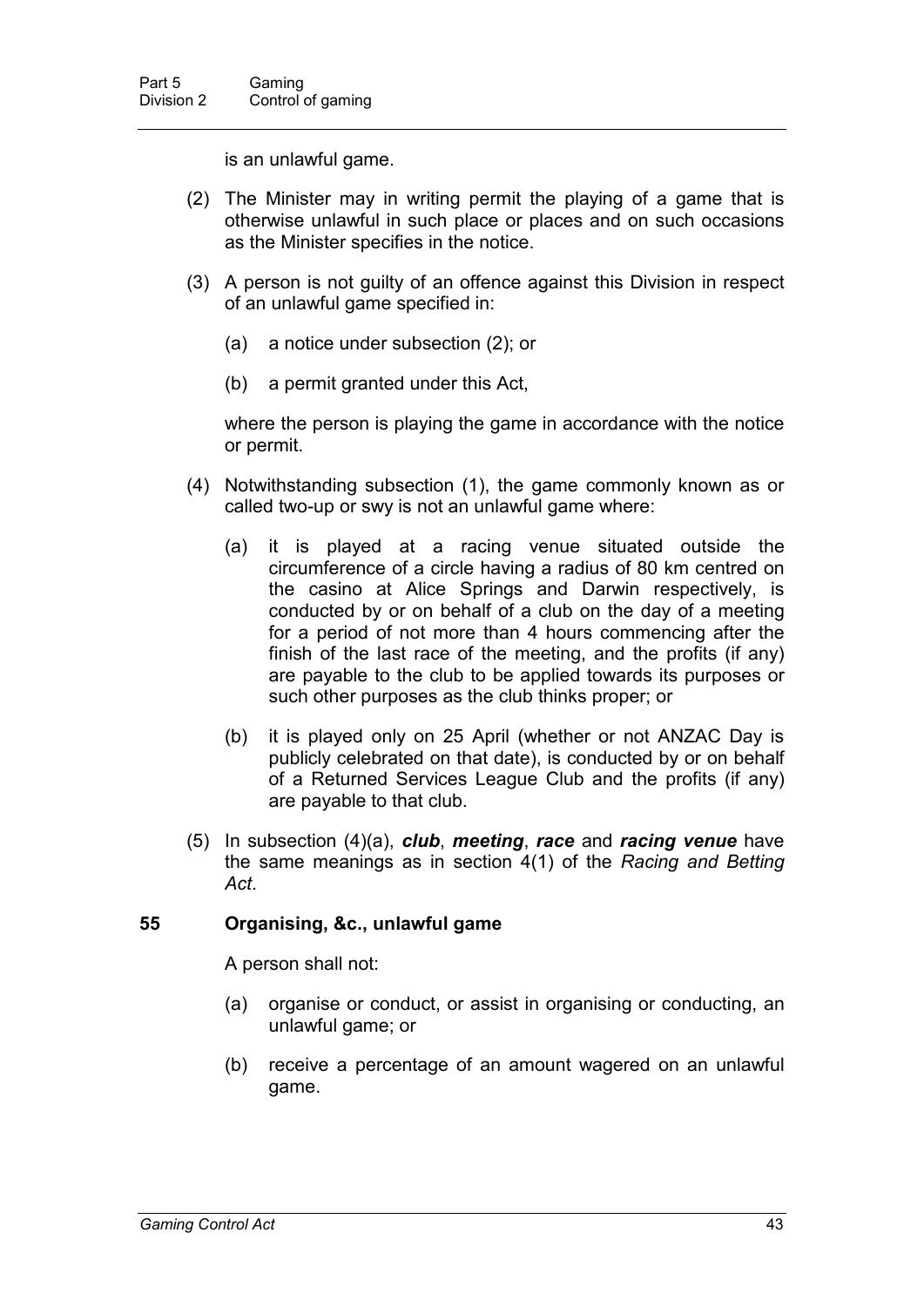is an unlawful game.

- (2) The Minister may in writing permit the playing of a game that is otherwise unlawful in such place or places and on such occasions as the Minister specifies in the notice.
- (3) A person is not guilty of an offence against this Division in respect of an unlawful game specified in:
	- (a) a notice under subsection (2); or
	- (b) a permit granted under this Act,

where the person is playing the game in accordance with the notice or permit.

- (4) Notwithstanding subsection (1), the game commonly known as or called two-up or swy is not an unlawful game where:
	- (a) it is played at a racing venue situated outside the circumference of a circle having a radius of 80 km centred on the casino at Alice Springs and Darwin respectively, is conducted by or on behalf of a club on the day of a meeting for a period of not more than 4 hours commencing after the finish of the last race of the meeting, and the profits (if any) are payable to the club to be applied towards its purposes or such other purposes as the club thinks proper; or
	- (b) it is played only on 25 April (whether or not ANZAC Day is publicly celebrated on that date), is conducted by or on behalf of a Returned Services League Club and the profits (if any) are payable to that club.
- (5) In subsection (4)(a), *club*, *meeting*, *race* and *racing venue* have the same meanings as in section 4(1) of the *Racing and Betting Act*.

#### **55 Organising, &c., unlawful game**

A person shall not:

- (a) organise or conduct, or assist in organising or conducting, an unlawful game; or
- (b) receive a percentage of an amount wagered on an unlawful game.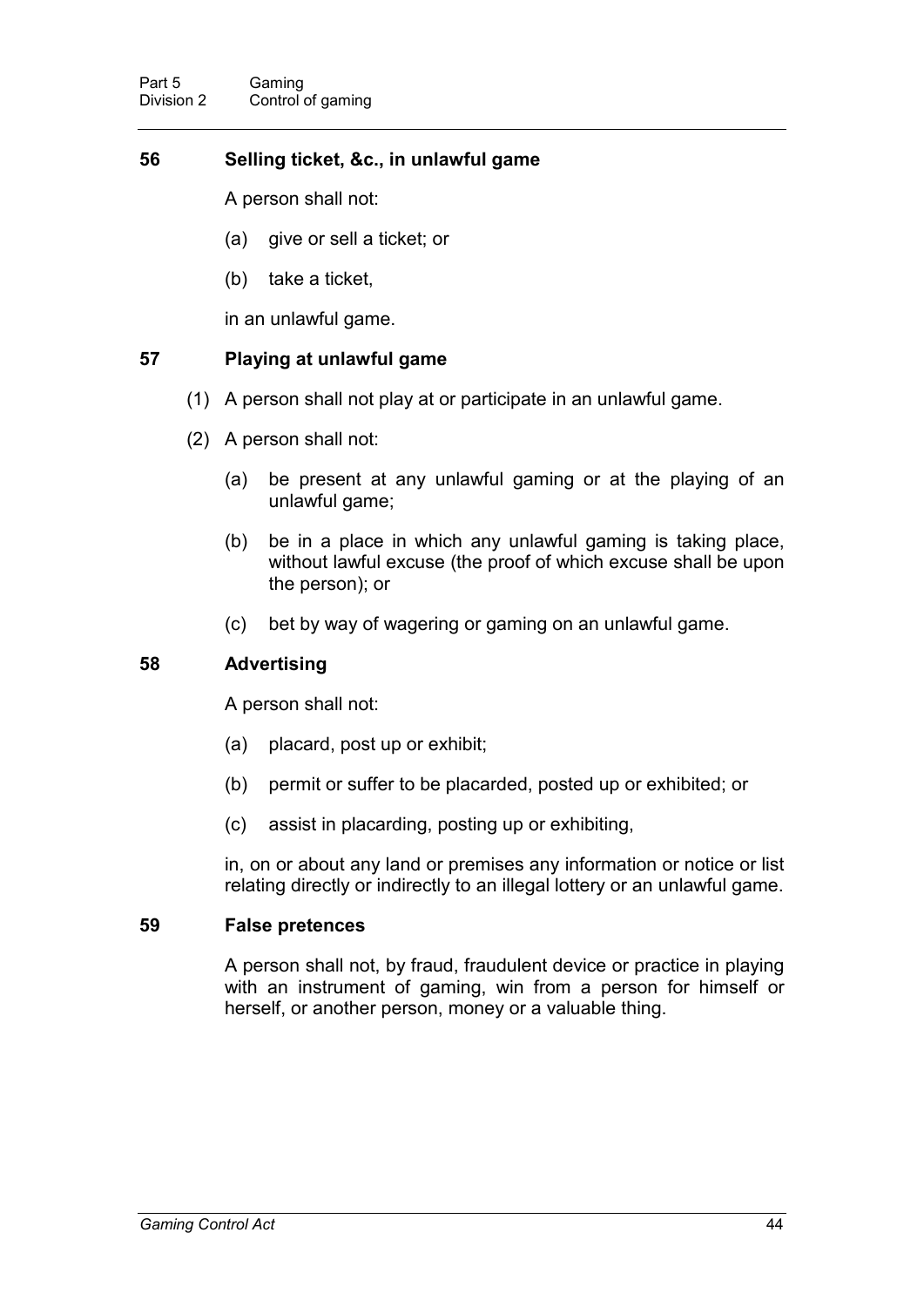### **56 Selling ticket, &c., in unlawful game**

A person shall not:

- (a) give or sell a ticket; or
- (b) take a ticket,

in an unlawful game.

#### **57 Playing at unlawful game**

- (1) A person shall not play at or participate in an unlawful game.
- (2) A person shall not:
	- (a) be present at any unlawful gaming or at the playing of an unlawful game;
	- (b) be in a place in which any unlawful gaming is taking place, without lawful excuse (the proof of which excuse shall be upon the person); or
	- (c) bet by way of wagering or gaming on an unlawful game.

#### **58 Advertising**

A person shall not:

- (a) placard, post up or exhibit;
- (b) permit or suffer to be placarded, posted up or exhibited; or
- (c) assist in placarding, posting up or exhibiting,

in, on or about any land or premises any information or notice or list relating directly or indirectly to an illegal lottery or an unlawful game.

#### **59 False pretences**

A person shall not, by fraud, fraudulent device or practice in playing with an instrument of gaming, win from a person for himself or herself, or another person, money or a valuable thing.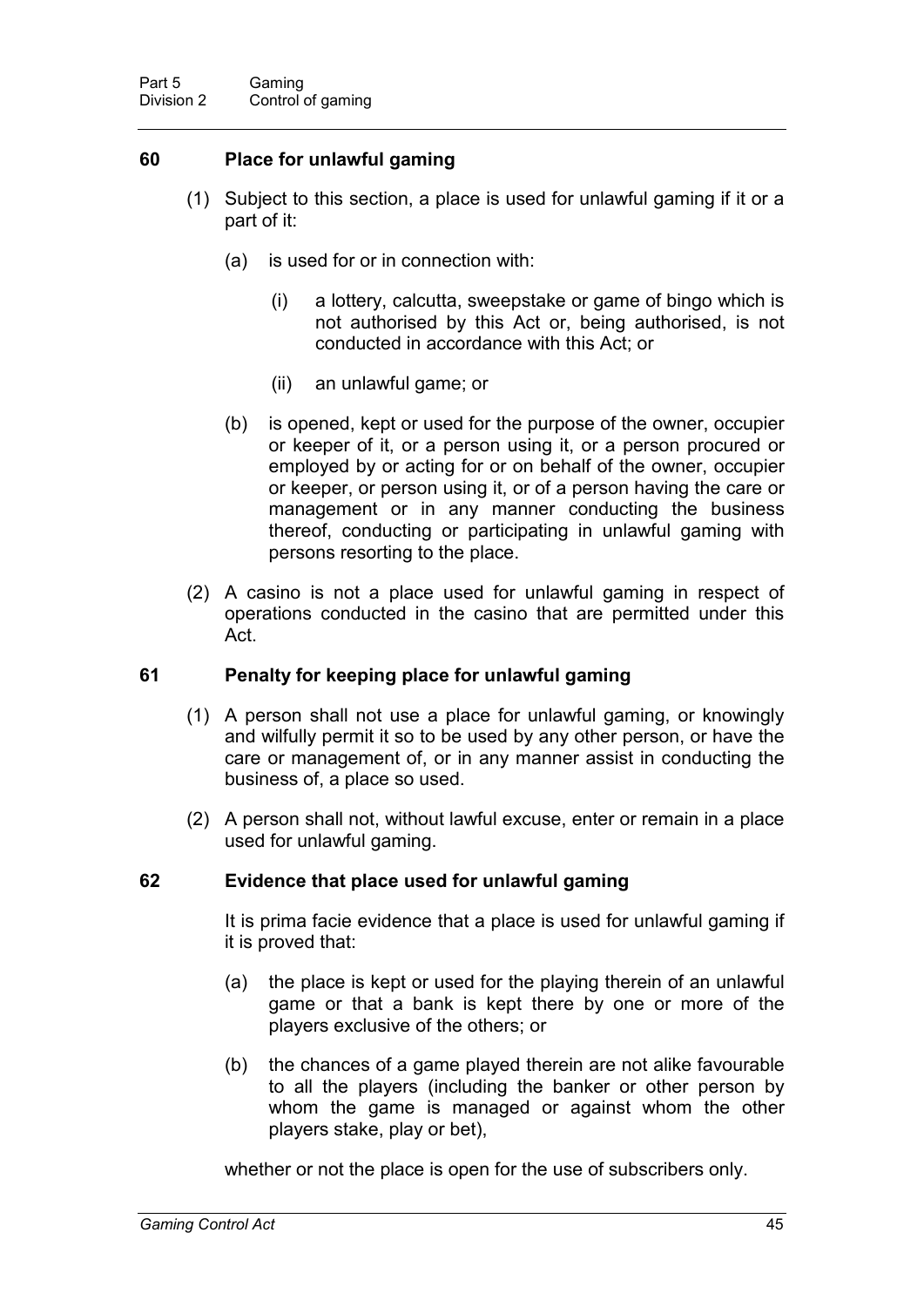#### **60 Place for unlawful gaming**

- (1) Subject to this section, a place is used for unlawful gaming if it or a part of it:
	- (a) is used for or in connection with:
		- (i) a lottery, calcutta, sweepstake or game of bingo which is not authorised by this Act or, being authorised, is not conducted in accordance with this Act; or
		- (ii) an unlawful game; or
	- (b) is opened, kept or used for the purpose of the owner, occupier or keeper of it, or a person using it, or a person procured or employed by or acting for or on behalf of the owner, occupier or keeper, or person using it, or of a person having the care or management or in any manner conducting the business thereof, conducting or participating in unlawful gaming with persons resorting to the place.
- (2) A casino is not a place used for unlawful gaming in respect of operations conducted in the casino that are permitted under this Act.

#### **61 Penalty for keeping place for unlawful gaming**

- (1) A person shall not use a place for unlawful gaming, or knowingly and wilfully permit it so to be used by any other person, or have the care or management of, or in any manner assist in conducting the business of, a place so used.
- (2) A person shall not, without lawful excuse, enter or remain in a place used for unlawful gaming.

#### **62 Evidence that place used for unlawful gaming**

It is prima facie evidence that a place is used for unlawful gaming if it is proved that:

- (a) the place is kept or used for the playing therein of an unlawful game or that a bank is kept there by one or more of the players exclusive of the others; or
- (b) the chances of a game played therein are not alike favourable to all the players (including the banker or other person by whom the game is managed or against whom the other players stake, play or bet),

whether or not the place is open for the use of subscribers only.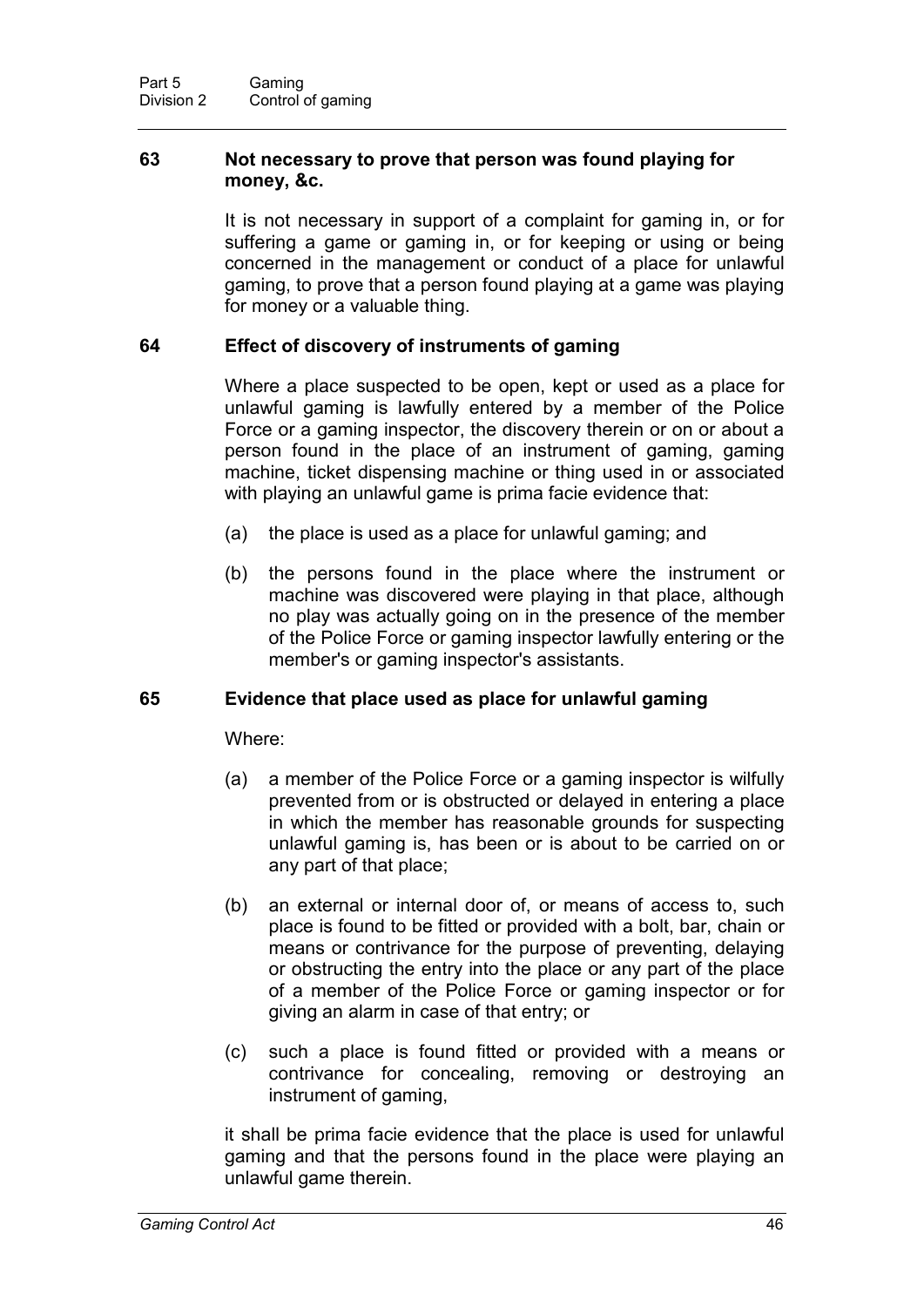#### **63 Not necessary to prove that person was found playing for money, &c.**

It is not necessary in support of a complaint for gaming in, or for suffering a game or gaming in, or for keeping or using or being concerned in the management or conduct of a place for unlawful gaming, to prove that a person found playing at a game was playing for money or a valuable thing.

#### **64 Effect of discovery of instruments of gaming**

Where a place suspected to be open, kept or used as a place for unlawful gaming is lawfully entered by a member of the Police Force or a gaming inspector, the discovery therein or on or about a person found in the place of an instrument of gaming, gaming machine, ticket dispensing machine or thing used in or associated with playing an unlawful game is prima facie evidence that:

- (a) the place is used as a place for unlawful gaming; and
- (b) the persons found in the place where the instrument or machine was discovered were playing in that place, although no play was actually going on in the presence of the member of the Police Force or gaming inspector lawfully entering or the member's or gaming inspector's assistants.

#### **65 Evidence that place used as place for unlawful gaming**

Where:

- (a) a member of the Police Force or a gaming inspector is wilfully prevented from or is obstructed or delayed in entering a place in which the member has reasonable grounds for suspecting unlawful gaming is, has been or is about to be carried on or any part of that place;
- (b) an external or internal door of, or means of access to, such place is found to be fitted or provided with a bolt, bar, chain or means or contrivance for the purpose of preventing, delaying or obstructing the entry into the place or any part of the place of a member of the Police Force or gaming inspector or for giving an alarm in case of that entry; or
- (c) such a place is found fitted or provided with a means or contrivance for concealing, removing or destroying an instrument of gaming,

it shall be prima facie evidence that the place is used for unlawful gaming and that the persons found in the place were playing an unlawful game therein.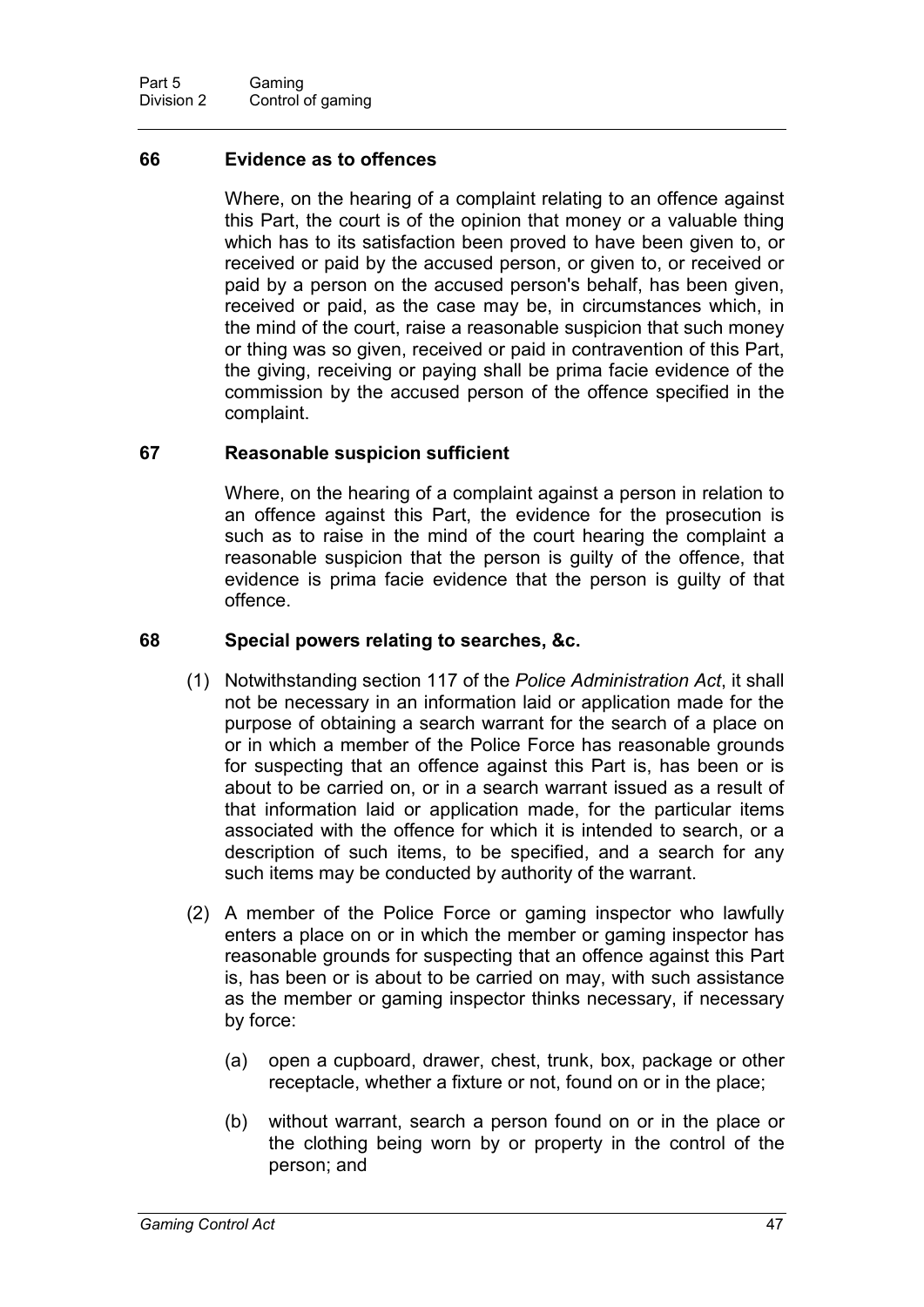#### **66 Evidence as to offences**

Where, on the hearing of a complaint relating to an offence against this Part, the court is of the opinion that money or a valuable thing which has to its satisfaction been proved to have been given to, or received or paid by the accused person, or given to, or received or paid by a person on the accused person's behalf, has been given, received or paid, as the case may be, in circumstances which, in the mind of the court, raise a reasonable suspicion that such money or thing was so given, received or paid in contravention of this Part, the giving, receiving or paying shall be prima facie evidence of the commission by the accused person of the offence specified in the complaint.

#### **67 Reasonable suspicion sufficient**

Where, on the hearing of a complaint against a person in relation to an offence against this Part, the evidence for the prosecution is such as to raise in the mind of the court hearing the complaint a reasonable suspicion that the person is guilty of the offence, that evidence is prima facie evidence that the person is guilty of that offence.

#### **68 Special powers relating to searches, &c.**

- (1) Notwithstanding section 117 of the *Police Administration Act*, it shall not be necessary in an information laid or application made for the purpose of obtaining a search warrant for the search of a place on or in which a member of the Police Force has reasonable grounds for suspecting that an offence against this Part is, has been or is about to be carried on, or in a search warrant issued as a result of that information laid or application made, for the particular items associated with the offence for which it is intended to search, or a description of such items, to be specified, and a search for any such items may be conducted by authority of the warrant.
- (2) A member of the Police Force or gaming inspector who lawfully enters a place on or in which the member or gaming inspector has reasonable grounds for suspecting that an offence against this Part is, has been or is about to be carried on may, with such assistance as the member or gaming inspector thinks necessary, if necessary by force:
	- (a) open a cupboard, drawer, chest, trunk, box, package or other receptacle, whether a fixture or not, found on or in the place;
	- (b) without warrant, search a person found on or in the place or the clothing being worn by or property in the control of the person; and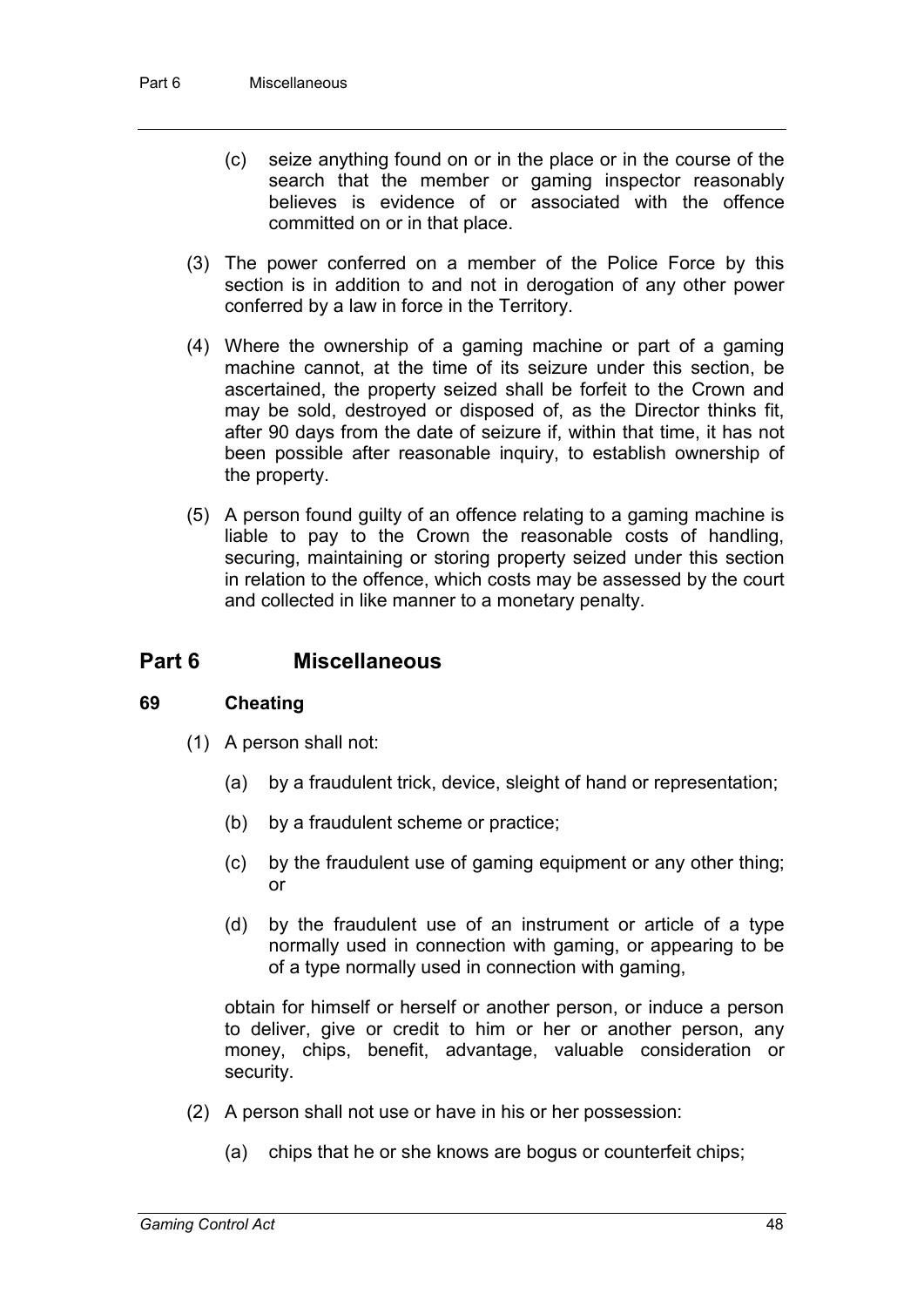- (c) seize anything found on or in the place or in the course of the search that the member or gaming inspector reasonably believes is evidence of or associated with the offence committed on or in that place.
- (3) The power conferred on a member of the Police Force by this section is in addition to and not in derogation of any other power conferred by a law in force in the Territory.
- (4) Where the ownership of a gaming machine or part of a gaming machine cannot, at the time of its seizure under this section, be ascertained, the property seized shall be forfeit to the Crown and may be sold, destroyed or disposed of, as the Director thinks fit, after 90 days from the date of seizure if, within that time, it has not been possible after reasonable inquiry, to establish ownership of the property.
- (5) A person found guilty of an offence relating to a gaming machine is liable to pay to the Crown the reasonable costs of handling, securing, maintaining or storing property seized under this section in relation to the offence, which costs may be assessed by the court and collected in like manner to a monetary penalty.

# **Part 6 Miscellaneous**

#### **69 Cheating**

- (1) A person shall not:
	- (a) by a fraudulent trick, device, sleight of hand or representation;
	- (b) by a fraudulent scheme or practice;
	- (c) by the fraudulent use of gaming equipment or any other thing; or
	- (d) by the fraudulent use of an instrument or article of a type normally used in connection with gaming, or appearing to be of a type normally used in connection with gaming,

obtain for himself or herself or another person, or induce a person to deliver, give or credit to him or her or another person, any money, chips, benefit, advantage, valuable consideration or security.

- (2) A person shall not use or have in his or her possession:
	- (a) chips that he or she knows are bogus or counterfeit chips;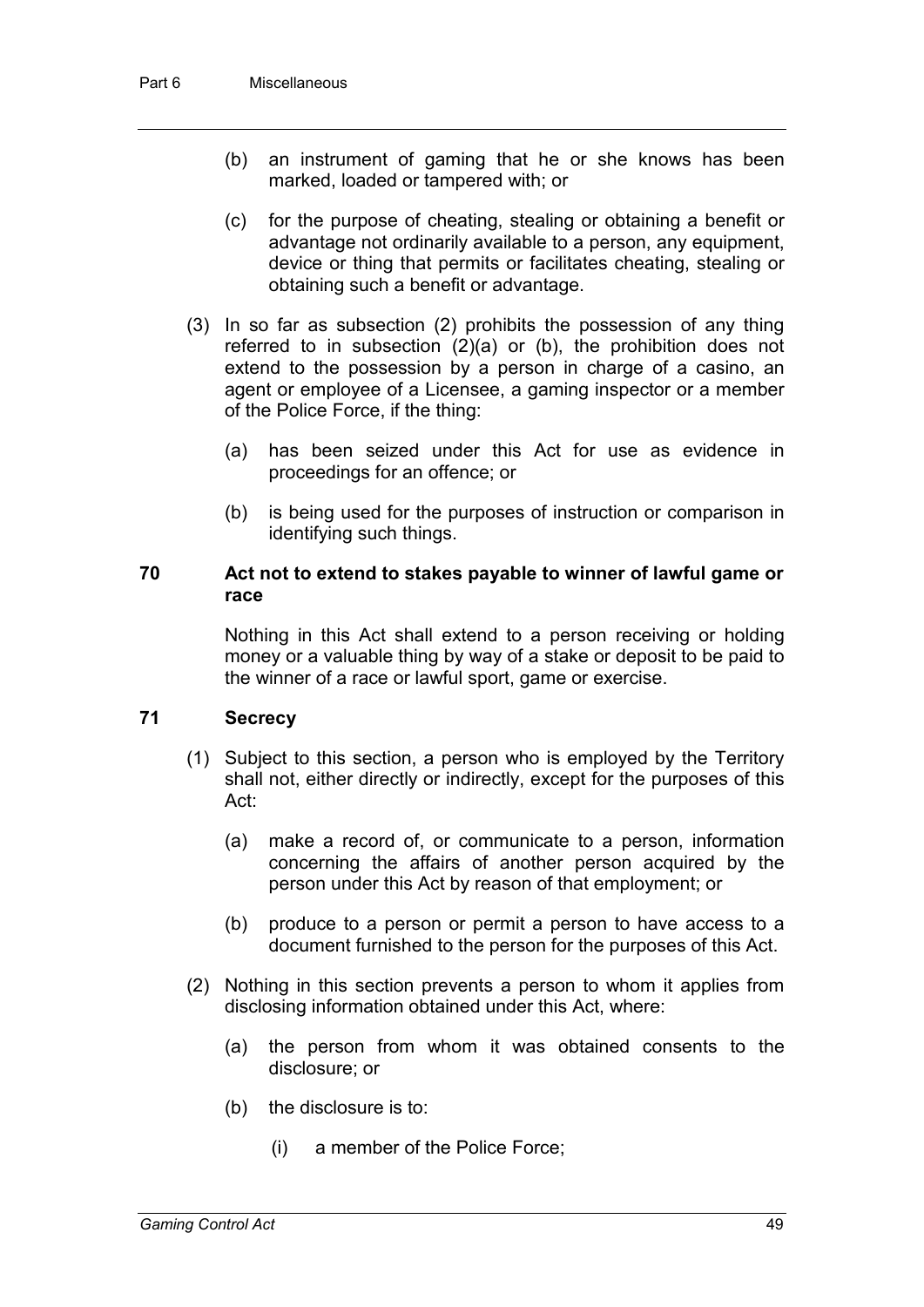- (b) an instrument of gaming that he or she knows has been marked, loaded or tampered with; or
- (c) for the purpose of cheating, stealing or obtaining a benefit or advantage not ordinarily available to a person, any equipment, device or thing that permits or facilitates cheating, stealing or obtaining such a benefit or advantage.
- (3) In so far as subsection (2) prohibits the possession of any thing referred to in subsection (2)(a) or (b), the prohibition does not extend to the possession by a person in charge of a casino, an agent or employee of a Licensee, a gaming inspector or a member of the Police Force, if the thing:
	- (a) has been seized under this Act for use as evidence in proceedings for an offence; or
	- (b) is being used for the purposes of instruction or comparison in identifying such things.

#### **70 Act not to extend to stakes payable to winner of lawful game or race**

Nothing in this Act shall extend to a person receiving or holding money or a valuable thing by way of a stake or deposit to be paid to the winner of a race or lawful sport, game or exercise.

#### **71 Secrecy**

- (1) Subject to this section, a person who is employed by the Territory shall not, either directly or indirectly, except for the purposes of this Act:
	- (a) make a record of, or communicate to a person, information concerning the affairs of another person acquired by the person under this Act by reason of that employment; or
	- (b) produce to a person or permit a person to have access to a document furnished to the person for the purposes of this Act.
- (2) Nothing in this section prevents a person to whom it applies from disclosing information obtained under this Act, where:
	- (a) the person from whom it was obtained consents to the disclosure; or
	- (b) the disclosure is to:
		- (i) a member of the Police Force;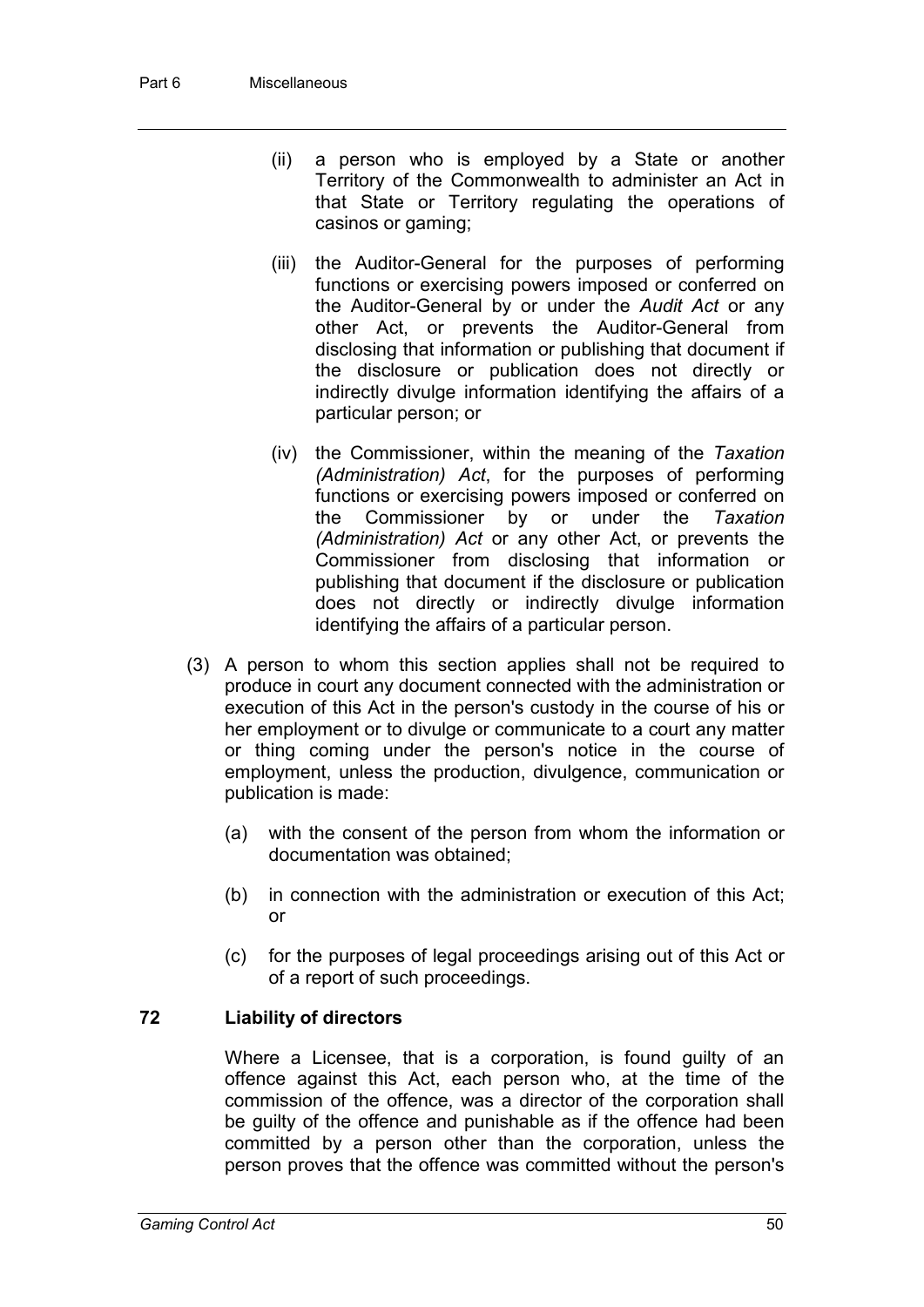- (ii) a person who is employed by a State or another Territory of the Commonwealth to administer an Act in that State or Territory regulating the operations of casinos or gaming;
- (iii) the Auditor-General for the purposes of performing functions or exercising powers imposed or conferred on the Auditor-General by or under the *Audit Act* or any other Act, or prevents the Auditor-General from disclosing that information or publishing that document if the disclosure or publication does not directly or indirectly divulge information identifying the affairs of a particular person; or
- (iv) the Commissioner, within the meaning of the *Taxation (Administration) Act*, for the purposes of performing functions or exercising powers imposed or conferred on the Commissioner by or under the *Taxation (Administration) Act* or any other Act, or prevents the Commissioner from disclosing that information or publishing that document if the disclosure or publication does not directly or indirectly divulge information identifying the affairs of a particular person.
- (3) A person to whom this section applies shall not be required to produce in court any document connected with the administration or execution of this Act in the person's custody in the course of his or her employment or to divulge or communicate to a court any matter or thing coming under the person's notice in the course of employment, unless the production, divulgence, communication or publication is made:
	- (a) with the consent of the person from whom the information or documentation was obtained;
	- (b) in connection with the administration or execution of this Act; or
	- (c) for the purposes of legal proceedings arising out of this Act or of a report of such proceedings.

### **72 Liability of directors**

Where a Licensee, that is a corporation, is found guilty of an offence against this Act, each person who, at the time of the commission of the offence, was a director of the corporation shall be guilty of the offence and punishable as if the offence had been committed by a person other than the corporation, unless the person proves that the offence was committed without the person's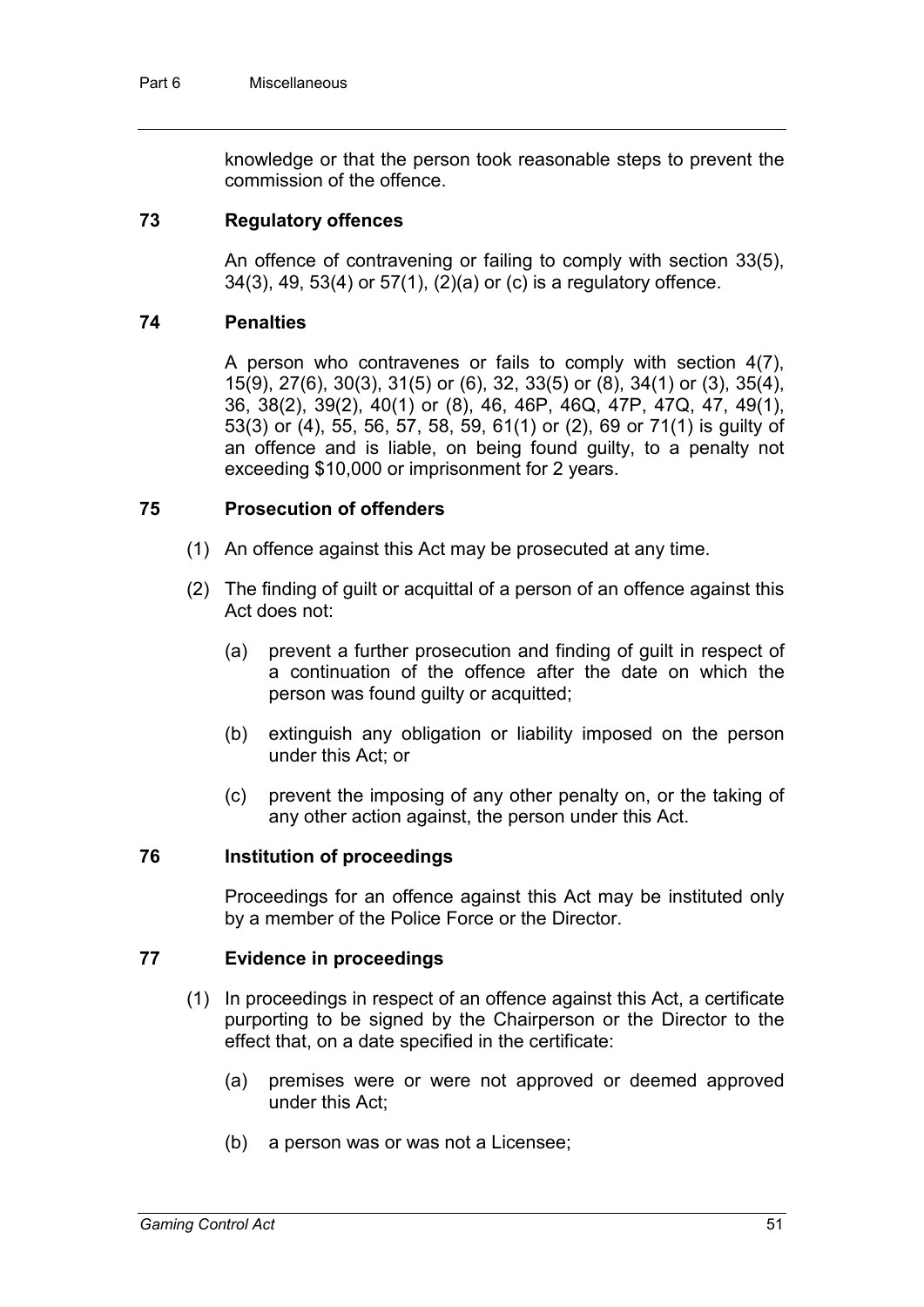knowledge or that the person took reasonable steps to prevent the commission of the offence.

#### **73 Regulatory offences**

An offence of contravening or failing to comply with section 33(5), 34(3), 49, 53(4) or 57(1), (2)(a) or (c) is a regulatory offence.

#### **74 Penalties**

A person who contravenes or fails to comply with section 4(7), 15(9), 27(6), 30(3), 31(5) or (6), 32, 33(5) or (8), 34(1) or (3), 35(4), 36, 38(2), 39(2), 40(1) or (8), 46, 46P, 46Q, 47P, 47Q, 47, 49(1), 53(3) or (4), 55, 56, 57, 58, 59, 61(1) or (2), 69 or 71(1) is guilty of an offence and is liable, on being found guilty, to a penalty not exceeding \$10,000 or imprisonment for 2 years.

#### **75 Prosecution of offenders**

- (1) An offence against this Act may be prosecuted at any time.
- (2) The finding of guilt or acquittal of a person of an offence against this Act does not:
	- (a) prevent a further prosecution and finding of guilt in respect of a continuation of the offence after the date on which the person was found guilty or acquitted;
	- (b) extinguish any obligation or liability imposed on the person under this Act; or
	- (c) prevent the imposing of any other penalty on, or the taking of any other action against, the person under this Act.

#### **76 Institution of proceedings**

Proceedings for an offence against this Act may be instituted only by a member of the Police Force or the Director.

#### **77 Evidence in proceedings**

- (1) In proceedings in respect of an offence against this Act, a certificate purporting to be signed by the Chairperson or the Director to the effect that, on a date specified in the certificate:
	- (a) premises were or were not approved or deemed approved under this Act;
	- (b) a person was or was not a Licensee;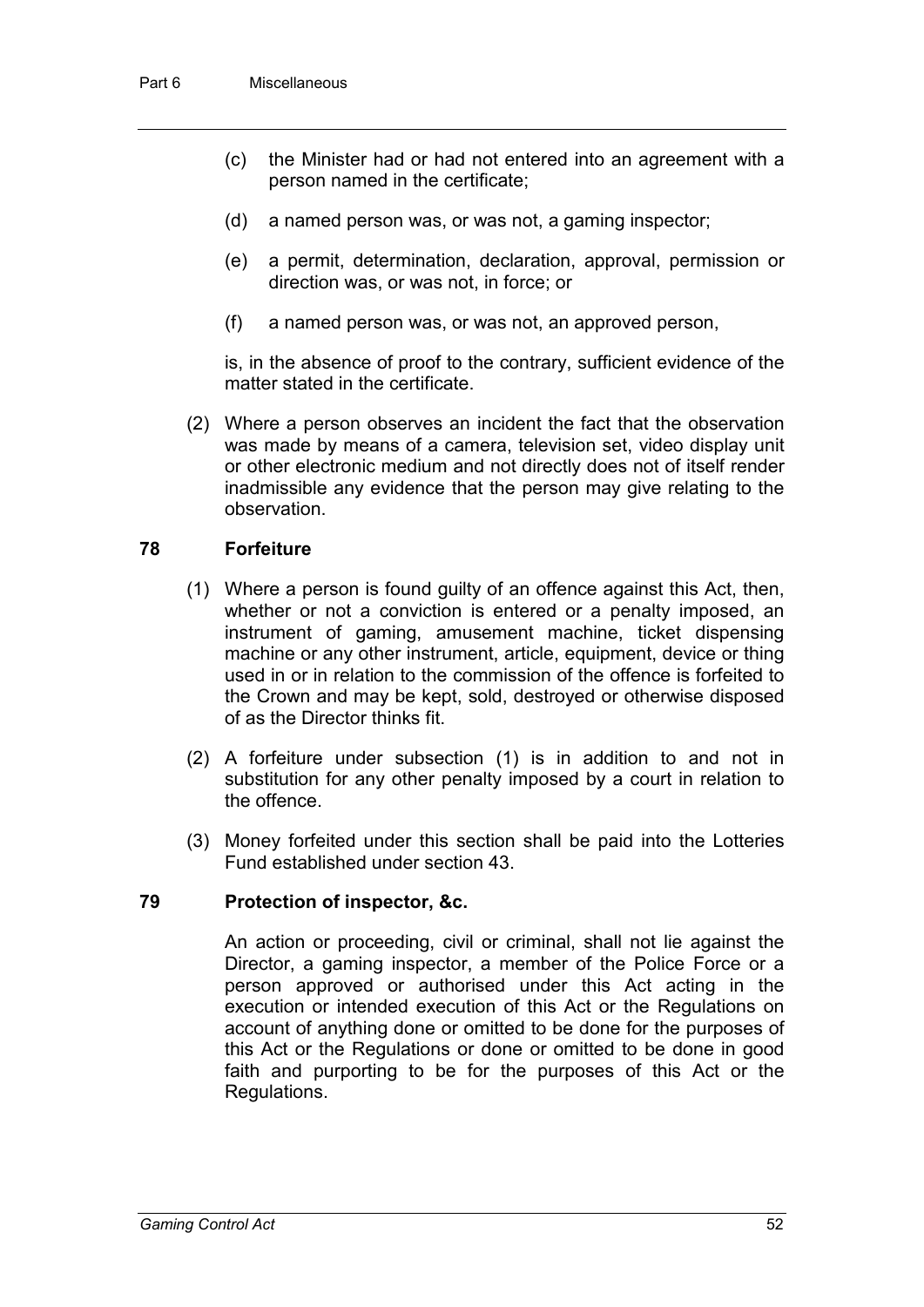- (c) the Minister had or had not entered into an agreement with a person named in the certificate;
- (d) a named person was, or was not, a gaming inspector;
- (e) a permit, determination, declaration, approval, permission or direction was, or was not, in force; or
- (f) a named person was, or was not, an approved person,

is, in the absence of proof to the contrary, sufficient evidence of the matter stated in the certificate.

(2) Where a person observes an incident the fact that the observation was made by means of a camera, television set, video display unit or other electronic medium and not directly does not of itself render inadmissible any evidence that the person may give relating to the observation.

#### **78 Forfeiture**

- (1) Where a person is found guilty of an offence against this Act, then, whether or not a conviction is entered or a penalty imposed, an instrument of gaming, amusement machine, ticket dispensing machine or any other instrument, article, equipment, device or thing used in or in relation to the commission of the offence is forfeited to the Crown and may be kept, sold, destroyed or otherwise disposed of as the Director thinks fit.
- (2) A forfeiture under subsection (1) is in addition to and not in substitution for any other penalty imposed by a court in relation to the offence.
- (3) Money forfeited under this section shall be paid into the Lotteries Fund established under section 43.

#### **79 Protection of inspector, &c.**

An action or proceeding, civil or criminal, shall not lie against the Director, a gaming inspector, a member of the Police Force or a person approved or authorised under this Act acting in the execution or intended execution of this Act or the Regulations on account of anything done or omitted to be done for the purposes of this Act or the Regulations or done or omitted to be done in good faith and purporting to be for the purposes of this Act or the Regulations.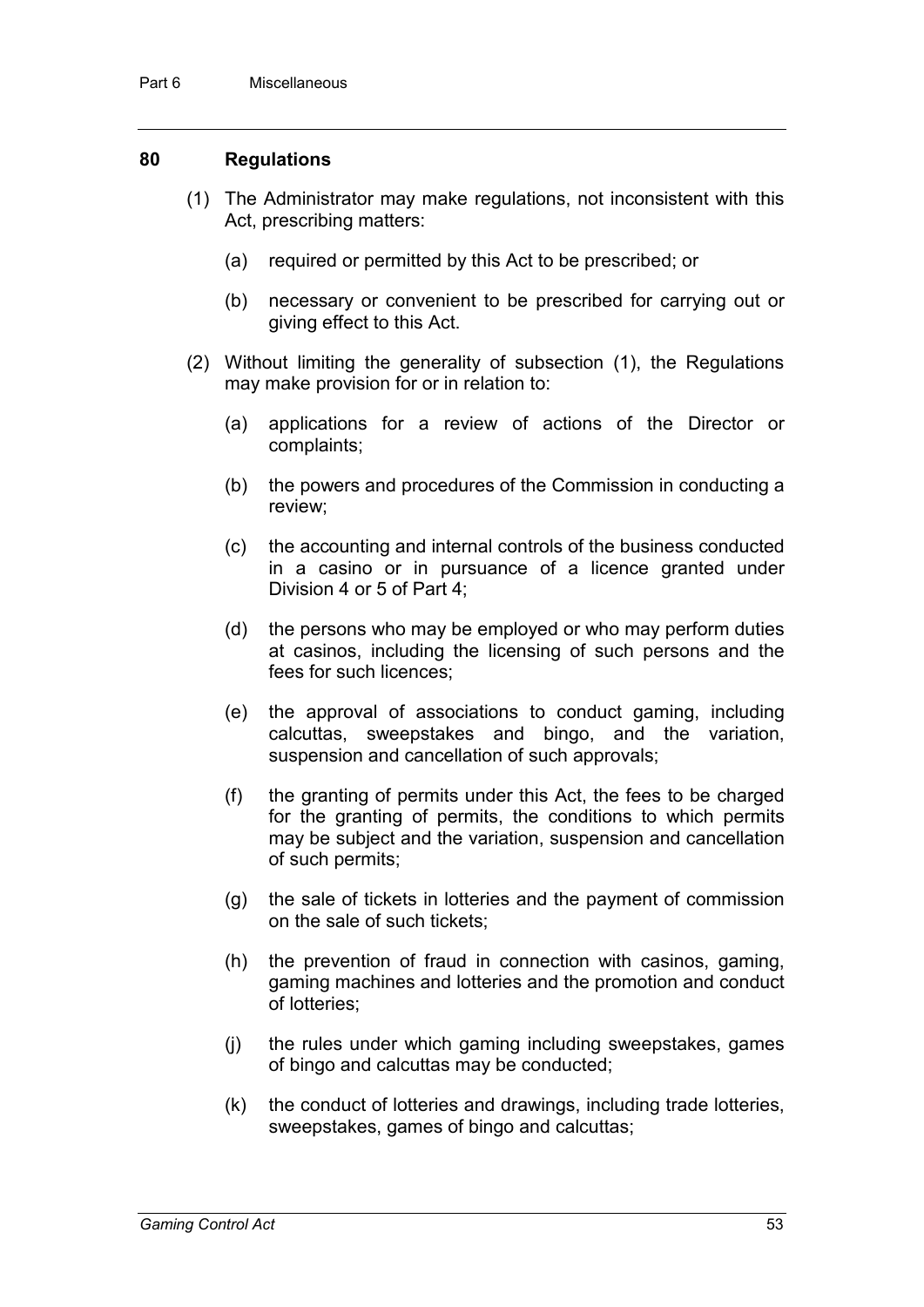#### **80 Regulations**

- (1) The Administrator may make regulations, not inconsistent with this Act, prescribing matters:
	- (a) required or permitted by this Act to be prescribed; or
	- (b) necessary or convenient to be prescribed for carrying out or giving effect to this Act.
- (2) Without limiting the generality of subsection (1), the Regulations may make provision for or in relation to:
	- (a) applications for a review of actions of the Director or complaints;
	- (b) the powers and procedures of the Commission in conducting a review;
	- (c) the accounting and internal controls of the business conducted in a casino or in pursuance of a licence granted under Division 4 or 5 of Part 4;
	- (d) the persons who may be employed or who may perform duties at casinos, including the licensing of such persons and the fees for such licences;
	- (e) the approval of associations to conduct gaming, including calcuttas, sweepstakes and bingo, and the variation, suspension and cancellation of such approvals;
	- (f) the granting of permits under this Act, the fees to be charged for the granting of permits, the conditions to which permits may be subject and the variation, suspension and cancellation of such permits;
	- (g) the sale of tickets in lotteries and the payment of commission on the sale of such tickets;
	- (h) the prevention of fraud in connection with casinos, gaming, gaming machines and lotteries and the promotion and conduct of lotteries;
	- (j) the rules under which gaming including sweepstakes, games of bingo and calcuttas may be conducted;
	- (k) the conduct of lotteries and drawings, including trade lotteries, sweepstakes, games of bingo and calcuttas;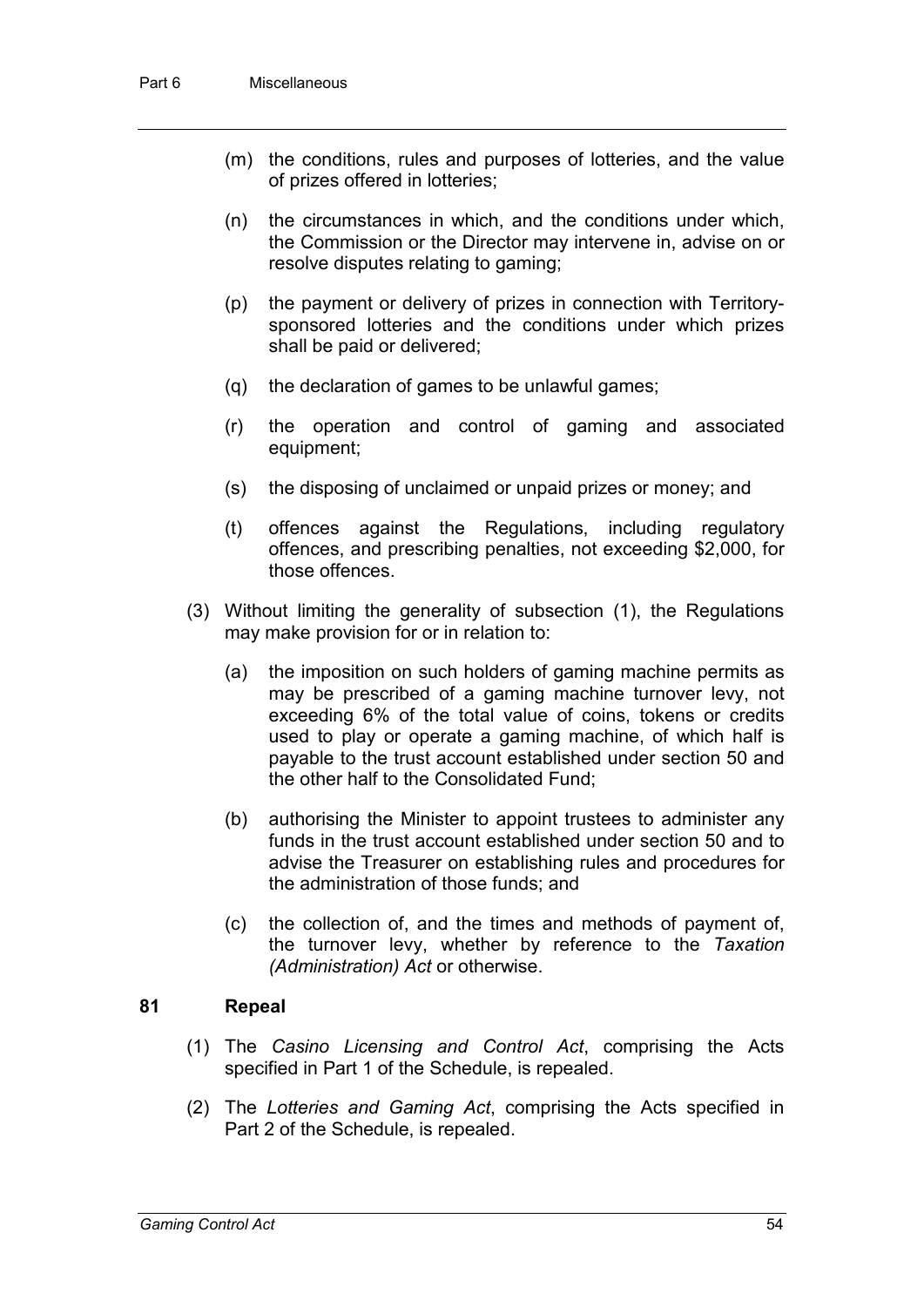- (m) the conditions, rules and purposes of lotteries, and the value of prizes offered in lotteries;
- (n) the circumstances in which, and the conditions under which, the Commission or the Director may intervene in, advise on or resolve disputes relating to gaming;
- (p) the payment or delivery of prizes in connection with Territorysponsored lotteries and the conditions under which prizes shall be paid or delivered;
- (q) the declaration of games to be unlawful games;
- (r) the operation and control of gaming and associated equipment;
- (s) the disposing of unclaimed or unpaid prizes or money; and
- (t) offences against the Regulations, including regulatory offences, and prescribing penalties, not exceeding \$2,000, for those offences.
- (3) Without limiting the generality of subsection (1), the Regulations may make provision for or in relation to:
	- (a) the imposition on such holders of gaming machine permits as may be prescribed of a gaming machine turnover levy, not exceeding 6% of the total value of coins, tokens or credits used to play or operate a gaming machine, of which half is payable to the trust account established under section 50 and the other half to the Consolidated Fund;
	- (b) authorising the Minister to appoint trustees to administer any funds in the trust account established under section 50 and to advise the Treasurer on establishing rules and procedures for the administration of those funds; and
	- (c) the collection of, and the times and methods of payment of, the turnover levy, whether by reference to the *Taxation (Administration) Act* or otherwise.

#### **81 Repeal**

- (1) The *Casino Licensing and Control Act*, comprising the Acts specified in Part 1 of the Schedule, is repealed.
- (2) The *Lotteries and Gaming Act*, comprising the Acts specified in Part 2 of the Schedule, is repealed.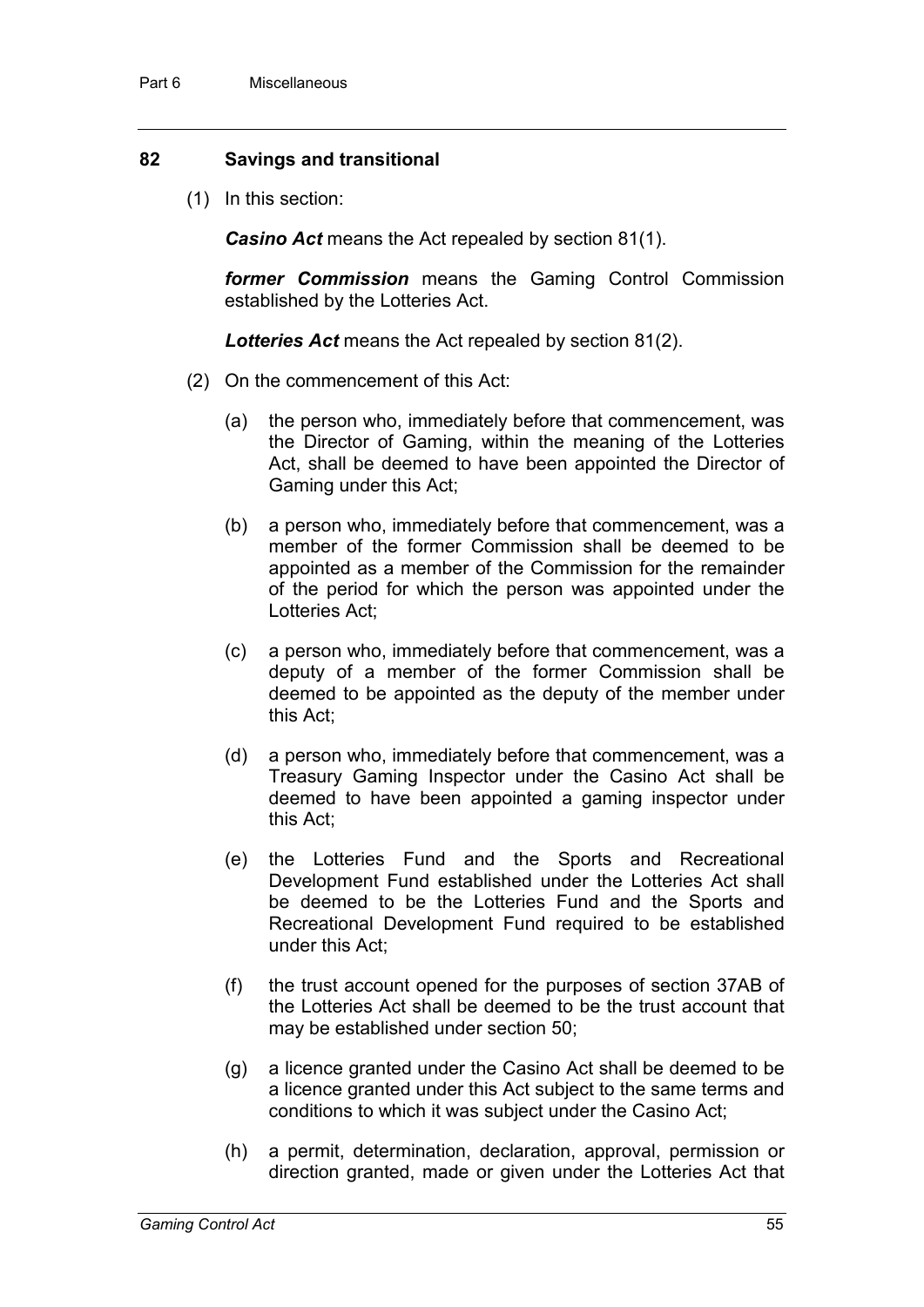#### **82 Savings and transitional**

(1) In this section:

*Casino Act* means the Act repealed by section 81(1).

*former Commission* means the Gaming Control Commission established by the Lotteries Act.

*Lotteries Act* means the Act repealed by section 81(2).

- (2) On the commencement of this Act:
	- (a) the person who, immediately before that commencement, was the Director of Gaming, within the meaning of the Lotteries Act, shall be deemed to have been appointed the Director of Gaming under this Act;
	- (b) a person who, immediately before that commencement, was a member of the former Commission shall be deemed to be appointed as a member of the Commission for the remainder of the period for which the person was appointed under the Lotteries Act;
	- (c) a person who, immediately before that commencement, was a deputy of a member of the former Commission shall be deemed to be appointed as the deputy of the member under this Act;
	- (d) a person who, immediately before that commencement, was a Treasury Gaming Inspector under the Casino Act shall be deemed to have been appointed a gaming inspector under this Act;
	- (e) the Lotteries Fund and the Sports and Recreational Development Fund established under the Lotteries Act shall be deemed to be the Lotteries Fund and the Sports and Recreational Development Fund required to be established under this Act;
	- (f) the trust account opened for the purposes of section 37AB of the Lotteries Act shall be deemed to be the trust account that may be established under section 50;
	- (g) a licence granted under the Casino Act shall be deemed to be a licence granted under this Act subject to the same terms and conditions to which it was subject under the Casino Act;
	- (h) a permit, determination, declaration, approval, permission or direction granted, made or given under the Lotteries Act that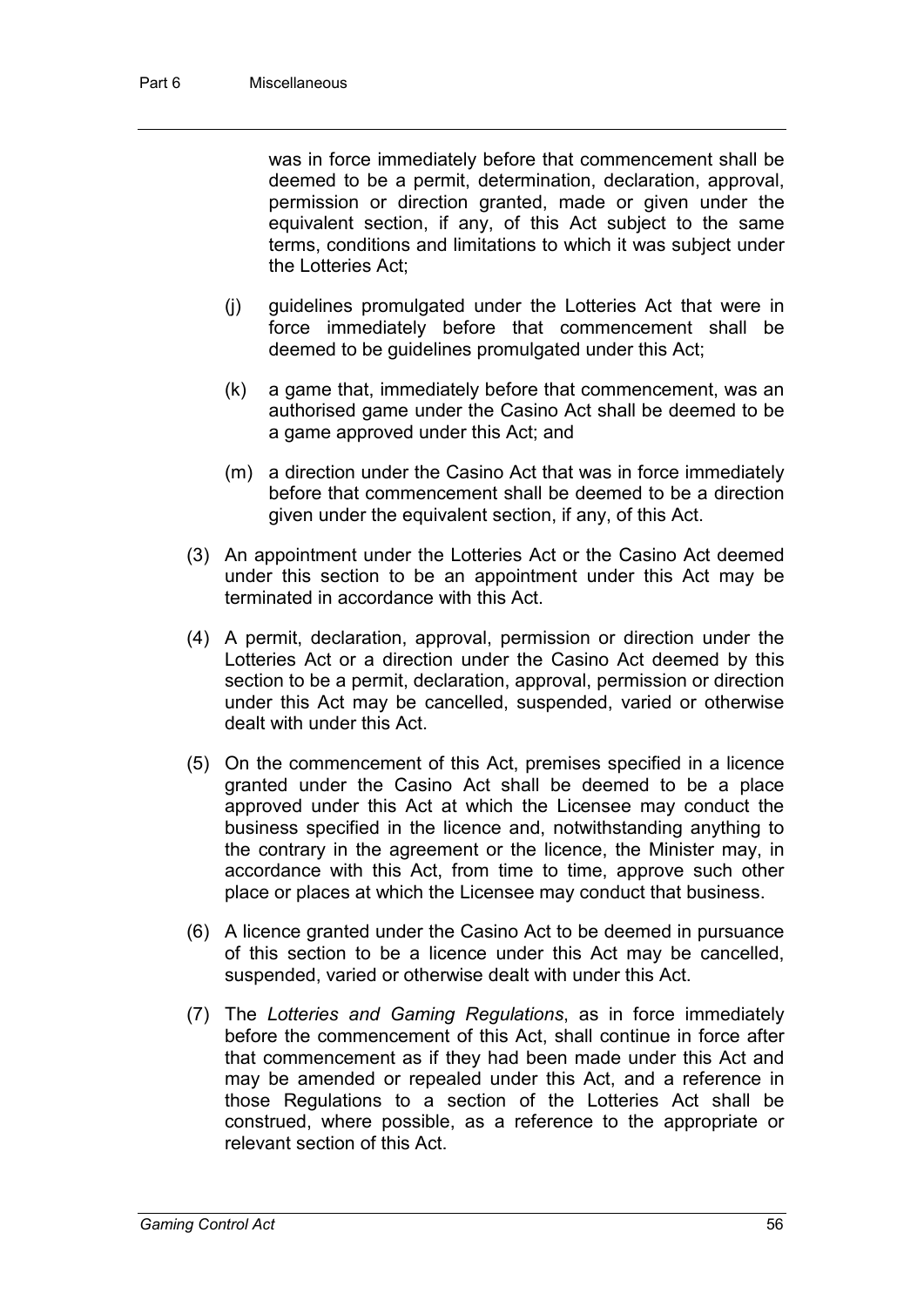was in force immediately before that commencement shall be deemed to be a permit, determination, declaration, approval, permission or direction granted, made or given under the equivalent section, if any, of this Act subject to the same terms, conditions and limitations to which it was subject under the Lotteries Act;

- (j) guidelines promulgated under the Lotteries Act that were in force immediately before that commencement shall be deemed to be guidelines promulgated under this Act;
- (k) a game that, immediately before that commencement, was an authorised game under the Casino Act shall be deemed to be a game approved under this Act; and
- (m) a direction under the Casino Act that was in force immediately before that commencement shall be deemed to be a direction given under the equivalent section, if any, of this Act.
- (3) An appointment under the Lotteries Act or the Casino Act deemed under this section to be an appointment under this Act may be terminated in accordance with this Act.
- (4) A permit, declaration, approval, permission or direction under the Lotteries Act or a direction under the Casino Act deemed by this section to be a permit, declaration, approval, permission or direction under this Act may be cancelled, suspended, varied or otherwise dealt with under this Act.
- (5) On the commencement of this Act, premises specified in a licence granted under the Casino Act shall be deemed to be a place approved under this Act at which the Licensee may conduct the business specified in the licence and, notwithstanding anything to the contrary in the agreement or the licence, the Minister may, in accordance with this Act, from time to time, approve such other place or places at which the Licensee may conduct that business.
- (6) A licence granted under the Casino Act to be deemed in pursuance of this section to be a licence under this Act may be cancelled, suspended, varied or otherwise dealt with under this Act.
- (7) The *Lotteries and Gaming Regulations*, as in force immediately before the commencement of this Act, shall continue in force after that commencement as if they had been made under this Act and may be amended or repealed under this Act, and a reference in those Regulations to a section of the Lotteries Act shall be construed, where possible, as a reference to the appropriate or relevant section of this Act.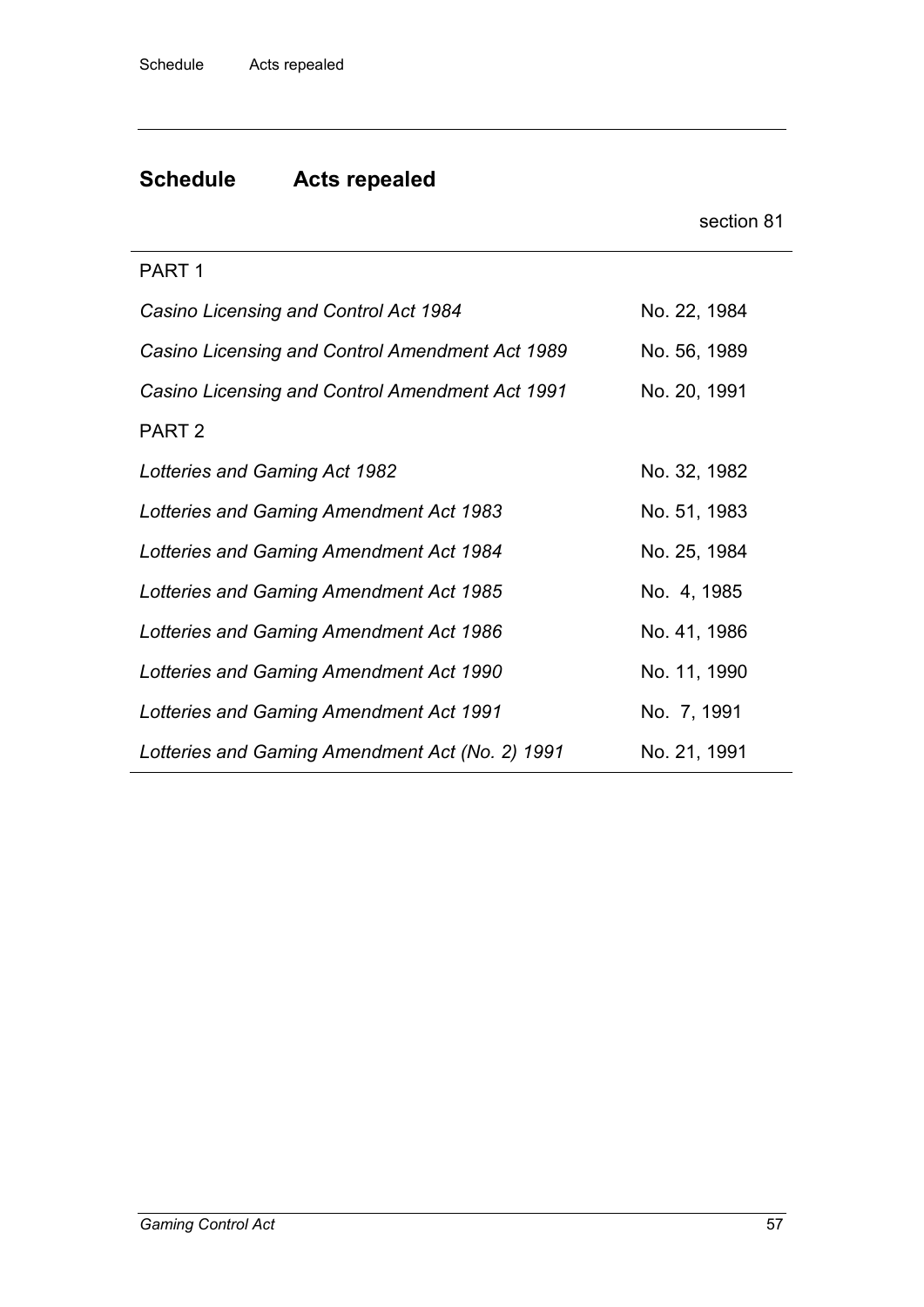# **Schedule Acts repealed**

|                                                 | section 81   |
|-------------------------------------------------|--------------|
| PART <sub>1</sub>                               |              |
| Casino Licensing and Control Act 1984           | No. 22, 1984 |
| Casino Licensing and Control Amendment Act 1989 | No. 56, 1989 |
| Casino Licensing and Control Amendment Act 1991 | No. 20, 1991 |
| PART <sub>2</sub>                               |              |
| Lotteries and Gaming Act 1982                   | No. 32, 1982 |
| Lotteries and Gaming Amendment Act 1983         | No. 51, 1983 |
| Lotteries and Gaming Amendment Act 1984         | No. 25, 1984 |
| Lotteries and Gaming Amendment Act 1985         | No. 4, 1985  |
| Lotteries and Gaming Amendment Act 1986         | No. 41, 1986 |
| Lotteries and Gaming Amendment Act 1990         | No. 11, 1990 |
| Lotteries and Gaming Amendment Act 1991         | No. 7, 1991  |
| Lotteries and Gaming Amendment Act (No. 2) 1991 | No. 21, 1991 |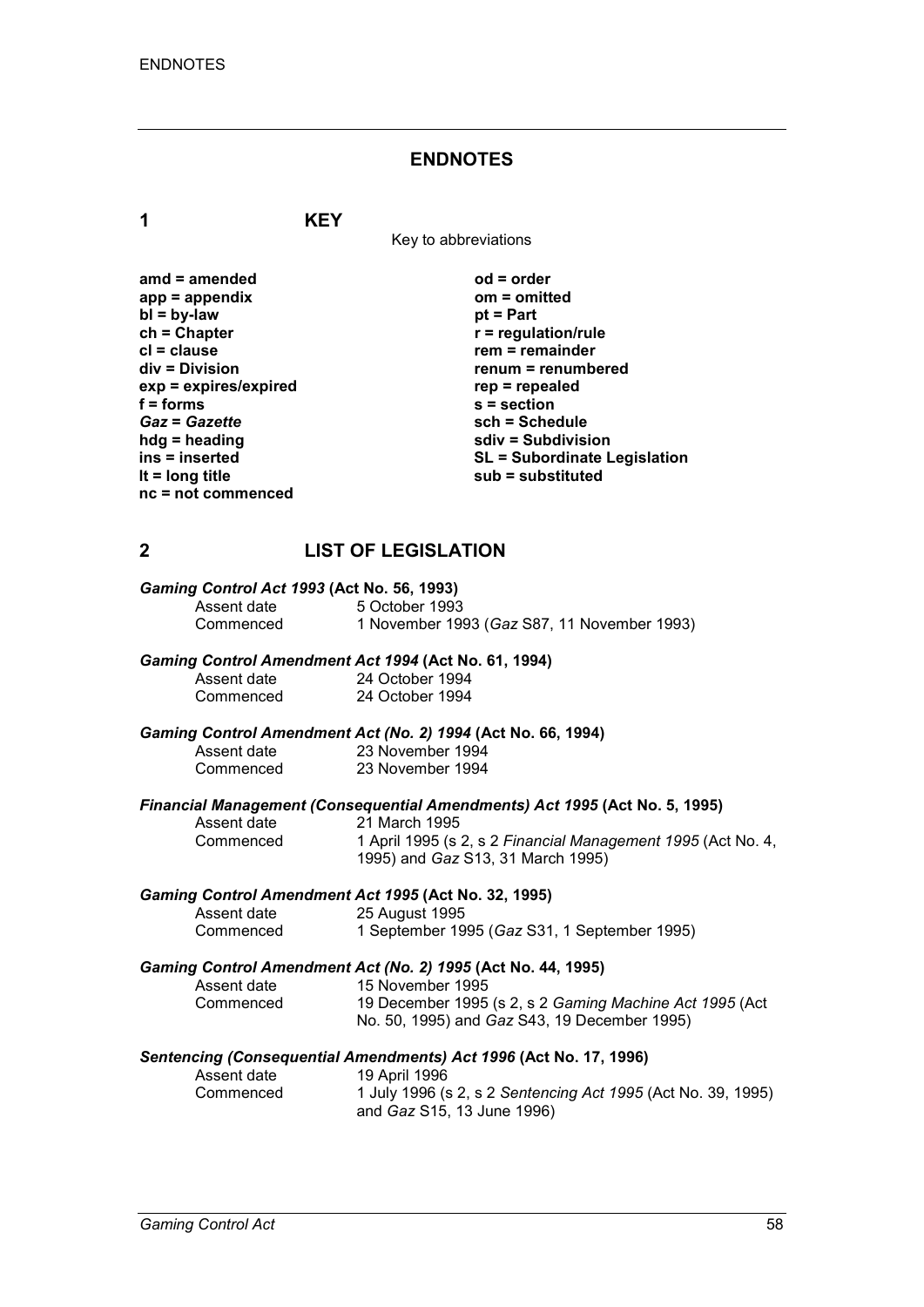#### **ENDNOTES**

**1 KEY**

Key to abbreviations

| amd = amended         |
|-----------------------|
| app = appendix        |
| $bl = by-law$         |
| ch = Chapter          |
| cl = clause           |
| div = Division        |
| exp = expires/expired |
| f = forms             |
| <b>Gaz = Gazette</b>  |
| hdg = heading         |
| ins = inserted        |
| It = long title       |
| nc = not commenced    |
|                       |

**amd = amended od = order app = appendix om = omitted** *<u>pt</u>* **= Part**  $r$  = regulation/rule **crem** = remainder **div = Division renum = renumbered exp = expires/expired rep = repealed f = forms s = section** *Gaz* **=** *Gazette* **sch = Schedule hdg = heading sdiv = Subdivision ins = inserted SL = Subordinate Legislation lt = long title sub = substituted**

### **2 LIST OF LEGISLATION**

| Gaming Control Act 1993 (Act No. 56, 1993) |                                             |  |  |
|--------------------------------------------|---------------------------------------------|--|--|
| Assent date                                | 5 October 1993                              |  |  |
| Commenced                                  | 1 November 1993 (Gaz S87, 11 November 1993) |  |  |

#### *Gaming Control Amendment Act 1994* **(Act No. 61, 1994)**

| Assent date | 24 October 1994 |
|-------------|-----------------|
| Commenced   | 24 October 1994 |

#### *Gaming Control Amendment Act (No. 2) 1994* **(Act No. 66, 1994)**

| Assent date | 23 November 1994 |
|-------------|------------------|
| Commenced   | 23 November 1994 |

# *Financial Management (Consequential Amendments) Act 1995* **(Act No. 5, 1995)**

Assent date 21 March 1995<br>Commenced 1 April 1995 (s)

Commenced 1 April 1995 (s 2, s 2 *Financial Management 1995* (Act No. 4, 1995) and *Gaz* S13, 31 March 1995)

# *Gaming Control Amendment Act 1995* **(Act No. 32, 1995)**

Assent date 25 August 1995<br>Commenced 19 September 19 1 September 1995 (*Gaz* S31, 1 September 1995)

#### *Gaming Control Amendment Act (No. 2) 1995* **(Act No. 44, 1995)**

| Assent date | 15 November 1995                                        |
|-------------|---------------------------------------------------------|
| Commenced   | 19 December 1995 (s 2, s 2 Gaming Machine Act 1995 (Act |
|             | No. 50, 1995) and <i>Gaz</i> S43, 19 December 1995)     |

# *Sentencing (Consequential Amendments) Act 1996* **(Act No. 17, 1996)**

Assent date 19 April 1996<br>Commenced 1 July 1996 (s Commenced 1 July 1996 (s 2, s 2 *Sentencing Act 1995* (Act No. 39, 1995) and *Gaz* S15, 13 June 1996)